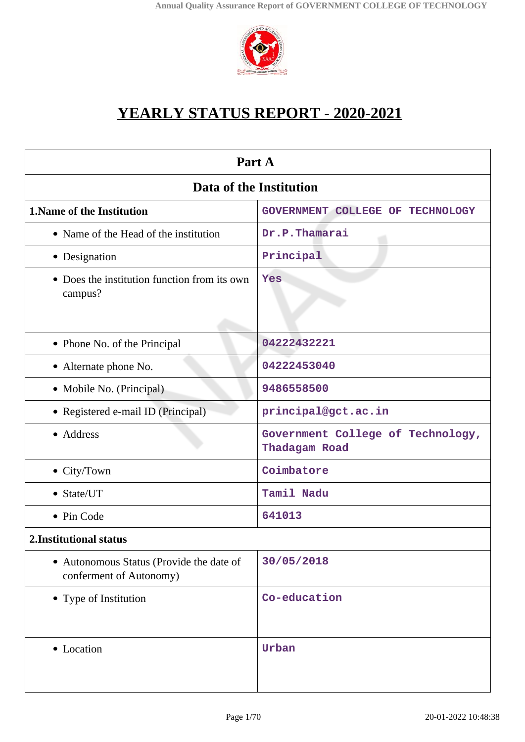

# **YEARLY STATUS REPORT - 2020-2021**

| Part A                                                              |                                                    |  |
|---------------------------------------------------------------------|----------------------------------------------------|--|
| Data of the Institution                                             |                                                    |  |
| <b>1. Name of the Institution</b>                                   | GOVERNMENT COLLEGE OF TECHNOLOGY                   |  |
| • Name of the Head of the institution                               | Dr.P.Thamarai                                      |  |
| • Designation                                                       | Principal                                          |  |
| • Does the institution function from its own<br>campus?             | Yes                                                |  |
| • Phone No. of the Principal                                        | 04222432221                                        |  |
| • Alternate phone No.                                               | 04222453040                                        |  |
| • Mobile No. (Principal)                                            | 9486558500                                         |  |
| • Registered e-mail ID (Principal)                                  | principal@gct.ac.in                                |  |
| • Address                                                           | Government College of Technology,<br>Thadagam Road |  |
| • City/Town                                                         | Coimbatore                                         |  |
| • State/UT                                                          | Tamil Nadu                                         |  |
| • Pin Code                                                          | 641013                                             |  |
| 2. Institutional status                                             |                                                    |  |
| • Autonomous Status (Provide the date of<br>conferment of Autonomy) | 30/05/2018                                         |  |
| • Type of Institution                                               | Co-education                                       |  |
| • Location                                                          | Urban                                              |  |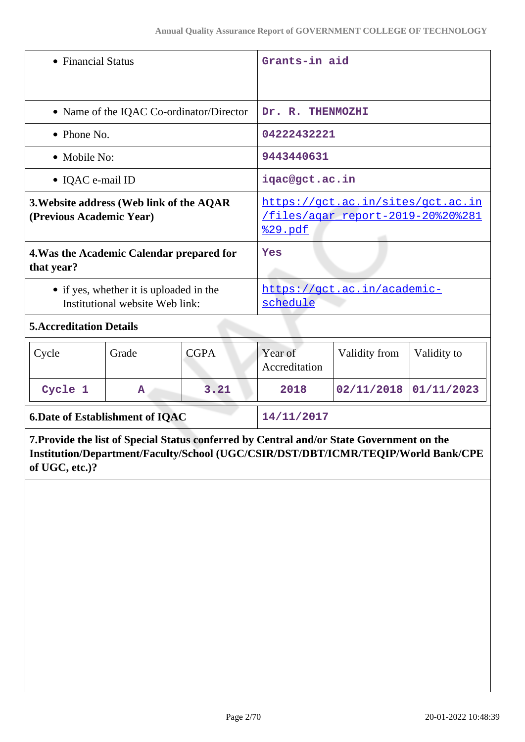| • Financial Status                                      |                                                                                                                       | Grants-in aid                                                                                                                       |                          |                                                                                           |             |
|---------------------------------------------------------|-----------------------------------------------------------------------------------------------------------------------|-------------------------------------------------------------------------------------------------------------------------------------|--------------------------|-------------------------------------------------------------------------------------------|-------------|
| • Name of the IQAC Co-ordinator/Director                |                                                                                                                       | Dr. R. THENMOZHI                                                                                                                    |                          |                                                                                           |             |
| $\bullet$ Phone No.                                     |                                                                                                                       | 04222432221                                                                                                                         |                          |                                                                                           |             |
| • Mobile No:                                            |                                                                                                                       | 9443440631                                                                                                                          |                          |                                                                                           |             |
| • IQAC e-mail ID                                        |                                                                                                                       |                                                                                                                                     | iqac@gct.ac.in           |                                                                                           |             |
| (Previous Academic Year)                                |                                                                                                                       | https://gct.ac.in/sites/gct.ac.in<br>3. Website address (Web link of the AQAR<br>files/agar report-2019-20%20%281<br><u>%29.pdf</u> |                          |                                                                                           |             |
| 4. Was the Academic Calendar prepared for<br>that year? |                                                                                                                       | Yes                                                                                                                                 |                          |                                                                                           |             |
|                                                         | https://gct.ac.in/academic-<br>• if yes, whether it is uploaded in the<br>Institutional website Web link:<br>schedule |                                                                                                                                     |                          |                                                                                           |             |
| <b>5. Accreditation Details</b>                         |                                                                                                                       |                                                                                                                                     |                          |                                                                                           |             |
| Cycle                                                   | Grade                                                                                                                 | <b>CGPA</b>                                                                                                                         | Year of<br>Accreditation | Validity from                                                                             | Validity to |
| Cycle 1<br>3.21<br>A                                    |                                                                                                                       | 2018                                                                                                                                | 02/11/2018               | 01/11/2023                                                                                |             |
| <b>6.Date of Establishment of IQAC</b>                  |                                                                                                                       | 14/11/2017                                                                                                                          |                          |                                                                                           |             |
|                                                         |                                                                                                                       |                                                                                                                                     |                          | 7. Provide the list of Special Status conferred by Central and/or State Government on the |             |

**Institution/Department/Faculty/School (UGC/CSIR/DST/DBT/ICMR/TEQIP/World Bank/CPE of UGC, etc.)?**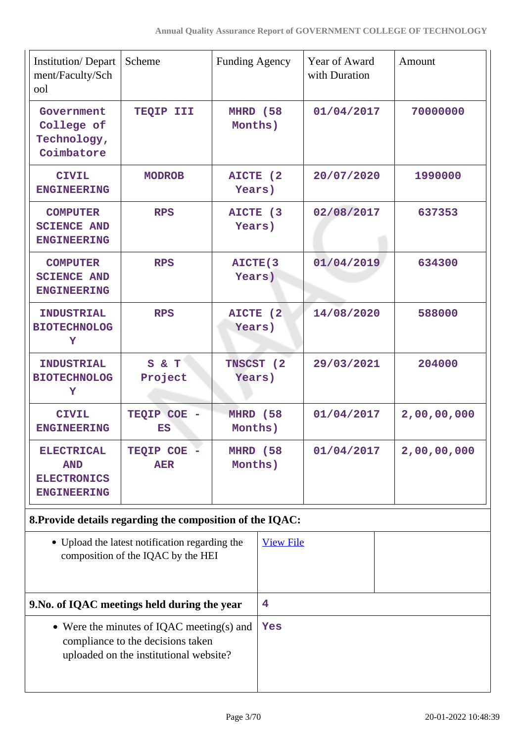| <b>Institution/Depart</b><br>ment/Faculty/Sch<br>ool                        | Scheme                                                                               | <b>Funding Agency</b> |                  | Year of Award<br>with Duration | Amount      |
|-----------------------------------------------------------------------------|--------------------------------------------------------------------------------------|-----------------------|------------------|--------------------------------|-------------|
| Government<br>College of<br>Technology,<br>Coimbatore                       | TEQIP III                                                                            | MHRD (58<br>Months)   |                  | 01/04/2017                     | 70000000    |
| <b>CIVIL</b><br><b>ENGINEERING</b>                                          | <b>MODROB</b>                                                                        | AICTE (2<br>Years)    |                  | 20/07/2020                     | 1990000     |
| <b>COMPUTER</b><br><b>SCIENCE AND</b><br><b>ENGINEERING</b>                 | <b>RPS</b>                                                                           | AICTE (3<br>Years)    |                  | 02/08/2017                     | 637353      |
| <b>COMPUTER</b><br><b>SCIENCE AND</b><br><b>ENGINEERING</b>                 | <b>RPS</b>                                                                           | AICTE(3<br>Years)     |                  | 01/04/2019                     | 634300      |
| <b>INDUSTRIAL</b><br><b>BIOTECHNOLOG</b><br>Y                               | <b>RPS</b>                                                                           | AICTE (2<br>Years)    |                  | 14/08/2020                     | 588000      |
| <b>INDUSTRIAL</b><br><b>BIOTECHNOLOG</b><br>Y                               | S & T<br>Project                                                                     | TNSCST (2<br>Years)   |                  | 29/03/2021                     | 204000      |
| <b>CIVIL</b><br><b>ENGINEERING</b>                                          | TEQIP COE<br>ES                                                                      | MHRD (58<br>Months)   |                  | 01/04/2017                     | 2,00,00,000 |
| <b>ELECTRICAL</b><br><b>AND</b><br><b>ELECTRONICS</b><br><b>ENGINEERING</b> | TEQIP COE -<br><b>AER</b>                                                            | MHRD (58<br>Months)   |                  | 01/04/2017                     | 2,00,00,000 |
|                                                                             | 8. Provide details regarding the composition of the IQAC:                            |                       |                  |                                |             |
|                                                                             | • Upload the latest notification regarding the<br>composition of the IQAC by the HEI |                       | <b>View File</b> |                                |             |
| 9. No. of IQAC meetings held during the year                                |                                                                                      |                       | 4                |                                |             |
|                                                                             | • Were the minutes of IQAC meeting(s) and                                            |                       | Yes              |                                |             |

compliance to the decisions taken uploaded on the institutional website?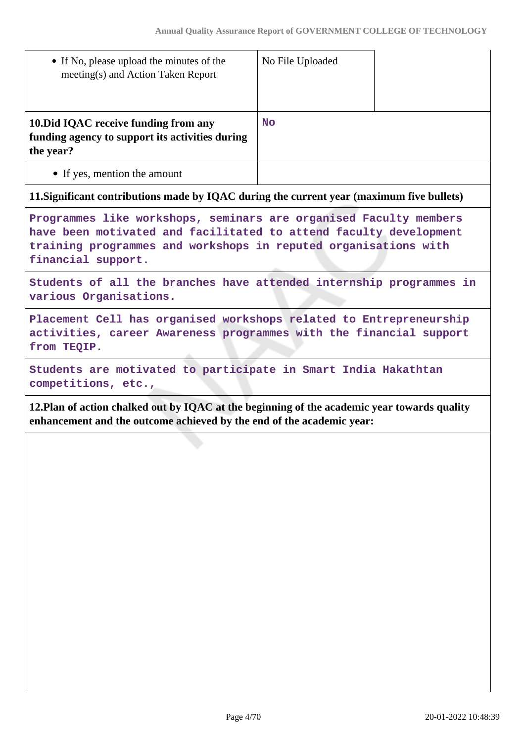| • If No, please upload the minutes of the<br>meeting(s) and Action Taken Report                       | No File Uploaded |  |
|-------------------------------------------------------------------------------------------------------|------------------|--|
| 10. Did IQAC receive funding from any<br>funding agency to support its activities during<br>the year? | <b>No</b>        |  |
| • If yes, mention the amount                                                                          |                  |  |

### **11.Significant contributions made by IQAC during the current year (maximum five bullets)**

**Programmes like workshops, seminars are organised Faculty members have been motivated and facilitated to attend faculty development training programmes and workshops in reputed organisations with financial support.**

**Students of all the branches have attended internship programmes in various Organisations.**

**Placement Cell has organised workshops related to Entrepreneurship activities, career Awareness programmes with the financial support from TEQIP.**

**Students are motivated to participate in Smart India Hakathtan competitions, etc.,**

**12.Plan of action chalked out by IQAC at the beginning of the academic year towards quality enhancement and the outcome achieved by the end of the academic year:**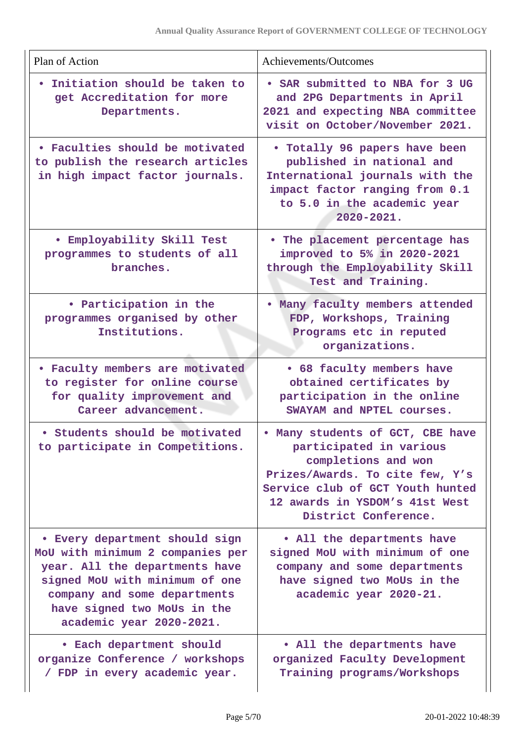| Plan of Action                                                                                                                                                                                                                    | Achievements/Outcomes                                                                                                                                                                                               |
|-----------------------------------------------------------------------------------------------------------------------------------------------------------------------------------------------------------------------------------|---------------------------------------------------------------------------------------------------------------------------------------------------------------------------------------------------------------------|
| Initiation should be taken to<br>get Accreditation for more<br>Departments.                                                                                                                                                       | . SAR submitted to NBA for 3 UG<br>and 2PG Departments in April<br>2021 and expecting NBA committee<br>visit on October/November 2021.                                                                              |
| . Faculties should be motivated<br>to publish the research articles<br>in high impact factor journals.                                                                                                                            | • Totally 96 papers have been<br>published in national and<br>International journals with the<br>impact factor ranging from 0.1<br>to 5.0 in the academic year<br>$2020 - 2021.$                                    |
| <b>• Employability Skill Test</b><br>programmes to students of all<br>branches.                                                                                                                                                   | . The placement percentage has<br>improved to 5% in 2020-2021<br>through the Employability Skill<br>Test and Training.                                                                                              |
| • Participation in the<br>programmes organised by other<br>Institutions.                                                                                                                                                          | Many faculty members attended<br>FDP, Workshops, Training<br>Programs etc in reputed<br>organizations.                                                                                                              |
| • Faculty members are motivated<br>to register for online course<br>for quality improvement and<br>Career advancement.                                                                                                            | • 68 faculty members have<br>obtained certificates by<br>participation in the online<br>SWAYAM and NPTEL courses.                                                                                                   |
| • Students should be motivated<br>to participate in Competitions.                                                                                                                                                                 | . Many students of GCT, CBE have<br>participated in various<br>completions and won<br>Prizes/Awards. To cite few, Y's<br>Service club of GCT Youth hunted<br>12 awards in YSDOM's 41st West<br>District Conference. |
| • Every department should sign<br>MoU with minimum 2 companies per<br>year. All the departments have<br>signed MoU with minimum of one<br>company and some departments<br>have signed two MoUs in the<br>academic year 2020-2021. | . All the departments have<br>signed MoU with minimum of one<br>company and some departments<br>have signed two MoUs in the<br>academic year 2020-21.                                                               |
| • Each department should<br>organize Conference / workshops<br>/ FDP in every academic year.                                                                                                                                      | • All the departments have<br>organized Faculty Development<br>Training programs/Workshops                                                                                                                          |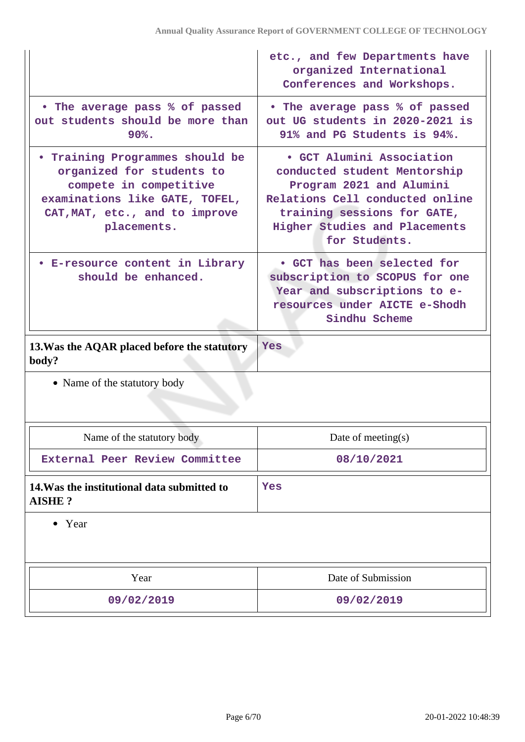|                                                                                                                                                                                  | etc., and few Departments have<br>organized International<br>Conferences and Workshops.                                                                                                                   |
|----------------------------------------------------------------------------------------------------------------------------------------------------------------------------------|-----------------------------------------------------------------------------------------------------------------------------------------------------------------------------------------------------------|
| • The average pass % of passed<br>out students should be more than<br>$90\%$ .                                                                                                   | . The average pass % of passed<br>out UG students in 2020-2021 is<br>91% and PG Students is 94%.                                                                                                          |
| <b>• Training Programmes should be</b><br>organized for students to<br>compete in competitive<br>examinations like GATE, TOFEL,<br>CAT, MAT, etc., and to improve<br>placements. | • GCT Alumini Association<br>conducted student Mentorship<br>Program 2021 and Alumini<br>Relations Cell conducted online<br>training sessions for GATE,<br>Higher Studies and Placements<br>for Students. |
| • E-resource content in Library<br>should be enhanced.                                                                                                                           | • GCT has been selected for<br>subscription to SCOPUS for one<br>Year and subscriptions to e-<br>resources under AICTE e-Shodh<br>Sindhu Scheme                                                           |
|                                                                                                                                                                                  |                                                                                                                                                                                                           |
| 13. Was the AQAR placed before the statutory<br>body?                                                                                                                            | <b>Yes</b>                                                                                                                                                                                                |
| • Name of the statutory body                                                                                                                                                     |                                                                                                                                                                                                           |
|                                                                                                                                                                                  |                                                                                                                                                                                                           |
| Name of the statutory body                                                                                                                                                       | Date of meeting(s)                                                                                                                                                                                        |
| External Peer Review Committee                                                                                                                                                   | 08/10/2021                                                                                                                                                                                                |
| 14. Was the institutional data submitted to<br><b>AISHE?</b>                                                                                                                     | Yes                                                                                                                                                                                                       |
| • Year                                                                                                                                                                           |                                                                                                                                                                                                           |
| Year                                                                                                                                                                             | Date of Submission                                                                                                                                                                                        |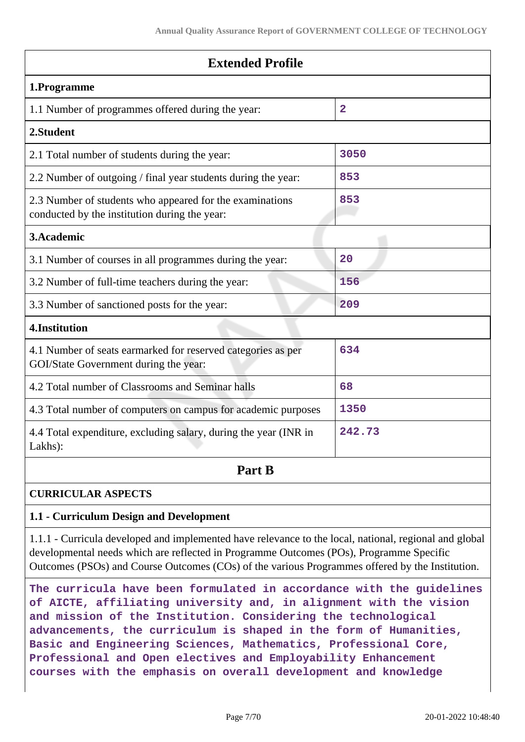| <b>Extended Profile</b>                                                                                   |                |  |
|-----------------------------------------------------------------------------------------------------------|----------------|--|
| 1.Programme                                                                                               |                |  |
| 1.1 Number of programmes offered during the year:                                                         | $\overline{2}$ |  |
| 2.Student                                                                                                 |                |  |
| 2.1 Total number of students during the year:                                                             | 3050           |  |
| 2.2 Number of outgoing / final year students during the year:                                             | 853            |  |
| 2.3 Number of students who appeared for the examinations<br>conducted by the institution during the year: | 853            |  |
| 3. Academic                                                                                               |                |  |
| 3.1 Number of courses in all programmes during the year:                                                  | 20             |  |
| 3.2 Number of full-time teachers during the year:                                                         | 156            |  |
| 3.3 Number of sanctioned posts for the year:                                                              | 209            |  |
| 4. Institution                                                                                            |                |  |
| 4.1 Number of seats earmarked for reserved categories as per<br>GOI/State Government during the year:     | 634            |  |
| 4.2 Total number of Classrooms and Seminar halls                                                          | 68             |  |
| 4.3 Total number of computers on campus for academic purposes                                             | 1350           |  |
| 4.4 Total expenditure, excluding salary, during the year (INR in<br>Lakhs):                               | 242.73         |  |
| Part B                                                                                                    |                |  |

# **CURRICULAR ASPECTS**

### **1.1 - Curriculum Design and Development**

1.1.1 - Curricula developed and implemented have relevance to the local, national, regional and global developmental needs which are reflected in Programme Outcomes (POs), Programme Specific Outcomes (PSOs) and Course Outcomes (COs) of the various Programmes offered by the Institution.

**The curricula have been formulated in accordance with the guidelines of AICTE, affiliating university and, in alignment with the vision and mission of the Institution. Considering the technological advancements, the curriculum is shaped in the form of Humanities, Basic and Engineering Sciences, Mathematics, Professional Core, Professional and Open electives and Employability Enhancement courses with the emphasis on overall development and knowledge**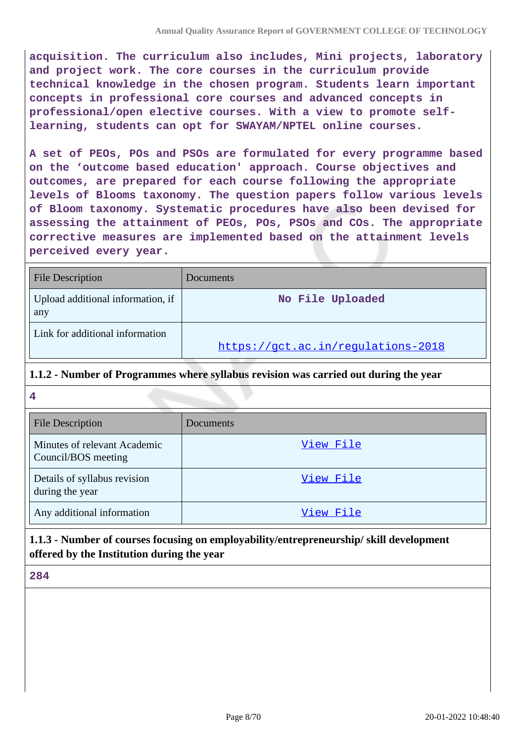**acquisition. The curriculum also includes, Mini projects, laboratory and project work. The core courses in the curriculum provide technical knowledge in the chosen program. Students learn important concepts in professional core courses and advanced concepts in professional/open elective courses. With a view to promote selflearning, students can opt for SWAYAM/NPTEL online courses.**

**A set of PEOs, POs and PSOs are formulated for every programme based on the 'outcome based education' approach. Course objectives and outcomes, are prepared for each course following the appropriate levels of Blooms taxonomy. The question papers follow various levels of Bloom taxonomy. Systematic procedures have also been devised for assessing the attainment of PEOs, POs, PSOs and COs. The appropriate corrective measures are implemented based on the attainment levels perceived every year.**

| <b>File Description</b>                  | Documents                          |
|------------------------------------------|------------------------------------|
| Upload additional information, if<br>any | No File Uploaded                   |
| Link for additional information          | https://gct.ac.in/regulations-2018 |

### **1.1.2 - Number of Programmes where syllabus revision was carried out during the year**

**4**

| <b>File Description</b>                             | <b>Documents</b> |
|-----------------------------------------------------|------------------|
| Minutes of relevant Academic<br>Council/BOS meeting | View File        |
| Details of syllabus revision<br>during the year     | View File        |
| Any additional information                          | View File        |

# **1.1.3 - Number of courses focusing on employability/entrepreneurship/ skill development offered by the Institution during the year**

**284**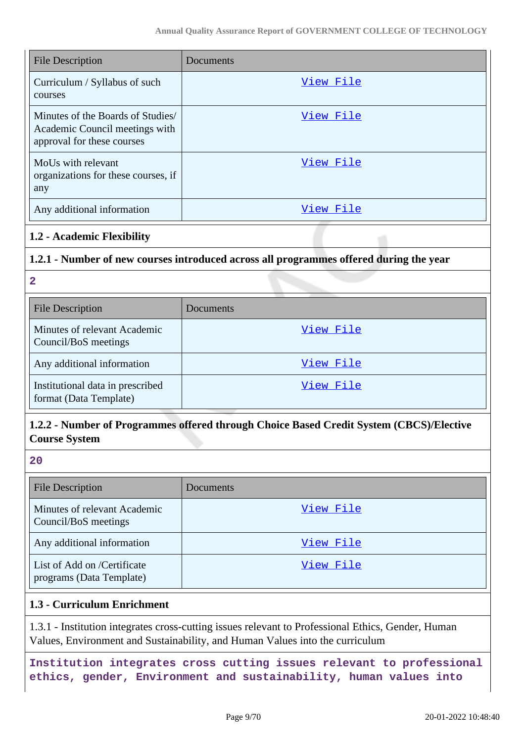| <b>File Description</b>                                                                           | Documents |
|---------------------------------------------------------------------------------------------------|-----------|
| Curriculum / Syllabus of such<br>courses                                                          | View File |
| Minutes of the Boards of Studies/<br>Academic Council meetings with<br>approval for these courses | View File |
| MoUs with relevant<br>organizations for these courses, if<br>any                                  | View File |
| Any additional information                                                                        | View File |

### **1.2 - Academic Flexibility**

# **1.2.1 - Number of new courses introduced across all programmes offered during the year**

**2**

| <b>File Description</b>                                    | Documents |
|------------------------------------------------------------|-----------|
| Minutes of relevant Academic<br>Council/BoS meetings       | View File |
| Any additional information                                 | View File |
| Institutional data in prescribed<br>format (Data Template) | View File |

# **1.2.2 - Number of Programmes offered through Choice Based Credit System (CBCS)/Elective Course System**

**20**

| <b>File Description</b>                                 | Documents |
|---------------------------------------------------------|-----------|
| Minutes of relevant Academic<br>Council/BoS meetings    | View File |
| Any additional information                              | View File |
| List of Add on /Certificate<br>programs (Data Template) | View File |

### **1.3 - Curriculum Enrichment**

1.3.1 - Institution integrates cross-cutting issues relevant to Professional Ethics, Gender, Human Values, Environment and Sustainability, and Human Values into the curriculum

**Institution integrates cross cutting issues relevant to professional ethics, gender, Environment and sustainability, human values into**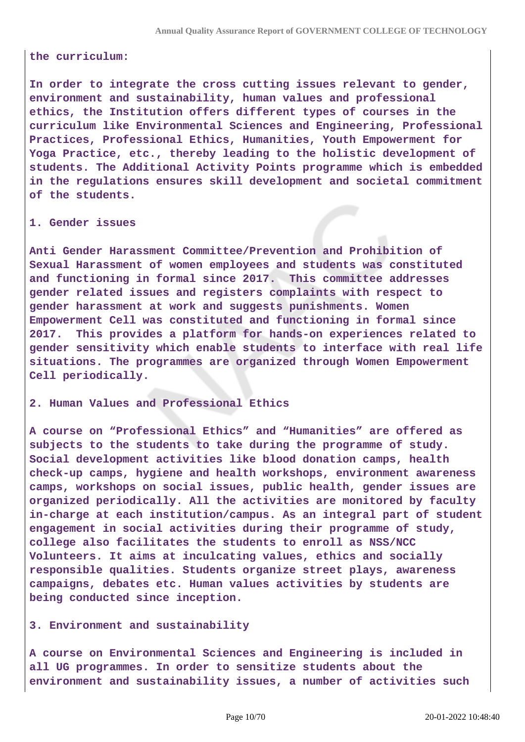#### **the curriculum:**

**In order to integrate the cross cutting issues relevant to gender, environment and sustainability, human values and professional ethics, the Institution offers different types of courses in the curriculum like Environmental Sciences and Engineering, Professional Practices, Professional Ethics, Humanities, Youth Empowerment for Yoga Practice, etc., thereby leading to the holistic development of students. The Additional Activity Points programme which is embedded in the regulations ensures skill development and societal commitment of the students.**

#### **1. Gender issues**

**Anti Gender Harassment Committee/Prevention and Prohibition of Sexual Harassment of women employees and students was constituted and functioning in formal since 2017. This committee addresses gender related issues and registers complaints with respect to gender harassment at work and suggests punishments. Women Empowerment Cell was constituted and functioning in formal since 2017. This provides a platform for hands-on experiences related to gender sensitivity which enable students to interface with real life situations. The programmes are organized through Women Empowerment Cell periodically.**

#### **2. Human Values and Professional Ethics**

**A course on "Professional Ethics" and "Humanities" are offered as subjects to the students to take during the programme of study. Social development activities like blood donation camps, health check-up camps, hygiene and health workshops, environment awareness camps, workshops on social issues, public health, gender issues are organized periodically. All the activities are monitored by faculty in-charge at each institution/campus. As an integral part of student engagement in social activities during their programme of study, college also facilitates the students to enroll as NSS/NCC Volunteers. It aims at inculcating values, ethics and socially responsible qualities. Students organize street plays, awareness campaigns, debates etc. Human values activities by students are being conducted since inception.**

#### **3. Environment and sustainability**

**A course on Environmental Sciences and Engineering is included in all UG programmes. In order to sensitize students about the environment and sustainability issues, a number of activities such**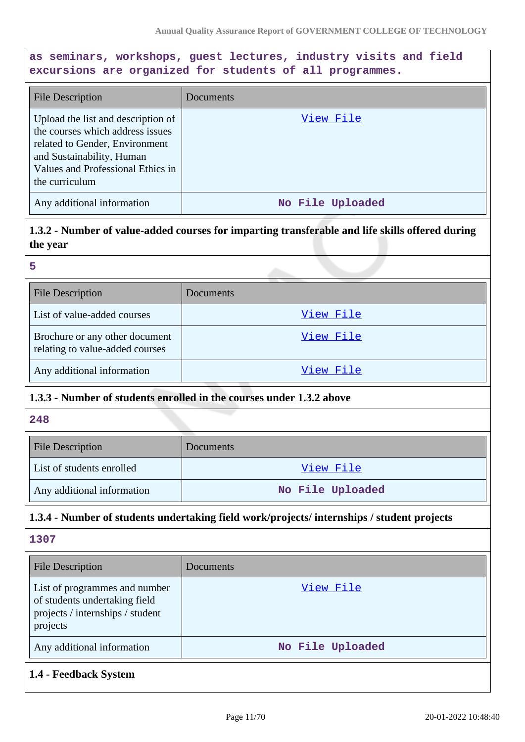## **as seminars, workshops, guest lectures, industry visits and field excursions are organized for students of all programmes.**

| <b>File Description</b>                                                                                                                                                                      | <b>Documents</b> |
|----------------------------------------------------------------------------------------------------------------------------------------------------------------------------------------------|------------------|
| Upload the list and description of<br>the courses which address issues<br>related to Gender, Environment<br>and Sustainability, Human<br>Values and Professional Ethics in<br>the curriculum | View File        |
| Any additional information                                                                                                                                                                   | No File Uploaded |

**1.3.2 - Number of value-added courses for imparting transferable and life skills offered during the year**

#### **5**

| <b>File Description</b>                                           | Documents |
|-------------------------------------------------------------------|-----------|
| List of value-added courses                                       | View File |
| Brochure or any other document<br>relating to value-added courses | View File |
| Any additional information                                        | View File |

### **1.3.3 - Number of students enrolled in the courses under 1.3.2 above**

### **248**

| <b>File Description</b>    | <b>Documents</b> |  |
|----------------------------|------------------|--|
| List of students enrolled  | View File        |  |
| Any additional information | No File Uploaded |  |

### **1.3.4 - Number of students undertaking field work/projects/ internships / student projects**

**1307**

| <b>File Description</b>                                                                                        | Documents        |
|----------------------------------------------------------------------------------------------------------------|------------------|
| List of programmes and number<br>of students undertaking field<br>projects / internships / student<br>projects | View File        |
| Any additional information                                                                                     | No File Uploaded |

# **1.4 - Feedback System**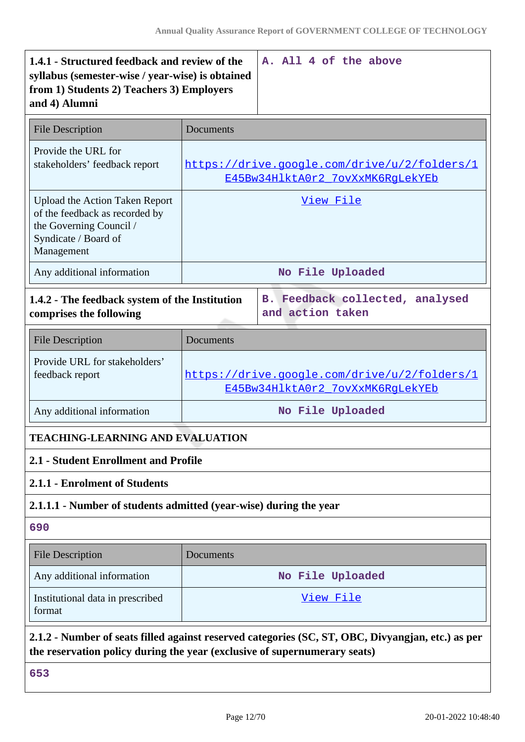| 1.4.1 - Structured feedback and review of the<br>syllabus (semester-wise / year-wise) is obtained<br>from 1) Students 2) Teachers 3) Employers<br>and 4) Alumni |                                                                                  | A. All 4 of the above                                                                             |  |
|-----------------------------------------------------------------------------------------------------------------------------------------------------------------|----------------------------------------------------------------------------------|---------------------------------------------------------------------------------------------------|--|
| <b>File Description</b>                                                                                                                                         | Documents                                                                        |                                                                                                   |  |
| Provide the URL for<br>stakeholders' feedback report                                                                                                            | https://drive.google.com/drive/u/2/folders/1<br>E45Bw34HlktA0r2_7ovXxMK6RgLekYEb |                                                                                                   |  |
| <b>Upload the Action Taken Report</b><br>of the feedback as recorded by<br>the Governing Council /<br>Syndicate / Board of<br>Management                        | View File                                                                        |                                                                                                   |  |
| Any additional information                                                                                                                                      |                                                                                  | No File Uploaded                                                                                  |  |
| 1.4.2 - The feedback system of the Institution<br>comprises the following                                                                                       |                                                                                  | B. Feedback collected, analysed<br>and action taken                                               |  |
| <b>File Description</b>                                                                                                                                         | Documents                                                                        |                                                                                                   |  |
| Provide URL for stakeholders'<br>feedback report                                                                                                                | https://drive.google.com/drive/u/2/folders/1<br>E45Bw34HlktA0r2 7ovXxMK6RqLekYEb |                                                                                                   |  |
| Any additional information                                                                                                                                      |                                                                                  | No File Uploaded                                                                                  |  |
| <b>TEACHING-LEARNING AND EVALUATION</b>                                                                                                                         |                                                                                  |                                                                                                   |  |
| 2.1 - Student Enrollment and Profile                                                                                                                            |                                                                                  |                                                                                                   |  |
| 2.1.1 - Enrolment of Students                                                                                                                                   |                                                                                  |                                                                                                   |  |
| 2.1.1.1 - Number of students admitted (year-wise) during the year                                                                                               |                                                                                  |                                                                                                   |  |
| 690                                                                                                                                                             |                                                                                  |                                                                                                   |  |
| <b>File Description</b>                                                                                                                                         | Documents                                                                        |                                                                                                   |  |
| Any additional information                                                                                                                                      |                                                                                  | No File Uploaded                                                                                  |  |
| Institutional data in prescribed<br>format                                                                                                                      | <u>View File</u>                                                                 |                                                                                                   |  |
| the reservation policy during the year (exclusive of supernumerary seats)                                                                                       |                                                                                  | 2.1.2 - Number of seats filled against reserved categories (SC, ST, OBC, Divyangjan, etc.) as per |  |
| 653                                                                                                                                                             |                                                                                  |                                                                                                   |  |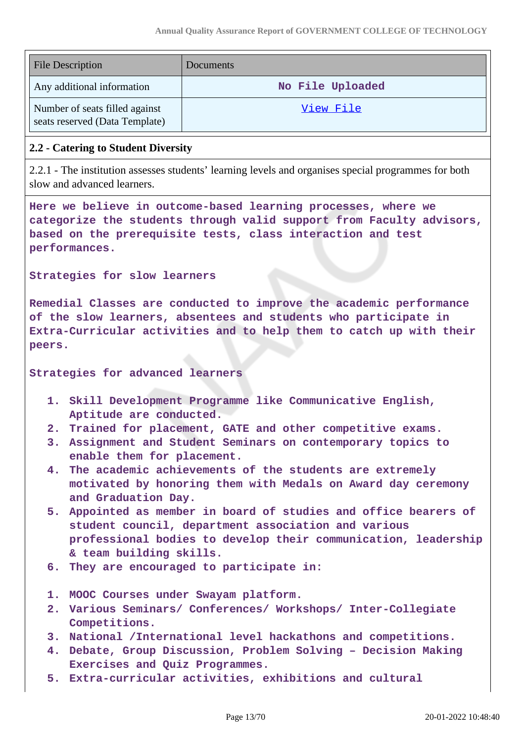| <b>File Description</b>                                          | Documents        |
|------------------------------------------------------------------|------------------|
| Any additional information                                       | No File Uploaded |
| Number of seats filled against<br>seats reserved (Data Template) | View File        |

### **2.2 - Catering to Student Diversity**

2.2.1 - The institution assesses students' learning levels and organises special programmes for both slow and advanced learners.

**Here we believe in outcome-based learning processes, where we categorize the students through valid support from Faculty advisors, based on the prerequisite tests, class interaction and test performances.**

**Strategies for slow learners**

**Remedial Classes are conducted to improve the academic performance of the slow learners, absentees and students who participate in Extra-Curricular activities and to help them to catch up with their peers.**

#### **Strategies for advanced learners**

- **1. Skill Development Programme like Communicative English, Aptitude are conducted.**
- **2. Trained for placement, GATE and other competitive exams.**
- **3. Assignment and Student Seminars on contemporary topics to enable them for placement.**
- **4. The academic achievements of the students are extremely motivated by honoring them with Medals on Award day ceremony and Graduation Day.**
- **5. Appointed as member in board of studies and office bearers of student council, department association and various professional bodies to develop their communication, leadership & team building skills.**
- **6. They are encouraged to participate in:**
- **1. MOOC Courses under Swayam platform.**
- **2. Various Seminars/ Conferences/ Workshops/ Inter-Collegiate Competitions.**
- **3. National /International level hackathons and competitions.**
- **4. Debate, Group Discussion, Problem Solving Decision Making Exercises and Quiz Programmes.**
- **5. Extra-curricular activities, exhibitions and cultural**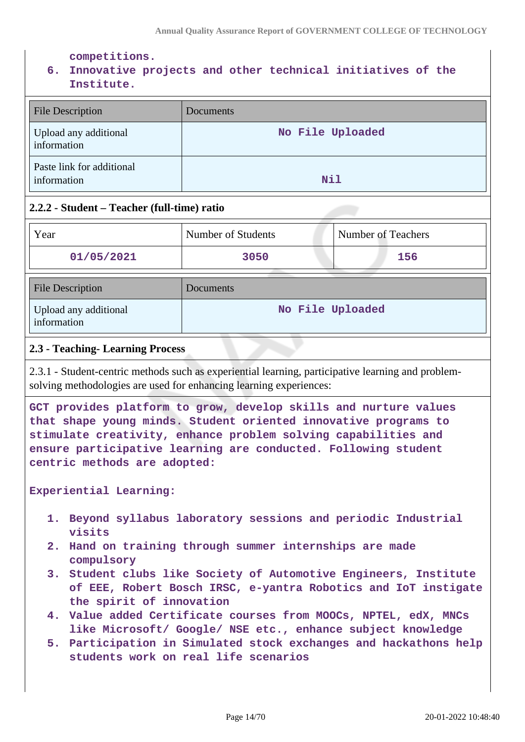**competitions.**

# **6. Innovative projects and other technical initiatives of the Institute.**

| <b>File Description</b>                  | <b>Documents</b> |
|------------------------------------------|------------------|
| Upload any additional<br>information     | No File Uploaded |
| Paste link for additional<br>information | Nil              |

### **2.2.2 - Student – Teacher (full-time) ratio**

| Year                                 | Number of Students | Number of Teachers |
|--------------------------------------|--------------------|--------------------|
| 01/05/2021                           | 3050               | 156                |
| <b>File Description</b>              | Documents          |                    |
| Upload any additional<br>information | No File Uploaded   |                    |

### **2.3 - Teaching- Learning Process**

2.3.1 - Student-centric methods such as experiential learning, participative learning and problemsolving methodologies are used for enhancing learning experiences:

**GCT provides platform to grow, develop skills and nurture values that shape young minds. Student oriented innovative programs to stimulate creativity, enhance problem solving capabilities and ensure participative learning are conducted. Following student centric methods are adopted:**

#### **Experiential Learning:**

- **1. Beyond syllabus laboratory sessions and periodic Industrial visits**
- **2. Hand on training through summer internships are made compulsory**
- **3. Student clubs like Society of Automotive Engineers, Institute of EEE, Robert Bosch IRSC, e-yantra Robotics and IoT instigate the spirit of innovation**
- **4. Value added Certificate courses from MOOCs, NPTEL, edX, MNCs like Microsoft/ Google/ NSE etc., enhance subject knowledge**
- **5. Participation in Simulated stock exchanges and hackathons help students work on real life scenarios**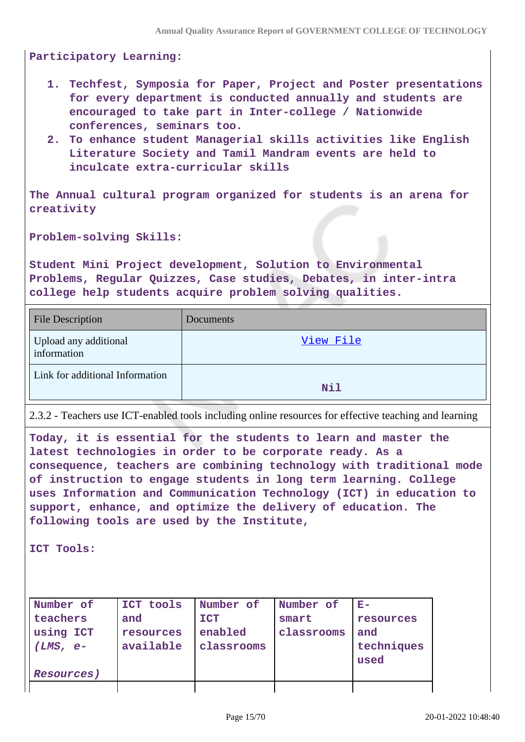**Participatory Learning:** 

- **1. Techfest, Symposia for Paper, Project and Poster presentations for every department is conducted annually and students are encouraged to take part in Inter-college / Nationwide conferences, seminars too.**
- **2. To enhance student Managerial skills activities like English Literature Society and Tamil Mandram events are held to inculcate extra-curricular skills**

**The Annual cultural program organized for students is an arena for creativity**

**Problem-solving Skills:**

**Student Mini Project development, Solution to Environmental Problems, Regular Quizzes, Case studies, Debates, in inter-intra college help students acquire problem solving qualities.**

| <b>File Description</b>              | Documents |
|--------------------------------------|-----------|
| Upload any additional<br>information | View File |
| Link for additional Information      | Nil       |
|                                      |           |

2.3.2 - Teachers use ICT-enabled tools including online resources for effective teaching and learning

**Today, it is essential for the students to learn and master the latest technologies in order to be corporate ready. As a consequence, teachers are combining technology with traditional mode of instruction to engage students in long term learning. College uses Information and Communication Technology (ICT) in education to support, enhance, and optimize the delivery of education. The following tools are used by the Institute,**

**ICT Tools:**

| Number of  | ICT tools | Number of  | Number of  | $E-$       |
|------------|-----------|------------|------------|------------|
| teachers   | and       | <b>ICT</b> | smart      | resources  |
| using ICT  | resources | enabled    | classrooms | and        |
| $(LMS, e-$ | available | classrooms |            | techniques |
|            |           |            |            | used       |
| Resources) |           |            |            |            |
|            |           |            |            |            |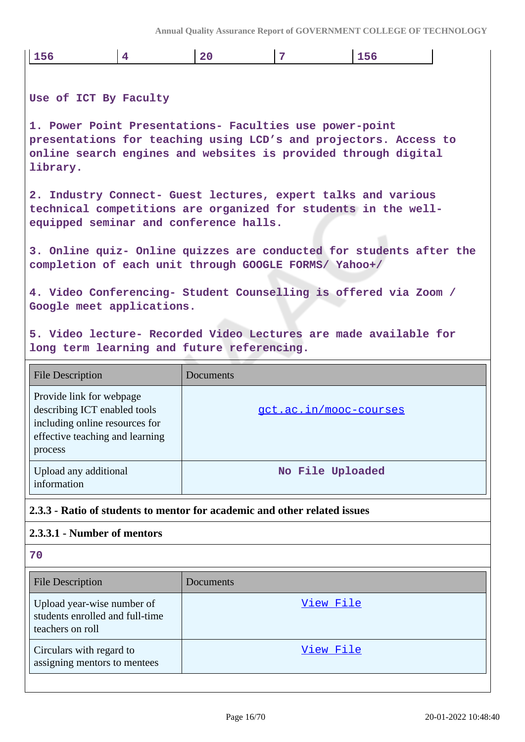**Annual Quality Assurance Report of GOVERNMENT COLLEGE OF TECHNOLOGY**

| 156                                                                                                                                                                                                       | 4 | 20        | $\overline{7}$                | 156 |  |
|-----------------------------------------------------------------------------------------------------------------------------------------------------------------------------------------------------------|---|-----------|-------------------------------|-----|--|
| Use of ICT By Faculty                                                                                                                                                                                     |   |           |                               |     |  |
| 1. Power Point Presentations- Faculties use power-point<br>presentations for teaching using LCD's and projectors. Access to<br>online search engines and websites is provided through digital<br>library. |   |           |                               |     |  |
| 2. Industry Connect- Guest lectures, expert talks and various<br>technical competitions are organized for students in the well-<br>equipped seminar and conference halls.                                 |   |           |                               |     |  |
| 3. Online quiz- Online quizzes are conducted for students after the<br>completion of each unit through GOOGLE FORMS/ Yahoo+/                                                                              |   |           |                               |     |  |
| 4. Video Conferencing- Student Counselling is offered via Zoom /<br>Google meet applications.                                                                                                             |   |           |                               |     |  |
| 5. Video lecture- Recorded Video Lectures are made available for<br>long term learning and future referencing.                                                                                            |   |           |                               |     |  |
|                                                                                                                                                                                                           |   |           |                               |     |  |
| <b>File Description</b>                                                                                                                                                                                   |   | Documents |                               |     |  |
| Provide link for webpage<br>describing ICT enabled tools<br>including online resources for<br>effective teaching and learning<br>process                                                                  |   |           | <u>gct.ac.in/mooc-courses</u> |     |  |
| Upload any additional<br>information                                                                                                                                                                      |   |           | No File Uploaded              |     |  |
| 2.3.3 - Ratio of students to mentor for academic and other related issues                                                                                                                                 |   |           |                               |     |  |
| 2.3.3.1 - Number of mentors                                                                                                                                                                               |   |           |                               |     |  |
| 70                                                                                                                                                                                                        |   |           |                               |     |  |
| <b>File Description</b>                                                                                                                                                                                   |   | Documents |                               |     |  |
| Upload year-wise number of<br>students enrolled and full-time<br>teachers on roll                                                                                                                         |   |           | <u>View File</u>              |     |  |
| Circulars with regard to<br>assigning mentors to mentees                                                                                                                                                  |   |           | View File                     |     |  |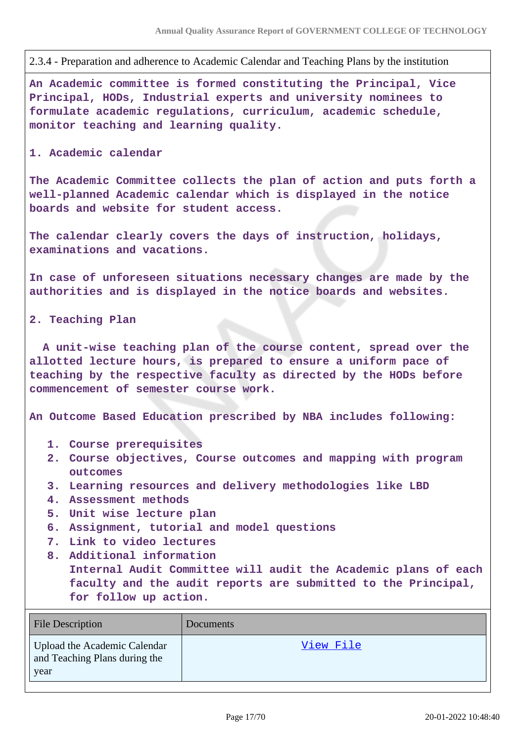2.3.4 - Preparation and adherence to Academic Calendar and Teaching Plans by the institution

**An Academic committee is formed constituting the Principal, Vice Principal, HODs, Industrial experts and university nominees to formulate academic regulations, curriculum, academic schedule, monitor teaching and learning quality.** 

#### **1. Academic calendar**

**The Academic Committee collects the plan of action and puts forth a well-planned Academic calendar which is displayed in the notice boards and website for student access.**

**The calendar clearly covers the days of instruction, holidays, examinations and vacations.**

**In case of unforeseen situations necessary changes are made by the authorities and is displayed in the notice boards and websites.**

**2. Teaching Plan**

 **A unit-wise teaching plan of the course content, spread over the allotted lecture hours, is prepared to ensure a uniform pace of teaching by the respective faculty as directed by the HODs before commencement of semester course work.** 

**An Outcome Based Education prescribed by NBA includes following:**

- **1. Course prerequisites**
- **2. Course objectives, Course outcomes and mapping with program outcomes**
- **3. Learning resources and delivery methodologies like LBD**
- **4. Assessment methods**
- **5. Unit wise lecture plan**
- **6. Assignment, tutorial and model questions**
- **7. Link to video lectures**
- **8. Additional information**

**Internal Audit Committee will audit the Academic plans of each faculty and the audit reports are submitted to the Principal, for follow up action.**

| File Description                                                      | <b>Documents</b> |
|-----------------------------------------------------------------------|------------------|
| Upload the Academic Calendar<br>and Teaching Plans during the<br>year | View File        |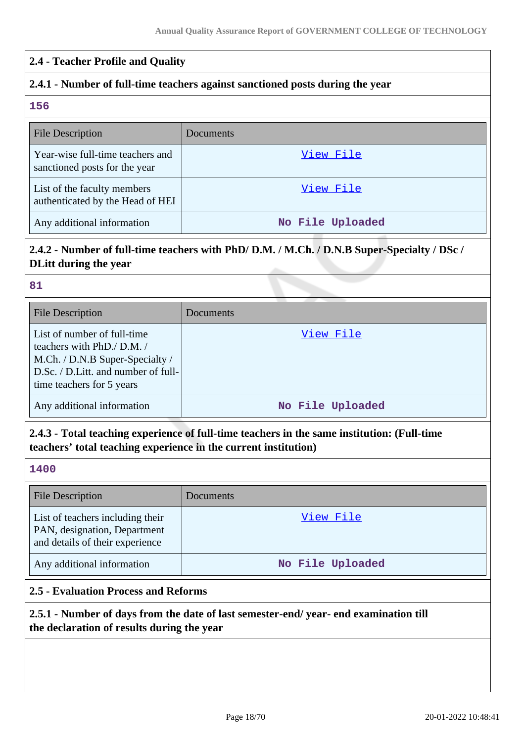| 2.4 - Teacher Profile and Quality                                                                                                                                |                                                                                             |
|------------------------------------------------------------------------------------------------------------------------------------------------------------------|---------------------------------------------------------------------------------------------|
| 2.4.1 - Number of full-time teachers against sanctioned posts during the year                                                                                    |                                                                                             |
| 156                                                                                                                                                              |                                                                                             |
| <b>File Description</b>                                                                                                                                          | Documents                                                                                   |
| Year-wise full-time teachers and<br>sanctioned posts for the year                                                                                                | View File                                                                                   |
| List of the faculty members<br>authenticated by the Head of HEI                                                                                                  | View File                                                                                   |
| Any additional information                                                                                                                                       | No File Uploaded                                                                            |
| 2.4.2 - Number of full-time teachers with PhD/D.M. / M.Ch. / D.N.B Super-Specialty / DSc /<br><b>DLitt during the year</b>                                       |                                                                                             |
| 81                                                                                                                                                               |                                                                                             |
| <b>File Description</b>                                                                                                                                          | <b>Documents</b>                                                                            |
| List of number of full-time<br>teachers with PhD./ D.M. /<br>M.Ch. / D.N.B Super-Specialty /<br>D.Sc. / D.Litt. and number of full-<br>time teachers for 5 years | View File                                                                                   |
| Any additional information                                                                                                                                       | No File Uploaded                                                                            |
| teachers' total teaching experience in the current institution)                                                                                                  | 2.4.3 - Total teaching experience of full-time teachers in the same institution: (Full-time |
| 1400                                                                                                                                                             |                                                                                             |
| <b>File Description</b>                                                                                                                                          | Documents                                                                                   |
| List of teachers including their<br>PAN, designation, Department<br>and details of their experience                                                              | View File                                                                                   |
| Any additional information                                                                                                                                       | No File Uploaded                                                                            |

### **2.5 - Evaluation Process and Reforms**

# **2.5.1 - Number of days from the date of last semester-end/ year- end examination till the declaration of results during the year**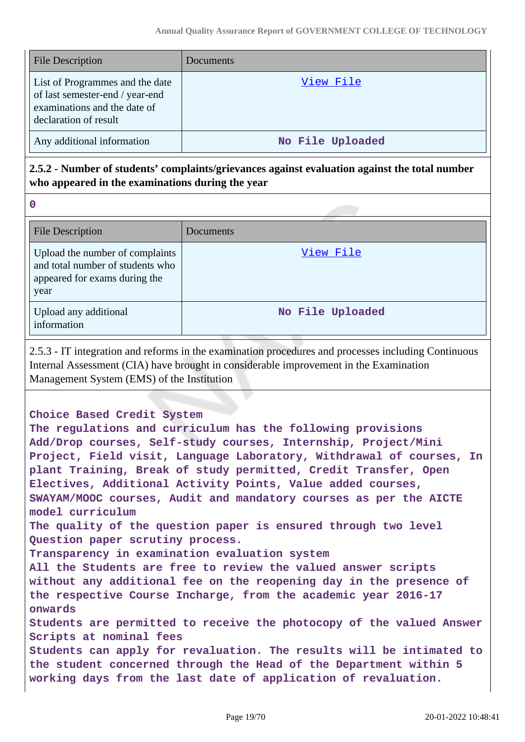| <b>File Description</b>                                                                                                     | Documents        |
|-----------------------------------------------------------------------------------------------------------------------------|------------------|
| List of Programmes and the date<br>of last semester-end / year-end<br>examinations and the date of<br>declaration of result | View File        |
| Any additional information                                                                                                  | No File Uploaded |

# **2.5.2 - Number of students' complaints/grievances against evaluation against the total number who appeared in the examinations during the year**

**0**

| <b>File Description</b>                                                                                      | Documents        |
|--------------------------------------------------------------------------------------------------------------|------------------|
| Upload the number of complaints<br>and total number of students who<br>appeared for exams during the<br>year | View File        |
| Upload any additional<br>information                                                                         | No File Uploaded |

2.5.3 - IT integration and reforms in the examination procedures and processes including Continuous Internal Assessment (CIA) have brought in considerable improvement in the Examination Management System (EMS) of the Institution

### **Choice Based Credit System**

**The regulations and curriculum has the following provisions Add/Drop courses, Self-study courses, Internship, Project/Mini Project, Field visit, Language Laboratory, Withdrawal of courses, In plant Training, Break of study permitted, Credit Transfer, Open Electives, Additional Activity Points, Value added courses, SWAYAM/MOOC courses, Audit and mandatory courses as per the AICTE model curriculum The quality of the question paper is ensured through two level Question paper scrutiny process. Transparency in examination evaluation system All the Students are free to review the valued answer scripts without any additional fee on the reopening day in the presence of the respective Course Incharge, from the academic year 2016-17 onwards Students are permitted to receive the photocopy of the valued Answer Scripts at nominal fees Students can apply for revaluation. The results will be intimated to the student concerned through the Head of the Department within 5 working days from the last date of application of revaluation.**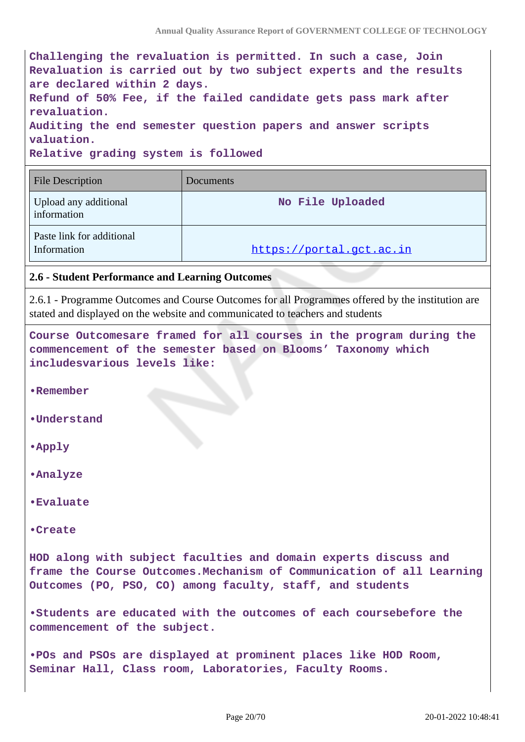|                                                              | Challenging the revaluation is permitted. In such a case, Join    |
|--------------------------------------------------------------|-------------------------------------------------------------------|
|                                                              | Revaluation is carried out by two subject experts and the results |
| are declared within 2 days.                                  |                                                                   |
|                                                              | Refund of 50% Fee, if the failed candidate gets pass mark after   |
| revaluation.                                                 |                                                                   |
| Auditing the end semester question papers and answer scripts |                                                                   |
| valuation.                                                   |                                                                   |
| Relative grading system is followed                          |                                                                   |
|                                                              |                                                                   |
| <b>File Description</b>                                      | Documents                                                         |
|                                                              |                                                                   |

| Upload any additional<br>information     | No File Uploaded         |
|------------------------------------------|--------------------------|
| Paste link for additional<br>Information | https://portal.gct.ac.in |

#### **2.6 - Student Performance and Learning Outcomes**

2.6.1 - Programme Outcomes and Course Outcomes for all Programmes offered by the institution are stated and displayed on the website and communicated to teachers and students

**Course Outcomesare framed for all courses in the program during the commencement of the semester based on Blooms' Taxonomy which includesvarious levels like:**

**•Remember**

**•Understand**

**•Apply**

**•Analyze**

**•Evaluate**

**•Create**

**HOD along with subject faculties and domain experts discuss and frame the Course Outcomes.Mechanism of Communication of all Learning Outcomes (PO, PSO, CO) among faculty, staff, and students**

**•Students are educated with the outcomes of each coursebefore the commencement of the subject.**

**•POs and PSOs are displayed at prominent places like HOD Room, Seminar Hall, Class room, Laboratories, Faculty Rooms.**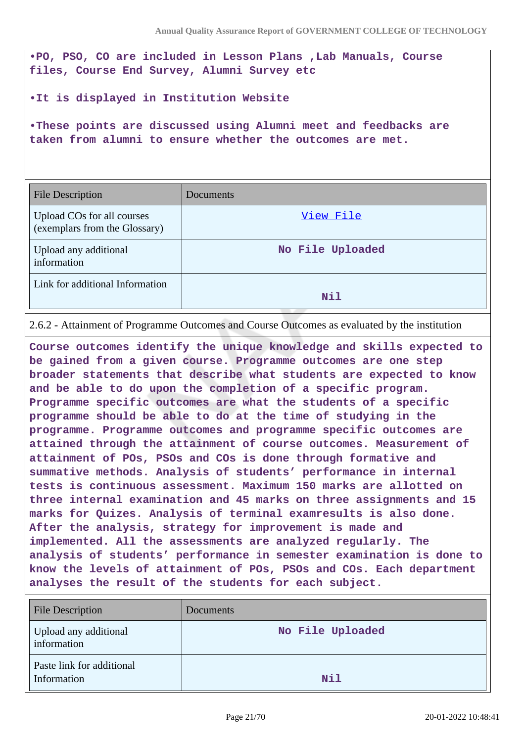**•PO, PSO, CO are included in Lesson Plans ,Lab Manuals, Course files, Course End Survey, Alumni Survey etc**

**•It is displayed in Institution Website** 

**•These points are discussed using Alumni meet and feedbacks are taken from alumni to ensure whether the outcomes are met.**

| <b>File Description</b>                                     | Documents        |
|-------------------------------------------------------------|------------------|
| Upload COs for all courses<br>(exemplars from the Glossary) | View File        |
| Upload any additional<br>information                        | No File Uploaded |
| Link for additional Information                             | Nil              |

2.6.2 - Attainment of Programme Outcomes and Course Outcomes as evaluated by the institution

**Course outcomes identify the unique knowledge and skills expected to be gained from a given course. Programme outcomes are one step broader statements that describe what students are expected to know and be able to do upon the completion of a specific program. Programme specific outcomes are what the students of a specific programme should be able to do at the time of studying in the programme. Programme outcomes and programme specific outcomes are attained through the attainment of course outcomes. Measurement of attainment of POs, PSOs and COs is done through formative and summative methods. Analysis of students' performance in internal tests is continuous assessment. Maximum 150 marks are allotted on three internal examination and 45 marks on three assignments and 15 marks for Quizes. Analysis of terminal examresults is also done. After the analysis, strategy for improvement is made and implemented. All the assessments are analyzed regularly. The analysis of students' performance in semester examination is done to know the levels of attainment of POs, PSOs and COs. Each department analyses the result of the students for each subject.** 

| <b>File Description</b>                  | <b>Documents</b> |
|------------------------------------------|------------------|
| Upload any additional<br>information     | No File Uploaded |
| Paste link for additional<br>Information | Nil              |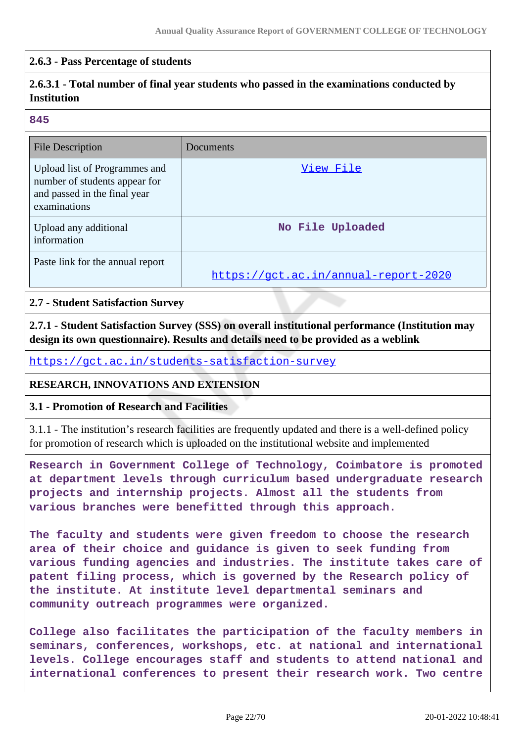### **2.6.3 - Pass Percentage of students**

# **2.6.3.1 - Total number of final year students who passed in the examinations conducted by Institution**

#### **845**

| <b>File Description</b>                                                                                        | Documents                            |
|----------------------------------------------------------------------------------------------------------------|--------------------------------------|
| Upload list of Programmes and<br>number of students appear for<br>and passed in the final year<br>examinations | View File                            |
| Upload any additional<br>information                                                                           | No File Uploaded                     |
| Paste link for the annual report                                                                               | https://gct.ac.in/annual-report-2020 |

### **2.7 - Student Satisfaction Survey**

**2.7.1 - Student Satisfaction Survey (SSS) on overall institutional performance (Institution may design its own questionnaire). Results and details need to be provided as a weblink**

<https://gct.ac.in/students-satisfaction-survey>

### **RESEARCH, INNOVATIONS AND EXTENSION**

#### **3.1 - Promotion of Research and Facilities**

3.1.1 - The institution's research facilities are frequently updated and there is a well-defined policy for promotion of research which is uploaded on the institutional website and implemented

**Research in Government College of Technology, Coimbatore is promoted at department levels through curriculum based undergraduate research projects and internship projects. Almost all the students from various branches were benefitted through this approach.**

**The faculty and students were given freedom to choose the research area of their choice and guidance is given to seek funding from various funding agencies and industries. The institute takes care of patent filing process, which is governed by the Research policy of the institute. At institute level departmental seminars and community outreach programmes were organized.**

**College also facilitates the participation of the faculty members in seminars, conferences, workshops, etc. at national and international levels. College encourages staff and students to attend national and international conferences to present their research work. Two centre**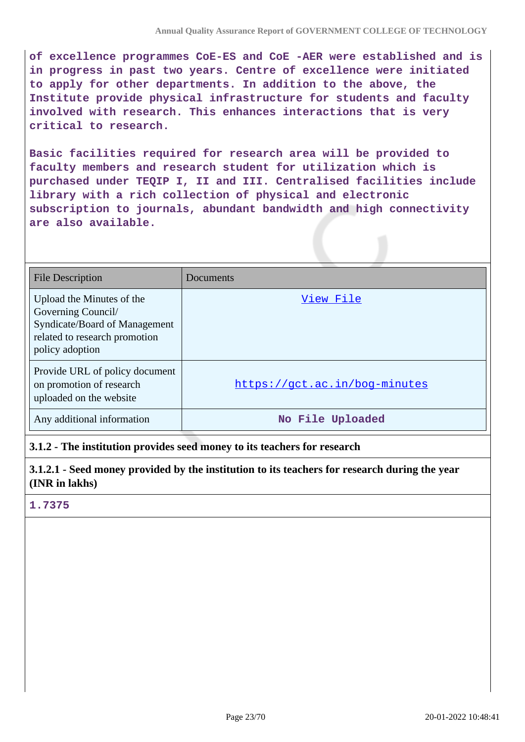**of excellence programmes CoE-ES and CoE -AER were established and is in progress in past two years. Centre of excellence were initiated to apply for other departments. In addition to the above, the Institute provide physical infrastructure for students and faculty involved with research. This enhances interactions that is very critical to research.**

**Basic facilities required for research area will be provided to faculty members and research student for utilization which is purchased under TEQIP I, II and III. Centralised facilities include library with a rich collection of physical and electronic subscription to journals, abundant bandwidth and high connectivity are also available.**

| <b>File Description</b>                                                                                                              | Documents                     |
|--------------------------------------------------------------------------------------------------------------------------------------|-------------------------------|
| Upload the Minutes of the<br>Governing Council/<br>Syndicate/Board of Management<br>related to research promotion<br>policy adoption | View File                     |
| Provide URL of policy document<br>on promotion of research<br>uploaded on the website                                                | https://gct.ac.in/bog-minutes |
| Any additional information                                                                                                           | No File Uploaded              |

**3.1.2 - The institution provides seed money to its teachers for research**

**3.1.2.1 - Seed money provided by the institution to its teachers for research during the year (INR in lakhs)**

# **1.7375**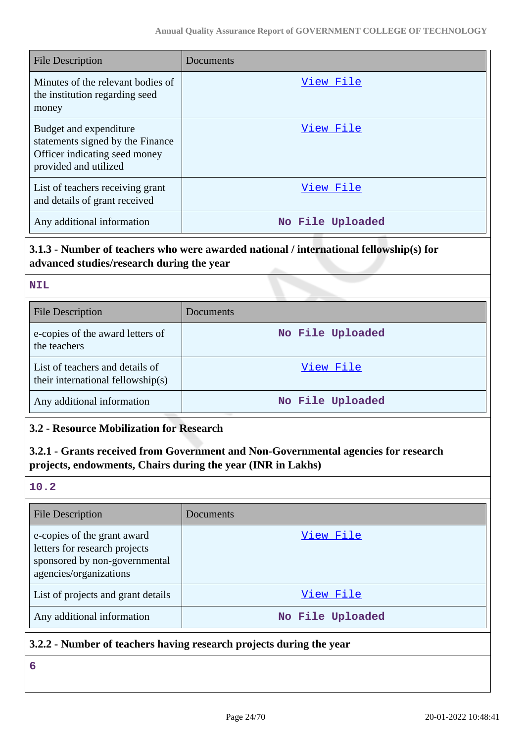| <b>File Description</b>                                                                                              | Documents        |
|----------------------------------------------------------------------------------------------------------------------|------------------|
| Minutes of the relevant bodies of<br>the institution regarding seed<br>money                                         | View File        |
| Budget and expenditure<br>statements signed by the Finance<br>Officer indicating seed money<br>provided and utilized | View File        |
| List of teachers receiving grant<br>and details of grant received                                                    | View File        |
| Any additional information                                                                                           | No File Uploaded |

# **3.1.3 - Number of teachers who were awarded national / international fellowship(s) for advanced studies/research during the year**

| <b>File Description</b>                                              | Documents        |
|----------------------------------------------------------------------|------------------|
| e-copies of the award letters of<br>the teachers                     | No File Uploaded |
| List of teachers and details of<br>their international fellowship(s) | View File        |
| Any additional information                                           | No File Uploaded |

# **3.2 - Resource Mobilization for Research**

# **3.2.1 - Grants received from Government and Non-Governmental agencies for research projects, endowments, Chairs during the year (INR in Lakhs)**

### **10.2**

**NIL**

| File Description                                                                                                        | Documents        |
|-------------------------------------------------------------------------------------------------------------------------|------------------|
| e-copies of the grant award<br>letters for research projects<br>sponsored by non-governmental<br>agencies/organizations | View File        |
| List of projects and grant details                                                                                      | View File        |
| Any additional information                                                                                              | No File Uploaded |

# **3.2.2 - Number of teachers having research projects during the year**

**6**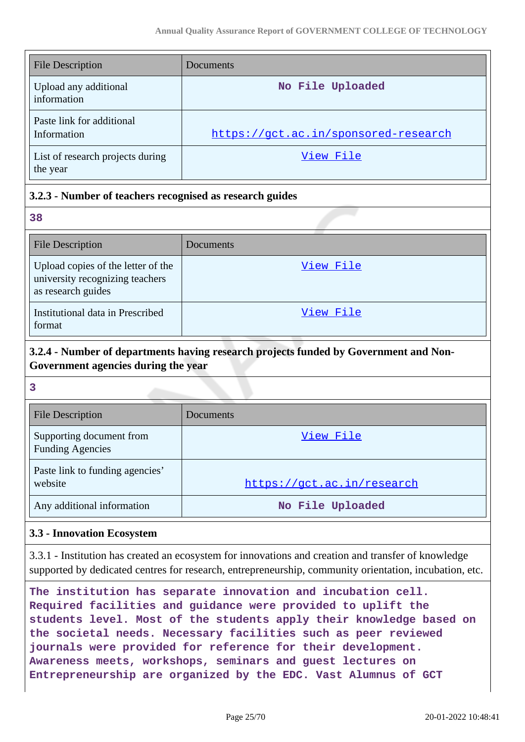| <b>File Description</b>                      | Documents                            |
|----------------------------------------------|--------------------------------------|
| Upload any additional<br>information         | No File Uploaded                     |
| Paste link for additional<br>Information     | https://gct.ac.in/sponsored-research |
| List of research projects during<br>the year | View File                            |

# **3.2.3 - Number of teachers recognised as research guides**

**38**

| <b>File Description</b>                                                                     | Documents |
|---------------------------------------------------------------------------------------------|-----------|
| Upload copies of the letter of the<br>university recognizing teachers<br>as research guides | View File |
| Institutional data in Prescribed<br>format                                                  | View File |

# **3.2.4 - Number of departments having research projects funded by Government and Non-Government agencies during the year**

**3**

| <b>File Description</b>                             | Documents                  |
|-----------------------------------------------------|----------------------------|
| Supporting document from<br><b>Funding Agencies</b> | View File                  |
| Paste link to funding agencies'<br>website          | https://gct.ac.in/research |
| Any additional information                          | No File Uploaded           |

### **3.3 - Innovation Ecosystem**

3.3.1 - Institution has created an ecosystem for innovations and creation and transfer of knowledge supported by dedicated centres for research, entrepreneurship, community orientation, incubation, etc.

**The institution has separate innovation and incubation cell. Required facilities and guidance were provided to uplift the students level. Most of the students apply their knowledge based on the societal needs. Necessary facilities such as peer reviewed journals were provided for reference for their development. Awareness meets, workshops, seminars and guest lectures on Entrepreneurship are organized by the EDC. Vast Alumnus of GCT**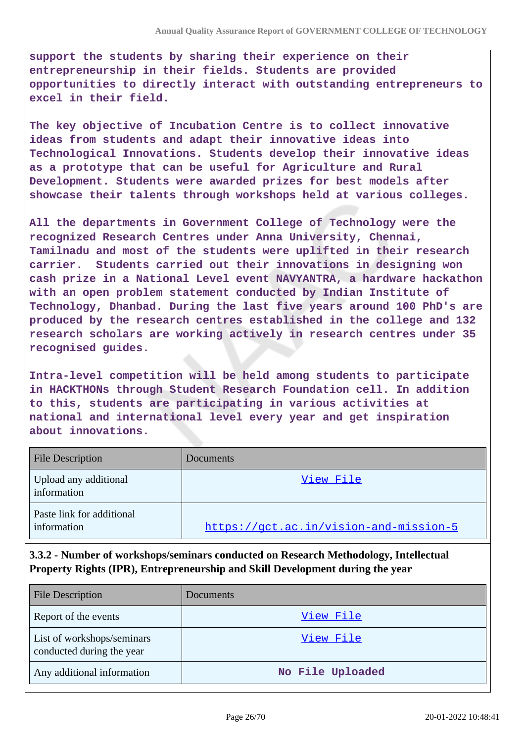**support the students by sharing their experience on their entrepreneurship in their fields. Students are provided opportunities to directly interact with outstanding entrepreneurs to excel in their field.**

**The key objective of Incubation Centre is to collect innovative ideas from students and adapt their innovative ideas into Technological Innovations. Students develop their innovative ideas as a prototype that can be useful for Agriculture and Rural Development. Students were awarded prizes for best models after showcase their talents through workshops held at various colleges.**

**All the departments in Government College of Technology were the recognized Research Centres under Anna University, Chennai, Tamilnadu and most of the students were uplifted in their research carrier. Students carried out their innovations in designing won cash prize in a National Level event NAVYANTRA, a hardware hackathon with an open problem statement conducted by Indian Institute of Technology, Dhanbad. During the last five years around 100 PhD's are produced by the research centres established in the college and 132 research scholars are working actively in research centres under 35 recognised guides.**

**Intra-level competition will be held among students to participate in HACKTHONs through Student Research Foundation cell. In addition to this, students are participating in various activities at national and international level every year and get inspiration about innovations.**

| <b>File Description</b>                  | Documents                              |
|------------------------------------------|----------------------------------------|
| Upload any additional<br>information     | View File                              |
| Paste link for additional<br>information | https://gct.ac.in/vision-and-mission-5 |

# **3.3.2 - Number of workshops/seminars conducted on Research Methodology, Intellectual Property Rights (IPR), Entrepreneurship and Skill Development during the year**

| <b>File Description</b>                                 | Documents        |  |
|---------------------------------------------------------|------------------|--|
| Report of the events                                    | View File        |  |
| List of workshops/seminars<br>conducted during the year | View File        |  |
| Any additional information                              | No File Uploaded |  |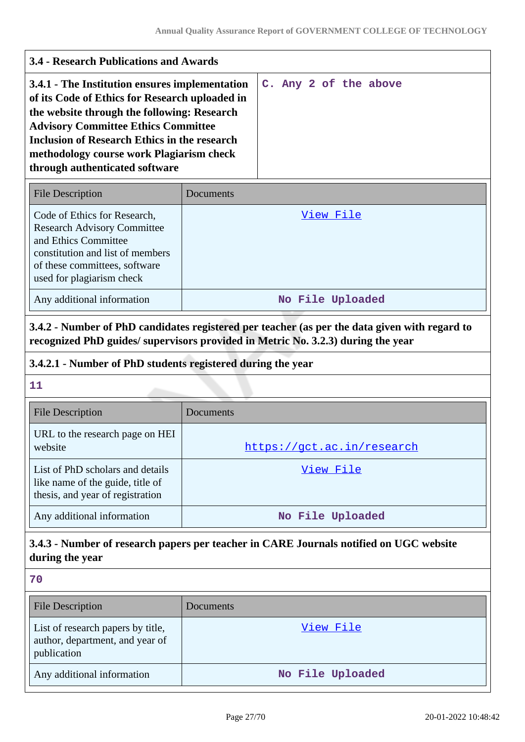| <b>3.4 - Research Publications and Awards</b>                                                                                                                                                                                                                                                                                      |                            |                                                                                  |
|------------------------------------------------------------------------------------------------------------------------------------------------------------------------------------------------------------------------------------------------------------------------------------------------------------------------------------|----------------------------|----------------------------------------------------------------------------------|
| 3.4.1 - The Institution ensures implementation<br>of its Code of Ethics for Research uploaded in<br>the website through the following: Research<br><b>Advisory Committee Ethics Committee</b><br><b>Inclusion of Research Ethics in the research</b><br>methodology course work Plagiarism check<br>through authenticated software |                            | C. Any 2 of the above                                                            |
| <b>File Description</b>                                                                                                                                                                                                                                                                                                            | Documents                  |                                                                                  |
| Code of Ethics for Research,<br><b>Research Advisory Committee</b><br>and Ethics Committee<br>constitution and list of members<br>of these committees, software<br>used for plagiarism check                                                                                                                                       | <u>View File</u>           |                                                                                  |
| Any additional information                                                                                                                                                                                                                                                                                                         |                            | No File Uploaded                                                                 |
| 3.4.2.1 - Number of PhD students registered during the year<br>11                                                                                                                                                                                                                                                                  |                            | recognized PhD guides/ supervisors provided in Metric No. 3.2.3) during the year |
| <b>File Description</b>                                                                                                                                                                                                                                                                                                            | Documents                  |                                                                                  |
| URL to the research page on HEI<br>website                                                                                                                                                                                                                                                                                         | https://gct.ac.in/research |                                                                                  |
| List of PhD scholars and details<br>like name of the guide, title of<br>thesis, and year of registration                                                                                                                                                                                                                           | <u>View File</u>           |                                                                                  |
| Any additional information                                                                                                                                                                                                                                                                                                         | No File Uploaded           |                                                                                  |
| 3.4.3 - Number of research papers per teacher in CARE Journals notified on UGC website<br>during the year                                                                                                                                                                                                                          |                            |                                                                                  |
| 70                                                                                                                                                                                                                                                                                                                                 |                            |                                                                                  |
| <b>File Description</b>                                                                                                                                                                                                                                                                                                            | Documents                  |                                                                                  |
| List of research papers by title,<br>author, department, and year of<br>publication                                                                                                                                                                                                                                                |                            | <u>View File</u>                                                                 |
| Any additional information                                                                                                                                                                                                                                                                                                         | No File Uploaded           |                                                                                  |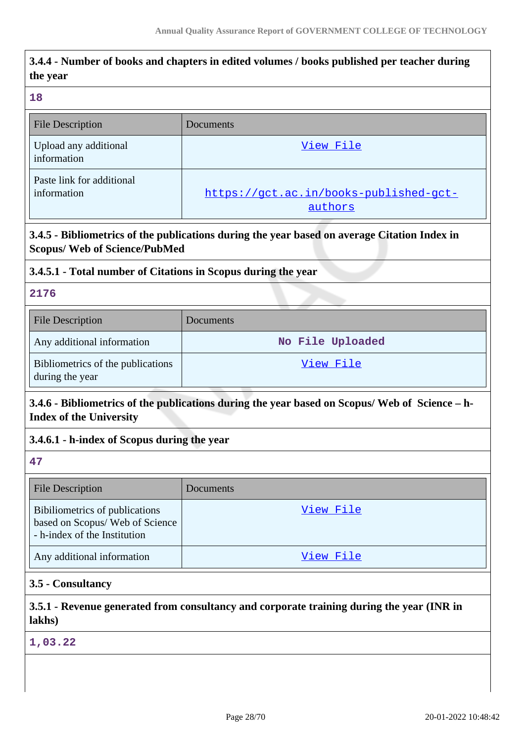# **3.4.4 - Number of books and chapters in edited volumes / books published per teacher during the year 18** File Description Documents Upload any additional information [View File](https://assessmentonline.naac.gov.in/storage/app/public/aqar/15067/15067_241_552.xlsx) Paste link for additional information https://gct.ac.in/books-published-gctauthors **3.4.5 - Bibliometrics of the publications during the year based on average Citation Index in Scopus/ Web of Science/PubMed 3.4.5.1 - Total number of Citations in Scopus during the year 2176** File Description Documents Any additional information **No File Uploaded** Bibliometrics of the publications during the year [View File](https://assessmentonline.naac.gov.in/storage/app/public/aqar/15067/15067_242_555.pdf) **3.4.6 - Bibliometrics of the publications during the year based on Scopus/ Web of Science – h-Index of the University 3.4.6.1 - h-index of Scopus during the year 47** File Description Documents Bibiliometrics of publications based on Scopus/ Web of Science - h-index of the Institution [View File](https://assessmentonline.naac.gov.in/storage/app/public/aqar/15067/15067_243_556.pdf) Any additional information and the state of the [View File](https://assessmentonline.naac.gov.in/storage/app/public/aqar/15067/15067_243_557.pdf) **3.5 - Consultancy**

# **3.5.1 - Revenue generated from consultancy and corporate training during the year (INR in lakhs)**

**1,03.22**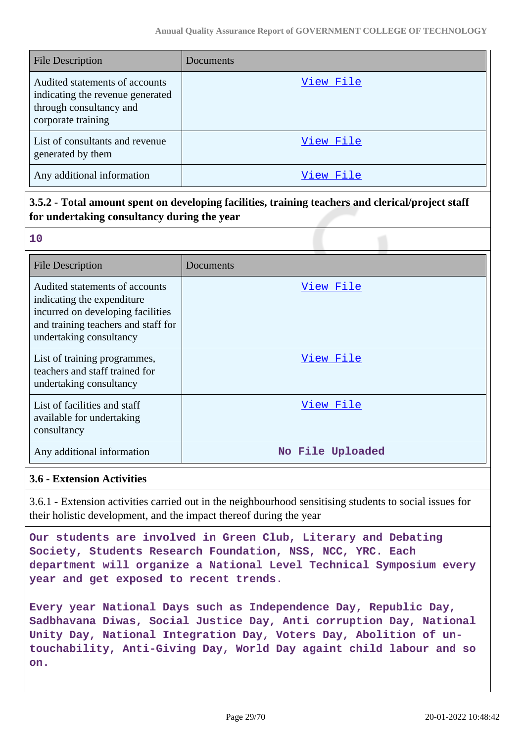| <b>File Description</b>                                                                                             | Documents |
|---------------------------------------------------------------------------------------------------------------------|-----------|
| Audited statements of accounts<br>indicating the revenue generated<br>through consultancy and<br>corporate training | View File |
| List of consultants and revenue<br>generated by them                                                                | View File |
| Any additional information                                                                                          | View File |

# **3.5.2 - Total amount spent on developing facilities, training teachers and clerical/project staff for undertaking consultancy during the year**

|            | w      |
|------------|--------|
| e e        |        |
| $\sqrt{2}$ |        |
|            | ×<br>w |
|            |        |

| <b>File Description</b>                                                                                                                                             | Documents        |
|---------------------------------------------------------------------------------------------------------------------------------------------------------------------|------------------|
| Audited statements of accounts<br>indicating the expenditure<br>incurred on developing facilities<br>and training teachers and staff for<br>undertaking consultancy | View File        |
| List of training programmes,<br>teachers and staff trained for<br>undertaking consultancy                                                                           | View File        |
| List of facilities and staff<br>available for undertaking<br>consultancy                                                                                            | View File        |
| Any additional information                                                                                                                                          | No File Uploaded |

# **3.6 - Extension Activities**

3.6.1 - Extension activities carried out in the neighbourhood sensitising students to social issues for their holistic development, and the impact thereof during the year

**Our students are involved in Green Club, Literary and Debating Society, Students Research Foundation, NSS, NCC, YRC. Each department will organize a National Level Technical Symposium every year and get exposed to recent trends.**

**Every year National Days such as Independence Day, Republic Day, Sadbhavana Diwas, Social Justice Day, Anti corruption Day, National Unity Day, National Integration Day, Voters Day, Abolition of untouchability, Anti-Giving Day, World Day againt child labour and so on.**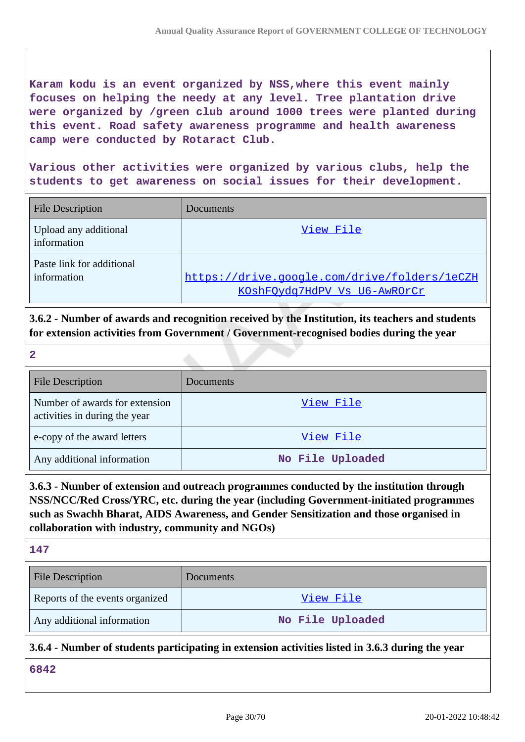**Karam kodu is an event organized by NSS,where this event mainly focuses on helping the needy at any level. Tree plantation drive were organized by /green club around 1000 trees were planted during this event. Road safety awareness programme and health awareness camp were conducted by Rotaract Club.**

**Various other activities were organized by various clubs, help the students to get awareness on social issues for their development.**

| <b>File Description</b>                  | Documents                                                                    |
|------------------------------------------|------------------------------------------------------------------------------|
| Upload any additional<br>information     | View File                                                                    |
| Paste link for additional<br>information | https://drive.google.com/drive/folders/1eCZH<br>KOshFOydq7HdPV Vs U6-AwROrCr |

**3.6.2 - Number of awards and recognition received by the Institution, its teachers and students for extension activities from Government / Government-recognised bodies during the year**

**2**

| <b>File Description</b>                                         | Documents        |
|-----------------------------------------------------------------|------------------|
| Number of awards for extension<br>activities in during the year | View File        |
| e-copy of the award letters                                     | View File        |
| Any additional information                                      | No File Uploaded |

# **3.6.3 - Number of extension and outreach programmes conducted by the institution through NSS/NCC/Red Cross/YRC, etc. during the year (including Government-initiated programmes such as Swachh Bharat, AIDS Awareness, and Gender Sensitization and those organised in collaboration with industry, community and NGOs)**

| e e |  |
|-----|--|
|     |  |

| <b>File Description</b>         | <b>Documents</b> |
|---------------------------------|------------------|
| Reports of the events organized | View File        |
| Any additional information      | No File Uploaded |

#### **3.6.4 - Number of students participating in extension activities listed in 3.6.3 during the year**

**6842**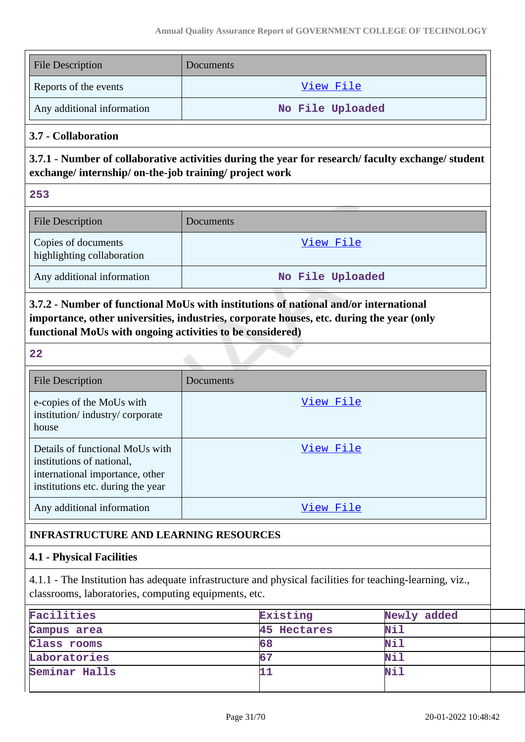| <b>File Description</b>                                                                                                                                     | Documents        |  |  |  |
|-------------------------------------------------------------------------------------------------------------------------------------------------------------|------------------|--|--|--|
| Reports of the events                                                                                                                                       | View File        |  |  |  |
| Any additional information                                                                                                                                  | No File Uploaded |  |  |  |
| 3.7 - Collaboration                                                                                                                                         |                  |  |  |  |
| 3.7.1 - Number of collaborative activities during the year for research/faculty exchange/student<br>exchange/internship/on-the-job training/project work    |                  |  |  |  |
| 253                                                                                                                                                         |                  |  |  |  |
| <b>File Description</b>                                                                                                                                     | Documents        |  |  |  |
| Copies of documents<br>highlighting collaboration                                                                                                           | View File        |  |  |  |
| Any additional information                                                                                                                                  | No File Uploaded |  |  |  |
| importance, other universities, industries, corporate houses, etc. during the year (only<br>functional MoUs with ongoing activities to be considered)<br>22 |                  |  |  |  |
| <b>File Description</b>                                                                                                                                     | Documents        |  |  |  |
| e-copies of the MoUs with<br>institution/industry/corporate<br>house                                                                                        | View File        |  |  |  |
| Details of functional MoUs with<br>institutions of national,<br>international importance, other<br>institutions etc. during the year                        | View File        |  |  |  |
| Any additional information                                                                                                                                  | View File        |  |  |  |
| <b>INFRASTRUCTURE AND LEARNING RESOURCES</b>                                                                                                                |                  |  |  |  |
|                                                                                                                                                             |                  |  |  |  |
| <b>4.1 - Physical Facilities</b>                                                                                                                            |                  |  |  |  |

4.1.1 - The Institution has adequate infrastructure and physical facilities for teaching-learning, viz., classrooms, laboratories, computing equipments, etc.

| Facilities    | Existing    | Newly added |  |
|---------------|-------------|-------------|--|
| Campus area   | 45 Hectares | <b>Nil</b>  |  |
| Class rooms   | 68          | <b>Nil</b>  |  |
| Laboratories  |             | Nil         |  |
| Seminar Halls |             | Nil         |  |
|               |             |             |  |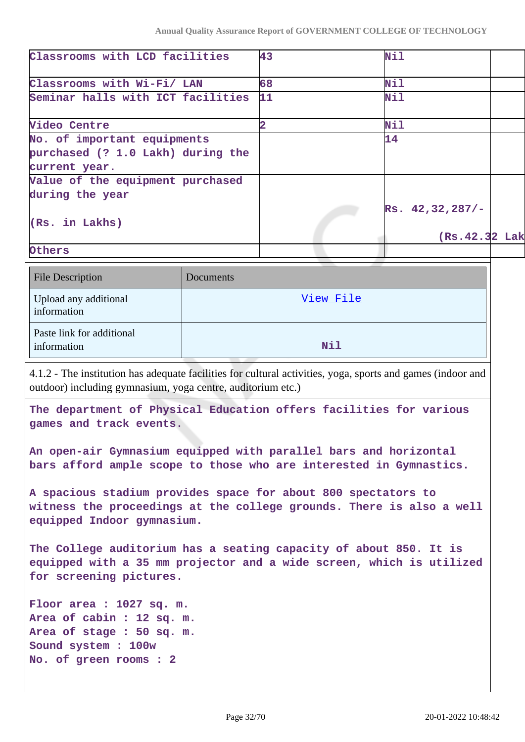| Classrooms with LCD facilities                                                                              |           | 43                      | Nil                  |  |
|-------------------------------------------------------------------------------------------------------------|-----------|-------------------------|----------------------|--|
| Classrooms with Wi-Fi/ LAN                                                                                  |           | 68                      | Nil                  |  |
| Seminar halls with ICT facilities                                                                           |           | 11                      | <b>Nil</b>           |  |
|                                                                                                             |           |                         |                      |  |
| Video Centre                                                                                                |           | $\overline{\mathbf{2}}$ | Nil                  |  |
| No. of important equipments                                                                                 |           |                         | 14                   |  |
| purchased (? 1.0 Lakh) during the                                                                           |           |                         |                      |  |
| current year.                                                                                               |           |                         |                      |  |
| Value of the equipment purchased                                                                            |           |                         |                      |  |
| during the year                                                                                             |           |                         | $Rs. 42, 32, 287/$ - |  |
| (Rs. in Lakhs)                                                                                              |           |                         |                      |  |
|                                                                                                             |           |                         | (Rs. 42.32 Lak       |  |
| Others                                                                                                      |           |                         |                      |  |
|                                                                                                             |           |                         |                      |  |
| <b>File Description</b>                                                                                     | Documents |                         |                      |  |
| Upload any additional                                                                                       |           | View File               |                      |  |
| information                                                                                                 |           |                         |                      |  |
| Paste link for additional                                                                                   |           |                         |                      |  |
| information                                                                                                 |           | Nil                     |                      |  |
|                                                                                                             |           |                         |                      |  |
| 4.1.2 - The institution has adequate facilities for cultural activities, yoga, sports and games (indoor and |           |                         |                      |  |
| outdoor) including gymnasium, yoga centre, auditorium etc.)                                                 |           |                         |                      |  |
| The department of Physical Education offers facilities for various                                          |           |                         |                      |  |
| games and track events.                                                                                     |           |                         |                      |  |
|                                                                                                             |           |                         |                      |  |
| An open-air Gymnasium equipped with parallel bars and horizontal                                            |           |                         |                      |  |
| bars afford ample scope to those who are interested in Gymnastics.                                          |           |                         |                      |  |
|                                                                                                             |           |                         |                      |  |
| A spacious stadium provides space for about 800 spectators to                                               |           |                         |                      |  |
| witness the proceedings at the college grounds. There is also a well                                        |           |                         |                      |  |
| equipped Indoor gymnasium.                                                                                  |           |                         |                      |  |
| The College auditorium has a seating capacity of about 850. It is                                           |           |                         |                      |  |
| equipped with a 35 mm projector and a wide screen, which is utilized                                        |           |                         |                      |  |
| for screening pictures.                                                                                     |           |                         |                      |  |
|                                                                                                             |           |                         |                      |  |
| Floor area : 1027 sq. m.                                                                                    |           |                         |                      |  |
| Area of cabin : 12 sq. m.                                                                                   |           |                         |                      |  |
| Area of stage : 50 sq. m.                                                                                   |           |                         |                      |  |
| Sound system : 100w                                                                                         |           |                         |                      |  |

**No. of green rooms : 2**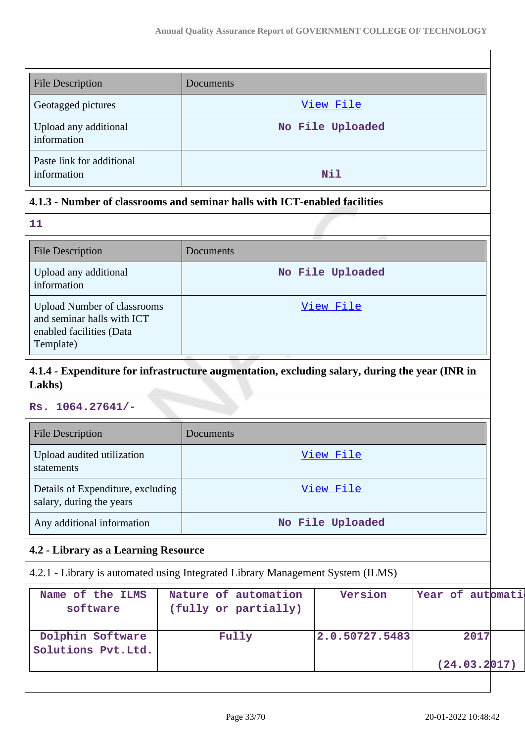| <b>File Description</b>                  | Documents        |
|------------------------------------------|------------------|
| Geotagged pictures                       | View File        |
| Upload any additional<br>information     | No File Uploaded |
| Paste link for additional<br>information | <b>Nil</b>       |

# **4.1.3 - Number of classrooms and seminar halls with ICT-enabled facilities**

| 11                                                                                                        |                  |
|-----------------------------------------------------------------------------------------------------------|------------------|
| <b>File Description</b>                                                                                   | Documents        |
| Upload any additional<br>information                                                                      | No File Uploaded |
| <b>Upload Number of classrooms</b><br>and seminar halls with ICT<br>enabled facilities (Data<br>Template) | View File        |

# **4.1.4 - Expenditure for infrastructure augmentation, excluding salary, during the year (INR in Lakhs)**

**Rs. 1064.27641/-**

| <b>File Description</b>                                       | Documents        |
|---------------------------------------------------------------|------------------|
| Upload audited utilization<br>statements                      | View File        |
| Details of Expenditure, excluding<br>salary, during the years | View File        |
| Any additional information                                    | No File Uploaded |

# **4.2 - Library as a Learning Resource**

4.2.1 - Library is automated using Integrated Library Management System (ILMS)

| Name of the ILMS<br>software           | Nature of automation<br>(fully or partially) | Version        | Year of automati      |  |
|----------------------------------------|----------------------------------------------|----------------|-----------------------|--|
| Dolphin Software<br>Solutions Pvt.Ltd. | Fully                                        | 2.0.50727.5483 | 2017<br>(24.03.2 017) |  |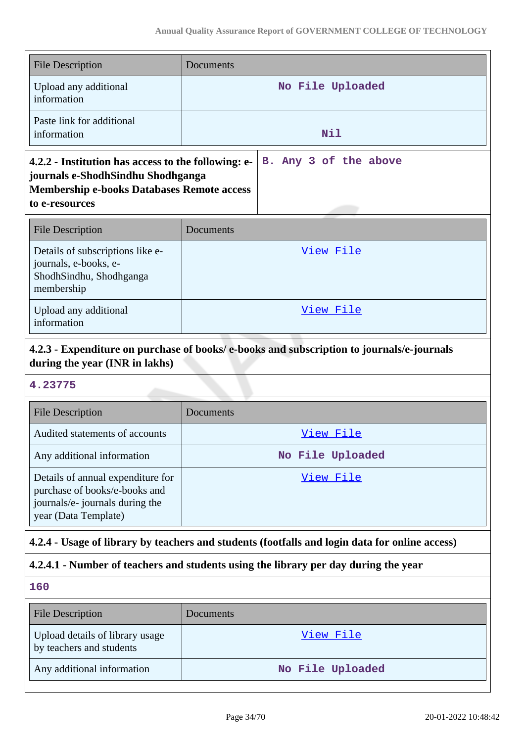| <b>File Description</b>                                                                                                                                         | Documents             |  |
|-----------------------------------------------------------------------------------------------------------------------------------------------------------------|-----------------------|--|
| Upload any additional<br>information                                                                                                                            | No File Uploaded      |  |
| Paste link for additional<br>information                                                                                                                        | Nil                   |  |
| 4.2.2 - Institution has access to the following: e-<br>journals e-ShodhSindhu Shodhganga<br><b>Membership e-books Databases Remote access</b><br>to e-resources | B. Any 3 of the above |  |
| <b>File Description</b>                                                                                                                                         | Documents             |  |
| Details of subscriptions like e-<br>journals, e-books, e-<br>ShodhSindhu, Shodhganga<br>membership                                                              | View File             |  |
| Upload any additional<br>information                                                                                                                            | View File             |  |
| 4.2.3 - Expenditure on purchase of books/e-books and subscription to journals/e-journals<br>during the year (INR in lakhs)                                      |                       |  |
| 4.23775                                                                                                                                                         |                       |  |

| <b>File Description</b>                                                                                                       | Documents        |
|-------------------------------------------------------------------------------------------------------------------------------|------------------|
| Audited statements of accounts                                                                                                | View File        |
| Any additional information                                                                                                    | No File Uploaded |
| Details of annual expenditure for<br>purchase of books/e-books and<br>journals/e- journals during the<br>year (Data Template) | View File        |

# **4.2.4 - Usage of library by teachers and students (footfalls and login data for online access)**

# **4.2.4.1 - Number of teachers and students using the library per day during the year**

# **160**

| File Description                                            | <b>Documents</b> |
|-------------------------------------------------------------|------------------|
| Upload details of library usage<br>by teachers and students | View File        |
| Any additional information                                  | No File Uploaded |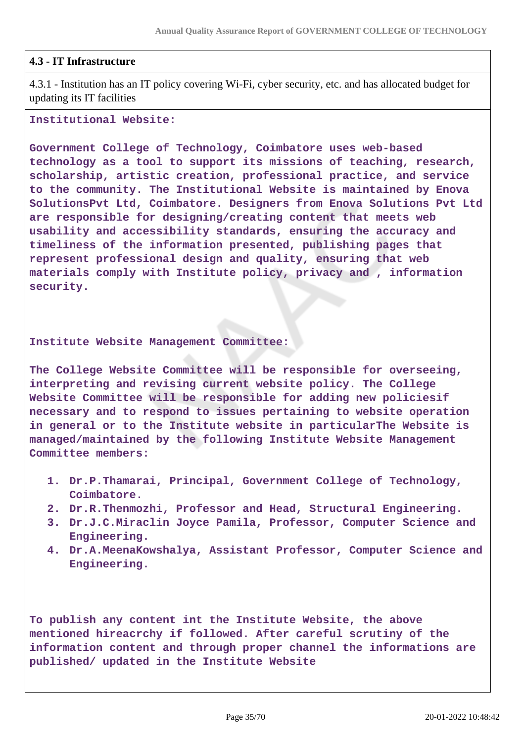### **4.3 - IT Infrastructure**

4.3.1 - Institution has an IT policy covering Wi-Fi, cyber security, etc. and has allocated budget for updating its IT facilities

#### **Institutional Website:**

**Government College of Technology, Coimbatore uses web-based technology as a tool to support its missions of teaching, research, scholarship, artistic creation, professional practice, and service to the community. The Institutional Website is maintained by Enova SolutionsPvt Ltd, Coimbatore. Designers from Enova Solutions Pvt Ltd are responsible for designing/creating content that meets web usability and accessibility standards, ensuring the accuracy and timeliness of the information presented, publishing pages that represent professional design and quality, ensuring that web materials comply with Institute policy, privacy and , information security.**

#### **Institute Website Management Committee:**

**The College Website Committee will be responsible for overseeing, interpreting and revising current website policy. The College Website Committee will be responsible for adding new policiesif necessary and to respond to issues pertaining to website operation in general or to the Institute website in particularThe Website is managed/maintained by the following Institute Website Management Committee members:**

- **1. Dr.P.Thamarai, Principal, Government College of Technology, Coimbatore.**
- **2. Dr.R.Thenmozhi, Professor and Head, Structural Engineering.**
- **3. Dr.J.C.Miraclin Joyce Pamila, Professor, Computer Science and Engineering.**
- **4. Dr.A.MeenaKowshalya, Assistant Professor, Computer Science and Engineering.**

**To publish any content int the Institute Website, the above mentioned hireacrchy if followed. After careful scrutiny of the information content and through proper channel the informations are published/ updated in the Institute Website**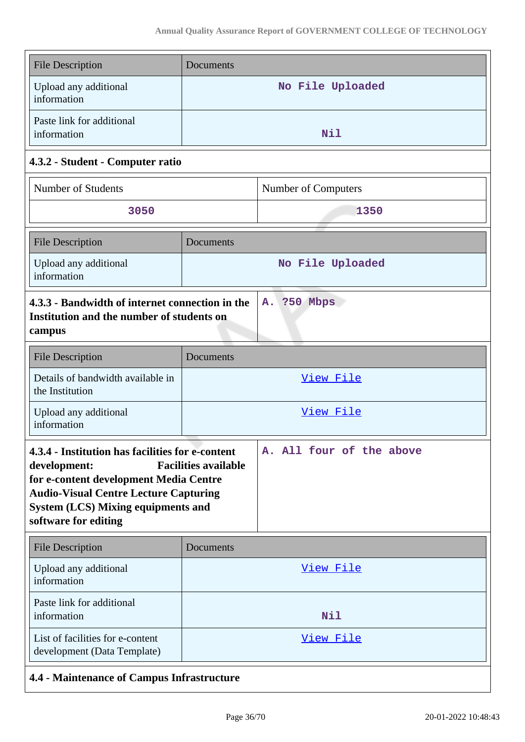| <b>File Description</b>                                                                                                                                                                                                                                        | Documents        |                          |  |
|----------------------------------------------------------------------------------------------------------------------------------------------------------------------------------------------------------------------------------------------------------------|------------------|--------------------------|--|
| Upload any additional<br>information                                                                                                                                                                                                                           | No File Uploaded |                          |  |
| Paste link for additional<br>information                                                                                                                                                                                                                       | Nil              |                          |  |
| 4.3.2 - Student - Computer ratio                                                                                                                                                                                                                               |                  |                          |  |
| Number of Students                                                                                                                                                                                                                                             |                  | Number of Computers      |  |
| 3050                                                                                                                                                                                                                                                           |                  | 1350                     |  |
| <b>File Description</b>                                                                                                                                                                                                                                        | Documents        |                          |  |
| Upload any additional<br>information                                                                                                                                                                                                                           |                  | No File Uploaded         |  |
| 4.3.3 - Bandwidth of internet connection in the<br>A. ?50 Mbps<br>Institution and the number of students on<br>campus                                                                                                                                          |                  |                          |  |
| <b>File Description</b>                                                                                                                                                                                                                                        | Documents        |                          |  |
| Details of bandwidth available in<br>the Institution                                                                                                                                                                                                           |                  | View File                |  |
| Upload any additional<br>information                                                                                                                                                                                                                           |                  | View File                |  |
| 4.3.4 - Institution has facilities for e-content<br><b>Facilities available</b><br>development:<br>for e-content development Media Centre<br><b>Audio-Visual Centre Lecture Capturing</b><br><b>System (LCS) Mixing equipments and</b><br>software for editing |                  | A. All four of the above |  |
| <b>File Description</b>                                                                                                                                                                                                                                        | Documents        |                          |  |
| Upload any additional<br>information                                                                                                                                                                                                                           | View File        |                          |  |
| Paste link for additional<br>information                                                                                                                                                                                                                       | Nil              |                          |  |
| List of facilities for e-content<br>development (Data Template)                                                                                                                                                                                                | <u>View File</u> |                          |  |
| 4.4 - Maintenance of Campus Infrastructure                                                                                                                                                                                                                     |                  |                          |  |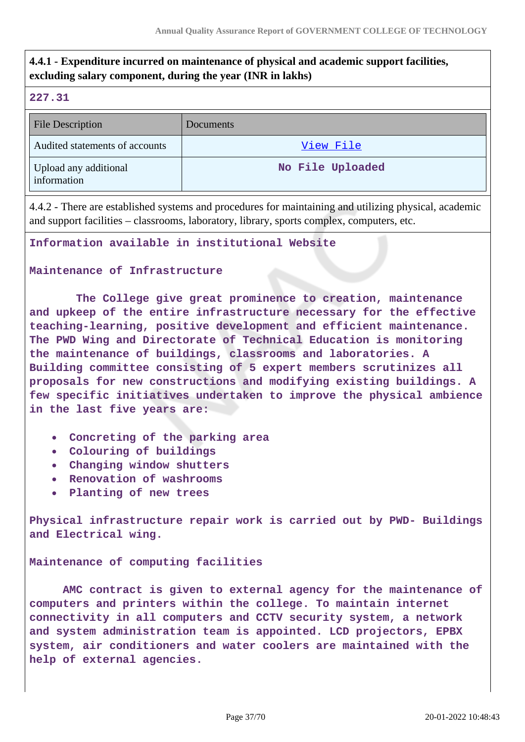# **4.4.1 - Expenditure incurred on maintenance of physical and academic support facilities, excluding salary component, during the year (INR in lakhs)**

### **227.31**

| <b>File Description</b>              | Documents        |
|--------------------------------------|------------------|
| Audited statements of accounts       | View File        |
| Upload any additional<br>information | No File Uploaded |

4.4.2 - There are established systems and procedures for maintaining and utilizing physical, academic and support facilities – classrooms, laboratory, library, sports complex, computers, etc.

**Information available in institutional Website**

### **Maintenance of Infrastructure**

 **The College give great prominence to creation, maintenance and upkeep of the entire infrastructure necessary for the effective teaching-learning, positive development and efficient maintenance. The PWD Wing and Directorate of Technical Education is monitoring the maintenance of buildings, classrooms and laboratories. A Building committee consisting of 5 expert members scrutinizes all proposals for new constructions and modifying existing buildings. A few specific initiatives undertaken to improve the physical ambience in the last five years are:**

- **Concreting of the parking area**
- **Colouring of buildings**
- **Changing window shutters**
- **Renovation of washrooms**
- **Planting of new trees**

**Physical infrastructure repair work is carried out by PWD- Buildings and Electrical wing.**

**Maintenance of computing facilities** 

 **AMC contract is given to external agency for the maintenance of computers and printers within the college. To maintain internet connectivity in all computers and CCTV security system, a network and system administration team is appointed. LCD projectors, EPBX system, air conditioners and water coolers are maintained with the help of external agencies.**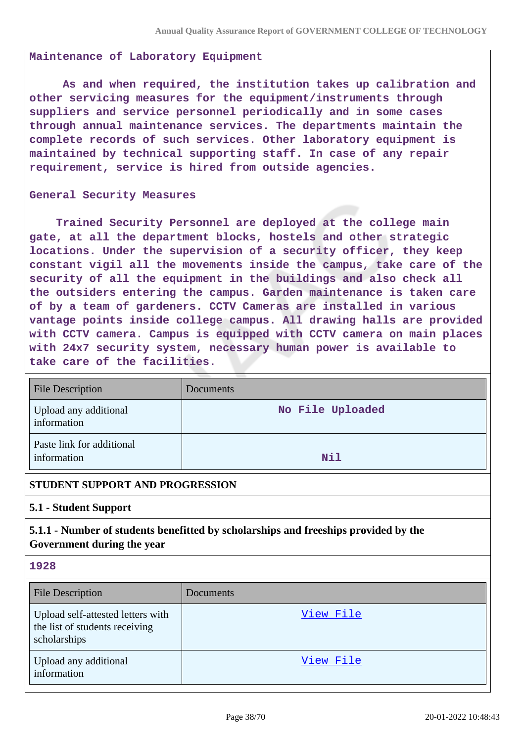#### **Maintenance of Laboratory Equipment**

 **As and when required, the institution takes up calibration and other servicing measures for the equipment/instruments through suppliers and service personnel periodically and in some cases through annual maintenance services. The departments maintain the complete records of such services. Other laboratory equipment is maintained by technical supporting staff. In case of any repair requirement, service is hired from outside agencies.**

#### **General Security Measures**

 **Trained Security Personnel are deployed at the college main gate, at all the department blocks, hostels and other strategic locations. Under the supervision of a security officer, they keep constant vigil all the movements inside the campus, take care of the security of all the equipment in the buildings and also check all the outsiders entering the campus. Garden maintenance is taken care of by a team of gardeners. CCTV Cameras are installed in various vantage points inside college campus. All drawing halls are provided with CCTV camera. Campus is equipped with CCTV camera on main places with 24x7 security system, necessary human power is available to take care of the facilities.**

| <b>File Description</b>                  | <b>Documents</b> |
|------------------------------------------|------------------|
| Upload any additional<br>information     | No File Uploaded |
| Paste link for additional<br>information | <b>Nil</b>       |

#### **STUDENT SUPPORT AND PROGRESSION**

#### **5.1 - Student Support**

# **5.1.1 - Number of students benefitted by scholarships and freeships provided by the Government during the year**

#### **1928**

| <b>File Description</b>                                                             | Documents |
|-------------------------------------------------------------------------------------|-----------|
| Upload self-attested letters with<br>the list of students receiving<br>scholarships | View File |
| Upload any additional<br>information                                                | View File |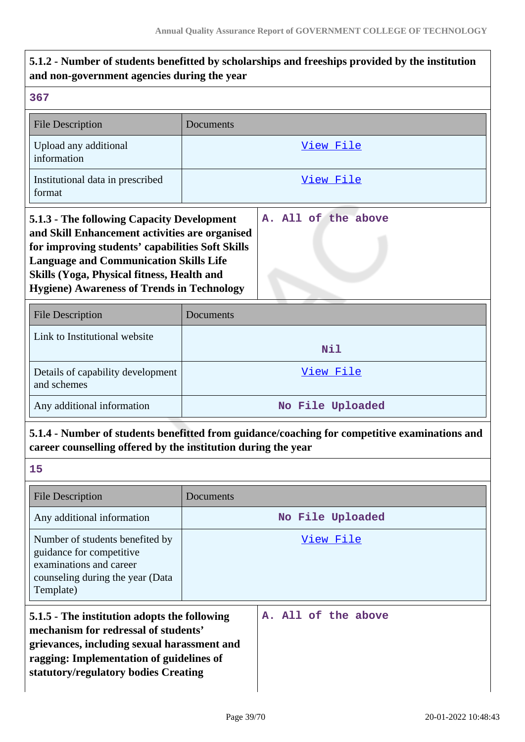| and non-government agencies during the year                                                                                                                                                                                                                                                          |           |                     |
|------------------------------------------------------------------------------------------------------------------------------------------------------------------------------------------------------------------------------------------------------------------------------------------------------|-----------|---------------------|
| 367                                                                                                                                                                                                                                                                                                  |           |                     |
| <b>File Description</b>                                                                                                                                                                                                                                                                              | Documents |                     |
| Upload any additional<br>information                                                                                                                                                                                                                                                                 |           | View File           |
| Institutional data in prescribed<br>format                                                                                                                                                                                                                                                           |           | View File           |
| 5.1.3 - The following Capacity Development<br>and Skill Enhancement activities are organised<br>for improving students' capabilities Soft Skills<br><b>Language and Communication Skills Life</b><br>Skills (Yoga, Physical fitness, Health and<br><b>Hygiene) Awareness of Trends in Technology</b> |           | A. All of the above |
| <b>File Description</b>                                                                                                                                                                                                                                                                              | Documents |                     |
| Link to Institutional website                                                                                                                                                                                                                                                                        |           | Nil                 |
| Details of capability development<br>and schemes                                                                                                                                                                                                                                                     |           | <u>View File</u>    |
| Any additional information                                                                                                                                                                                                                                                                           |           | No File Uploaded    |
| 5.1.4 - Number of students benefitted from guidance/coaching for competitive examinations and<br>career counselling offered by the institution during the year                                                                                                                                       |           |                     |
| 15                                                                                                                                                                                                                                                                                                   |           |                     |
| <b>File Description</b>                                                                                                                                                                                                                                                                              | Documents |                     |
| Any additional information                                                                                                                                                                                                                                                                           |           | No File Uploaded    |
| Number of students benefited by<br>guidance for competitive<br>examinations and career<br>counseling during the year (Data<br>Template)                                                                                                                                                              |           | <u>View File</u>    |
| 5.1.5 - The institution adopts the following<br>mechanism for redressal of students'<br>grievances, including sexual harassment and<br>ragging: Implementation of guidelines of<br>statutory/regulatory bodies Creating                                                                              |           | A. All of the above |

**5.1.2 - Number of students benefitted by scholarships and freeships provided by the institution**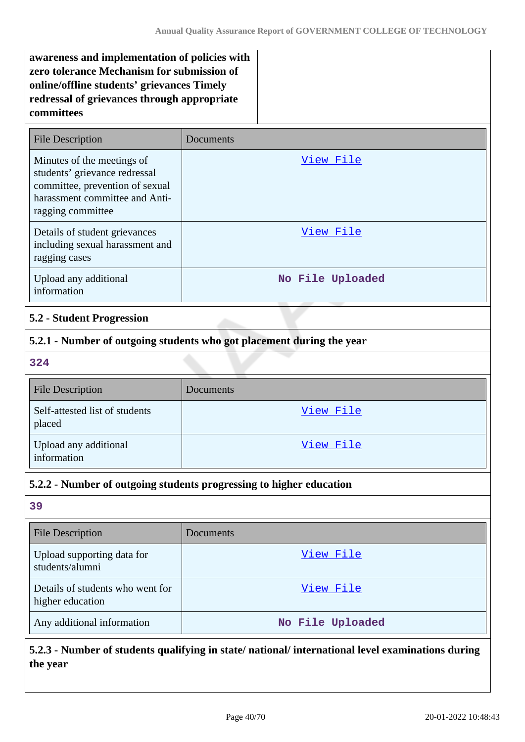**awareness and implementation of policies with zero tolerance Mechanism for submission of online/offline students' grievances Timely redressal of grievances through appropriate committees**

| <b>File Description</b>                                                                                                                               | Documents        |
|-------------------------------------------------------------------------------------------------------------------------------------------------------|------------------|
| Minutes of the meetings of<br>students' grievance redressal<br>committee, prevention of sexual<br>harassment committee and Anti-<br>ragging committee | View File        |
| Details of student grievances<br>including sexual harassment and<br>ragging cases                                                                     | View File        |
| Upload any additional<br>information                                                                                                                  | No File Uploaded |

### **5.2 - Student Progression**

### **5.2.1 - Number of outgoing students who got placement during the year**

**324**

| <b>File Description</b>                  | Documents |
|------------------------------------------|-----------|
| Self-attested list of students<br>placed | View File |
| Upload any additional<br>information     | View File |

# **5.2.2 - Number of outgoing students progressing to higher education**

**39**

| <b>File Description</b>                              | <b>Documents</b> |
|------------------------------------------------------|------------------|
| Upload supporting data for<br>students/alumni        | View File        |
| Details of students who went for<br>higher education | View File        |
| Any additional information                           | No File Uploaded |

# **5.2.3 - Number of students qualifying in state/ national/ international level examinations during the year**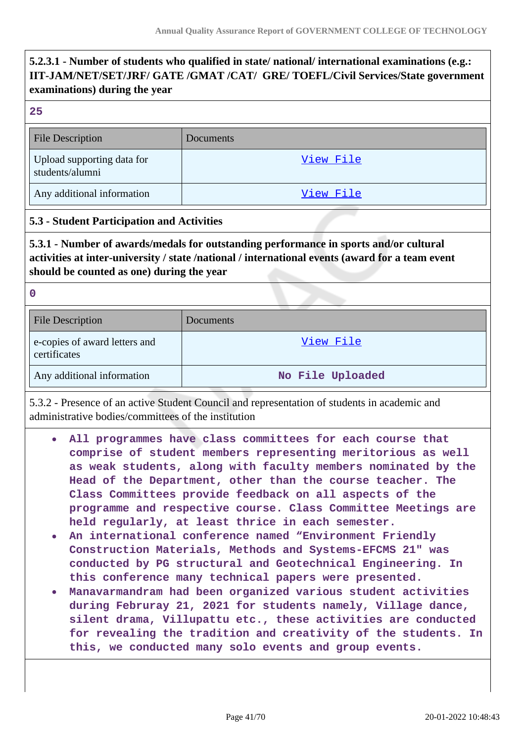# **5.2.3.1 - Number of students who qualified in state/ national/ international examinations (e.g.: IIT-JAM/NET/SET/JRF/ GATE /GMAT /CAT/ GRE/ TOEFL/Civil Services/State government examinations) during the year**

**25**

| <b>File Description</b>                       | Documents |
|-----------------------------------------------|-----------|
| Upload supporting data for<br>students/alumni | View File |
| Any additional information                    | View File |

### **5.3 - Student Participation and Activities**

**5.3.1 - Number of awards/medals for outstanding performance in sports and/or cultural activities at inter-university / state /national / international events (award for a team event should be counted as one) during the year**

**0**

| <b>File Description</b>                       | Documents        |
|-----------------------------------------------|------------------|
| e-copies of award letters and<br>certificates | View File        |
| Any additional information                    | No File Uploaded |

5.3.2 - Presence of an active Student Council and representation of students in academic and administrative bodies/committees of the institution

- **All programmes have class committees for each course that**  $\bullet$ **comprise of student members representing meritorious as well as weak students, along with faculty members nominated by the Head of the Department, other than the course teacher. The Class Committees provide feedback on all aspects of the programme and respective course. Class Committee Meetings are held regularly, at least thrice in each semester.**
- **An international conference named "Environment Friendly Construction Materials, Methods and Systems-EFCMS 21" was conducted by PG structural and Geotechnical Engineering. In this conference many technical papers were presented.**
- **Manavarmandram had been organized various student activities during Februray 21, 2021 for students namely, Village dance, silent drama, Villupattu etc., these activities are conducted for revealing the tradition and creativity of the students. In this, we conducted many solo events and group events.**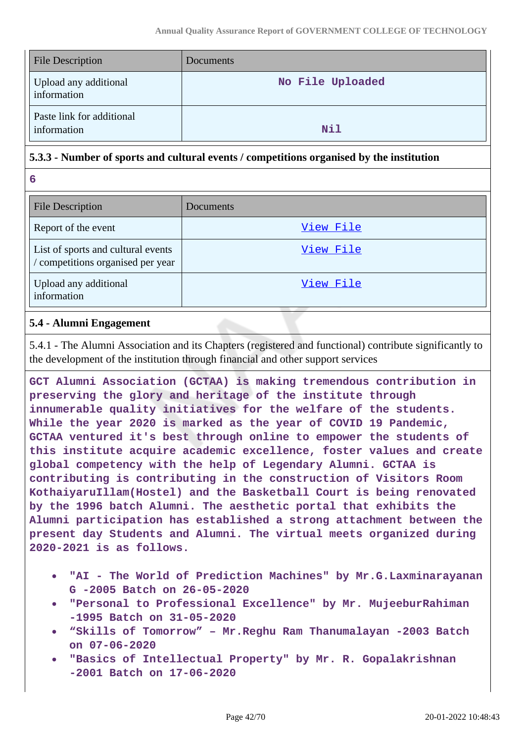| <b>File Description</b>                  | Documents        |
|------------------------------------------|------------------|
| Upload any additional<br>information     | No File Uploaded |
| Paste link for additional<br>information | Nil              |

### **5.3.3 - Number of sports and cultural events / competitions organised by the institution**

**6**

| <b>File Description</b>                                                 | Documents |
|-------------------------------------------------------------------------|-----------|
| Report of the event                                                     | View File |
| List of sports and cultural events<br>/ competitions organised per year | View File |
| Upload any additional<br>information                                    | View File |

## **5.4 - Alumni Engagement**

5.4.1 - The Alumni Association and its Chapters (registered and functional) contribute significantly to the development of the institution through financial and other support services

**GCT Alumni Association (GCTAA) is making tremendous contribution in preserving the glory and heritage of the institute through innumerable quality initiatives for the welfare of the students. While the year 2020 is marked as the year of COVID 19 Pandemic, GCTAA ventured it's best through online to empower the students of this institute acquire academic excellence, foster values and create global competency with the help of Legendary Alumni. GCTAA is contributing is contributing in the construction of Visitors Room KothaiyaruIllam(Hostel) and the Basketball Court is being renovated by the 1996 batch Alumni. The aesthetic portal that exhibits the Alumni participation has established a strong attachment between the present day Students and Alumni. The virtual meets organized during 2020-2021 is as follows.**

- **"AI The World of Prediction Machines" by Mr.G.Laxminarayanan G -2005 Batch on 26-05-2020**
- **"Personal to Professional Excellence" by Mr. MujeeburRahiman -1995 Batch on 31-05-2020**
- **"Skills of Tomorrow" Mr.Reghu Ram Thanumalayan -2003 Batch on 07-06-2020**
- **"Basics of Intellectual Property" by Mr. R. Gopalakrishnan -2001 Batch on 17-06-2020**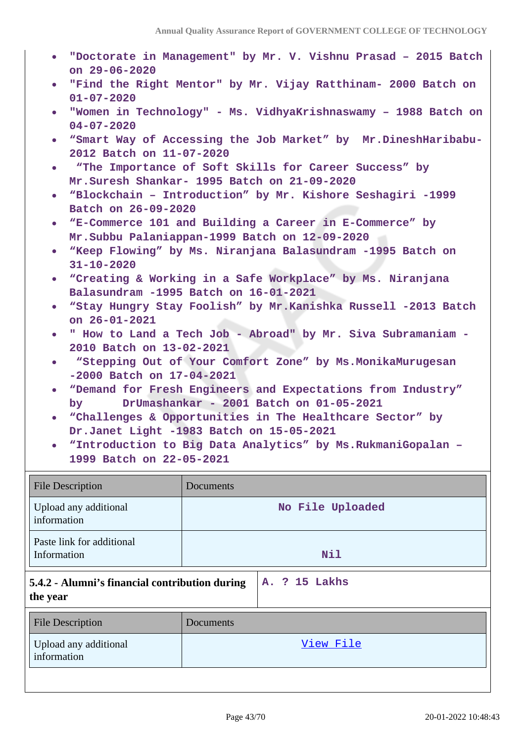- **"Doctorate in Management" by Mr. V. Vishnu Prasad 2015 Batch on 29-06-2020**
- **"Find the Right Mentor" by Mr. Vijay Ratthinam- 2000 Batch on 01-07-2020**
- **"Women in Technology" Ms. VidhyaKrishnaswamy 1988 Batch on 04-07-2020**
- **"Smart Way of Accessing the Job Market" by Mr.DineshHaribabu-2012 Batch on 11-07-2020**
- **"The Importance of Soft Skills for Career Success" by Mr.Suresh Shankar- 1995 Batch on 21-09-2020**
- **"Blockchain Introduction" by Mr. Kishore Seshagiri -1999 Batch on 26-09-2020**
- **"E-Commerce 101 and Building a Career in E-Commerce" by Mr.Subbu Palaniappan-1999 Batch on 12-09-2020**
- **"Keep Flowing" by Ms. Niranjana Balasundram -1995 Batch on 31-10-2020**
- **"Creating & Working in a Safe Workplace" by Ms. Niranjana Balasundram -1995 Batch on 16-01-2021**
- **"Stay Hungry Stay Foolish" by Mr.Kanishka Russell -2013 Batch on 26-01-2021**
- **" How to Land a Tech Job Abroad" by Mr. Siva Subramaniam - 2010 Batch on 13-02-2021**
- **"Stepping Out of Your Comfort Zone" by Ms.MonikaMurugesan -2000 Batch on 17-04-2021**
- **"Demand for Fresh Engineers and Expectations from Industry"**  $\bullet$ **by DrUmashankar - 2001 Batch on 01-05-2021**
- **"Challenges & Opportunities in The Healthcare Sector" by Dr.Janet Light -1983 Batch on 15-05-2021**
- **"Introduction to Big Data Analytics" by Ms.RukmaniGopalan – 1999 Batch on 22-05-2021**

| <b>File Description</b>                                    | Documents        |               |
|------------------------------------------------------------|------------------|---------------|
| Upload any additional<br>information                       | No File Uploaded |               |
| Paste link for additional<br>Information                   | Nil              |               |
| 5.4.2 - Alumni's financial contribution during<br>the year |                  | A. ? 15 Lakhs |
| <b>File Description</b>                                    | Documents        |               |
| Upload any additional<br>information                       |                  | View File     |
|                                                            |                  |               |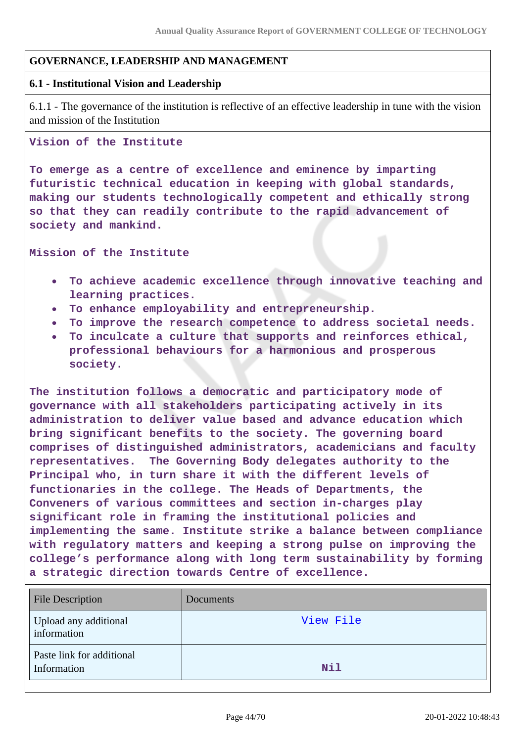### **GOVERNANCE, LEADERSHIP AND MANAGEMENT**

#### **6.1 - Institutional Vision and Leadership**

6.1.1 - The governance of the institution is reflective of an effective leadership in tune with the vision and mission of the Institution

### **Vision of the Institute**

**To emerge as a centre of excellence and eminence by imparting futuristic technical education in keeping with global standards, making our students technologically competent and ethically strong so that they can readily contribute to the rapid advancement of society and mankind.**

**Mission of the Institute**

- **To achieve academic excellence through innovative teaching and**  $\bullet$ **learning practices.**
- **To enhance employability and entrepreneurship.**
- **To improve the research competence to address societal needs.**  $\bullet$
- **To inculcate a culture that supports and reinforces ethical, professional behaviours for a harmonious and prosperous society.**

**The institution follows a democratic and participatory mode of governance with all stakeholders participating actively in its administration to deliver value based and advance education which bring significant benefits to the society. The governing board comprises of distinguished administrators, academicians and faculty representatives. The Governing Body delegates authority to the Principal who, in turn share it with the different levels of functionaries in the college. The Heads of Departments, the Conveners of various committees and section in-charges play significant role in framing the institutional policies and implementing the same. Institute strike a balance between compliance with regulatory matters and keeping a strong pulse on improving the college's performance along with long term sustainability by forming a strategic direction towards Centre of excellence.**

| <b>File Description</b>                  | Documents |
|------------------------------------------|-----------|
| Upload any additional<br>information     | View File |
| Paste link for additional<br>Information | Nil       |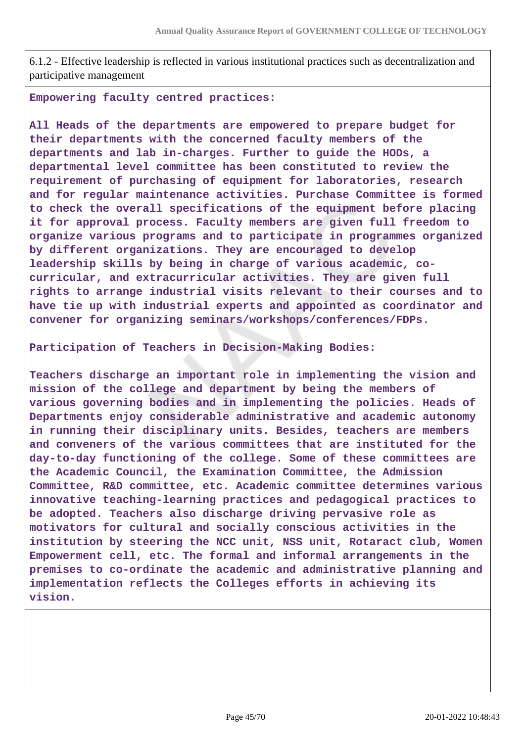6.1.2 - Effective leadership is reflected in various institutional practices such as decentralization and participative management

**Empowering faculty centred practices:** 

**All Heads of the departments are empowered to prepare budget for their departments with the concerned faculty members of the departments and lab in-charges. Further to guide the HODs, a departmental level committee has been constituted to review the requirement of purchasing of equipment for laboratories, research and for regular maintenance activities. Purchase Committee is formed to check the overall specifications of the equipment before placing it for approval process. Faculty members are given full freedom to organize various programs and to participate in programmes organized by different organizations. They are encouraged to develop leadership skills by being in charge of various academic, cocurricular, and extracurricular activities. They are given full rights to arrange industrial visits relevant to their courses and to have tie up with industrial experts and appointed as coordinator and convener for organizing seminars/workshops/conferences/FDPs.**

#### **Participation of Teachers in Decision-Making Bodies:**

**Teachers discharge an important role in implementing the vision and mission of the college and department by being the members of various governing bodies and in implementing the policies. Heads of Departments enjoy considerable administrative and academic autonomy in running their disciplinary units. Besides, teachers are members and conveners of the various committees that are instituted for the day-to-day functioning of the college. Some of these committees are the Academic Council, the Examination Committee, the Admission Committee, R&D committee, etc. Academic committee determines various innovative teaching-learning practices and pedagogical practices to be adopted. Teachers also discharge driving pervasive role as motivators for cultural and socially conscious activities in the institution by steering the NCC unit, NSS unit, Rotaract club, Women Empowerment cell, etc. The formal and informal arrangements in the premises to co-ordinate the academic and administrative planning and implementation reflects the Colleges efforts in achieving its vision.**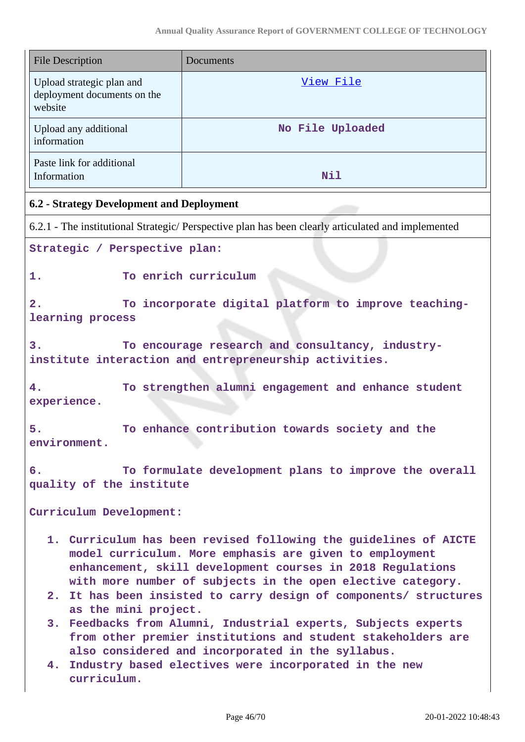| <b>File Description</b>                                             | Documents                                                                                                                                                                                                                                                |  |
|---------------------------------------------------------------------|----------------------------------------------------------------------------------------------------------------------------------------------------------------------------------------------------------------------------------------------------------|--|
| Upload strategic plan and<br>deployment documents on the<br>website | View File                                                                                                                                                                                                                                                |  |
| Upload any additional<br>information                                | No File Uploaded                                                                                                                                                                                                                                         |  |
| Paste link for additional<br>Information                            | <b>Nil</b>                                                                                                                                                                                                                                               |  |
| 6.2 - Strategy Development and Deployment                           |                                                                                                                                                                                                                                                          |  |
|                                                                     | 6.2.1 - The institutional Strategic/ Perspective plan has been clearly articulated and implemented                                                                                                                                                       |  |
| Strategic / Perspective plan:                                       |                                                                                                                                                                                                                                                          |  |
| 1.                                                                  | To enrich curriculum                                                                                                                                                                                                                                     |  |
| 2.<br>learning process                                              | To incorporate digital platform to improve teaching-                                                                                                                                                                                                     |  |
| 3.                                                                  | To encourage research and consultancy, industry-<br>institute interaction and entrepreneurship activities.                                                                                                                                               |  |
| 4.<br>experience.                                                   | To strengthen alumni engagement and enhance student                                                                                                                                                                                                      |  |
| 5.<br>environment.                                                  | To enhance contribution towards society and the                                                                                                                                                                                                          |  |
| б.<br>quality of the institute                                      | To formulate development plans to improve the overall                                                                                                                                                                                                    |  |
| Curriculum Development:                                             |                                                                                                                                                                                                                                                          |  |
|                                                                     | 1. Curriculum has been revised following the guidelines of AICTE<br>model curriculum. More emphasis are given to employment<br>enhancement, skill development courses in 2018 Regulations<br>with more number of subjects in the open elective category. |  |
| as the mini project.                                                | 2. It has been insisted to carry design of components/ structures                                                                                                                                                                                        |  |
| 3.                                                                  | Feedbacks from Alumni, Industrial experts, Subjects experts<br>from other premier institutions and student stakeholders are<br>also considered and incorporated in the syllabus.                                                                         |  |
| 4.<br>curriculum.                                                   | Industry based electives were incorporated in the new                                                                                                                                                                                                    |  |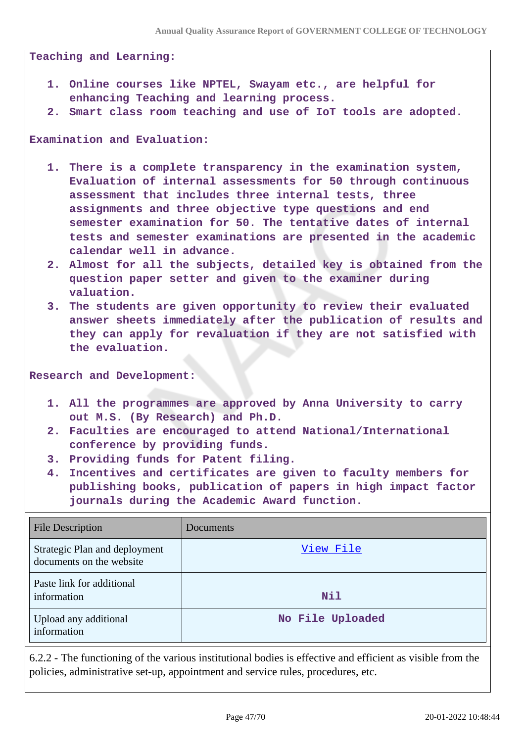**Teaching and Learning:**

- **1. Online courses like NPTEL, Swayam etc., are helpful for enhancing Teaching and learning process.**
- **2. Smart class room teaching and use of IoT tools are adopted.**

**Examination and Evaluation:**

- **1. There is a complete transparency in the examination system, Evaluation of internal assessments for 50 through continuous assessment that includes three internal tests, three assignments and three objective type questions and end semester examination for 50. The tentative dates of internal tests and semester examinations are presented in the academic calendar well in advance.**
- **2. Almost for all the subjects, detailed key is obtained from the question paper setter and given to the examiner during valuation.**
- **3. The students are given opportunity to review their evaluated answer sheets immediately after the publication of results and they can apply for revaluation if they are not satisfied with the evaluation.**

**Research and Development:**

- **1. All the programmes are approved by Anna University to carry out M.S. (By Research) and Ph.D.**
- **2. Faculties are encouraged to attend National/International conference by providing funds.**
- **3. Providing funds for Patent filing.**
- **4. Incentives and certificates are given to faculty members for publishing books, publication of papers in high impact factor journals during the Academic Award function.**

| <b>File Description</b>                                   | Documents        |
|-----------------------------------------------------------|------------------|
| Strategic Plan and deployment<br>documents on the website | View File        |
| Paste link for additional<br>information                  | Nil              |
| Upload any additional<br>information                      | No File Uploaded |

6.2.2 - The functioning of the various institutional bodies is effective and efficient as visible from the policies, administrative set-up, appointment and service rules, procedures, etc.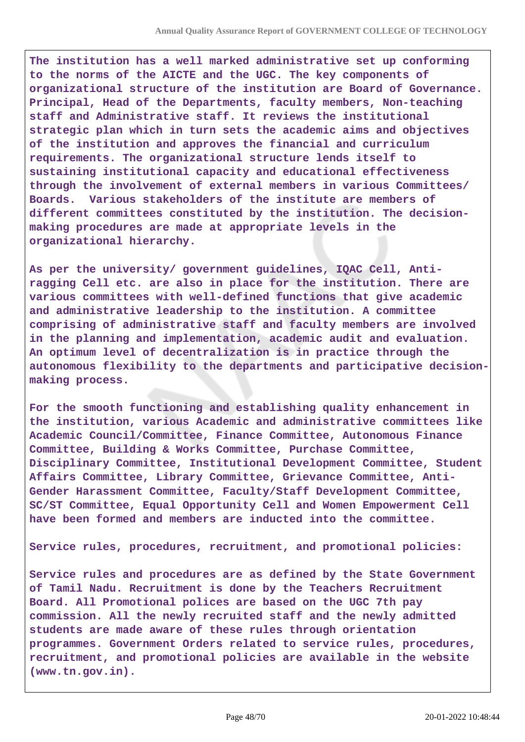**The institution has a well marked administrative set up conforming to the norms of the AICTE and the UGC. The key components of organizational structure of the institution are Board of Governance. Principal, Head of the Departments, faculty members, Non-teaching staff and Administrative staff. It reviews the institutional strategic plan which in turn sets the academic aims and objectives of the institution and approves the financial and curriculum requirements. The organizational structure lends itself to sustaining institutional capacity and educational effectiveness through the involvement of external members in various Committees/ Boards. Various stakeholders of the institute are members of different committees constituted by the institution. The decisionmaking procedures are made at appropriate levels in the organizational hierarchy.** 

**As per the university/ government guidelines, IQAC Cell, Antiragging Cell etc. are also in place for the institution. There are various committees with well-defined functions that give academic and administrative leadership to the institution. A committee comprising of administrative staff and faculty members are involved in the planning and implementation, academic audit and evaluation. An optimum level of decentralization is in practice through the autonomous flexibility to the departments and participative decisionmaking process.** 

**For the smooth functioning and establishing quality enhancement in the institution, various Academic and administrative committees like Academic Council/Committee, Finance Committee, Autonomous Finance Committee, Building & Works Committee, Purchase Committee, Disciplinary Committee, Institutional Development Committee, Student Affairs Committee, Library Committee, Grievance Committee, Anti-Gender Harassment Committee, Faculty/Staff Development Committee, SC/ST Committee, Equal Opportunity Cell and Women Empowerment Cell have been formed and members are inducted into the committee.**

**Service rules, procedures, recruitment, and promotional policies:**

**Service rules and procedures are as defined by the State Government of Tamil Nadu. Recruitment is done by the Teachers Recruitment Board. All Promotional polices are based on the UGC 7th pay commission. All the newly recruited staff and the newly admitted students are made aware of these rules through orientation programmes. Government Orders related to service rules, procedures, recruitment, and promotional policies are available in the website (www.tn.gov.in).**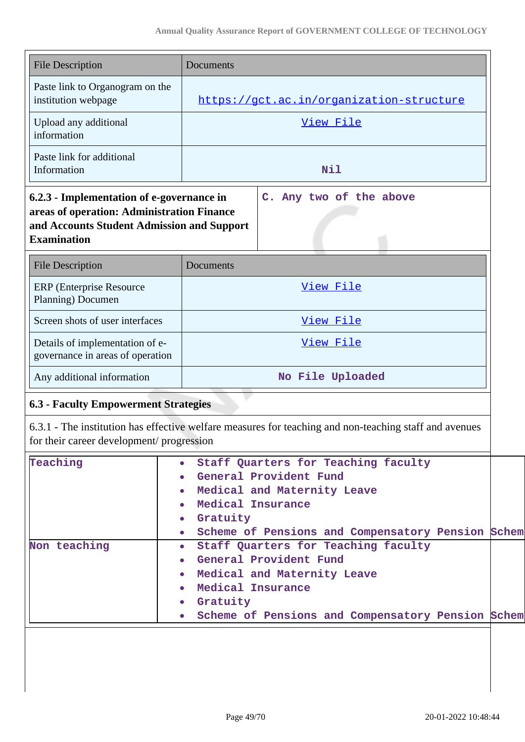| <b>File Description</b>                                                                                                                                     | Documents                                                                                                                                                                                                                                  |  |  |  |
|-------------------------------------------------------------------------------------------------------------------------------------------------------------|--------------------------------------------------------------------------------------------------------------------------------------------------------------------------------------------------------------------------------------------|--|--|--|
| Paste link to Organogram on the<br>institution webpage                                                                                                      | https://gct.ac.in/organization-structure                                                                                                                                                                                                   |  |  |  |
| Upload any additional<br>information                                                                                                                        | View File                                                                                                                                                                                                                                  |  |  |  |
| Paste link for additional<br>Information                                                                                                                    | Nil                                                                                                                                                                                                                                        |  |  |  |
| 6.2.3 - Implementation of e-governance in<br>areas of operation: Administration Finance<br>and Accounts Student Admission and Support<br><b>Examination</b> | C. Any two of the above                                                                                                                                                                                                                    |  |  |  |
| <b>File Description</b>                                                                                                                                     | Documents                                                                                                                                                                                                                                  |  |  |  |
| <b>ERP</b> (Enterprise Resource<br>Planning) Documen                                                                                                        | View File                                                                                                                                                                                                                                  |  |  |  |
| Screen shots of user interfaces                                                                                                                             | View File                                                                                                                                                                                                                                  |  |  |  |
| Details of implementation of e-<br>governance in areas of operation                                                                                         | View File                                                                                                                                                                                                                                  |  |  |  |
| Any additional information                                                                                                                                  | No File Uploaded                                                                                                                                                                                                                           |  |  |  |
| <b>6.3 - Faculty Empowerment Strategies</b>                                                                                                                 |                                                                                                                                                                                                                                            |  |  |  |
| for their career development/ progression                                                                                                                   | 6.3.1 - The institution has effective welfare measures for teaching and non-teaching staff and avenues                                                                                                                                     |  |  |  |
| Teaching                                                                                                                                                    | Staff Quarters for Teaching faculty<br>$\bullet$<br>General Provident Fund<br>Medical and Maternity Leave<br>$\bullet$<br>Medical Insurance<br>• Gratuity<br>Scheme of Pensions and Compensatory Pension Schem<br>$\bullet$                |  |  |  |
| Non teaching                                                                                                                                                | Staff Quarters for Teaching faculty<br>$\bullet$ .<br>General Provident Fund<br>$\bullet$<br>Medical and Maternity Leave<br>$\bullet$ .<br>Medical Insurance<br>Gratuity<br>$\bullet$<br>Scheme of Pensions and Compensatory Pension Schem |  |  |  |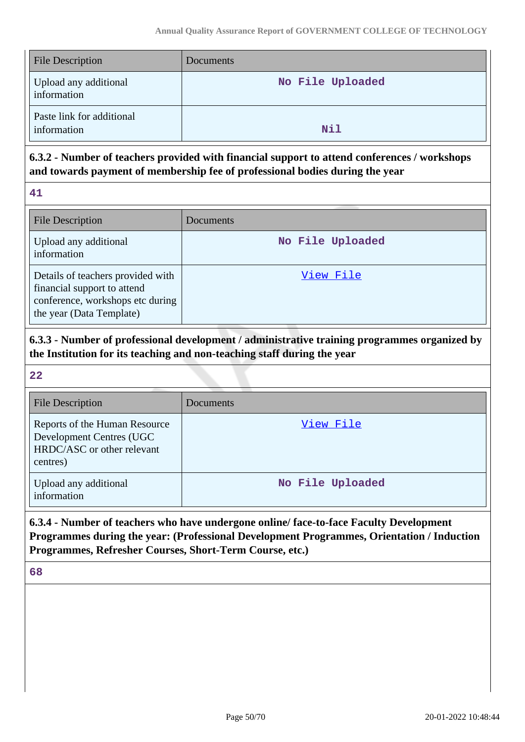| <b>File Description</b>                  | Documents        |
|------------------------------------------|------------------|
| Upload any additional<br>information     | No File Uploaded |
| Paste link for additional<br>information | Nil              |

# **6.3.2 - Number of teachers provided with financial support to attend conferences / workshops and towards payment of membership fee of professional bodies during the year**

| - 1 |
|-----|
|     |
|     |

| <b>File Description</b>                                                                                                          | <b>Documents</b> |
|----------------------------------------------------------------------------------------------------------------------------------|------------------|
| Upload any additional<br>information                                                                                             | No File Uploaded |
| Details of teachers provided with<br>financial support to attend<br>conference, workshops etc during<br>the year (Data Template) | View File        |

# **6.3.3 - Number of professional development / administrative training programmes organized by the Institution for its teaching and non-teaching staff during the year**

#### **22**

| <b>File Description</b>                                                                             | Documents        |
|-----------------------------------------------------------------------------------------------------|------------------|
| Reports of the Human Resource<br>Development Centres (UGC<br>HRDC/ASC or other relevant<br>centres) | View File        |
| Upload any additional<br>information                                                                | No File Uploaded |

# **6.3.4 - Number of teachers who have undergone online/ face-to-face Faculty Development Programmes during the year: (Professional Development Programmes, Orientation / Induction Programmes, Refresher Courses, Short-Term Course, etc.)**

**68**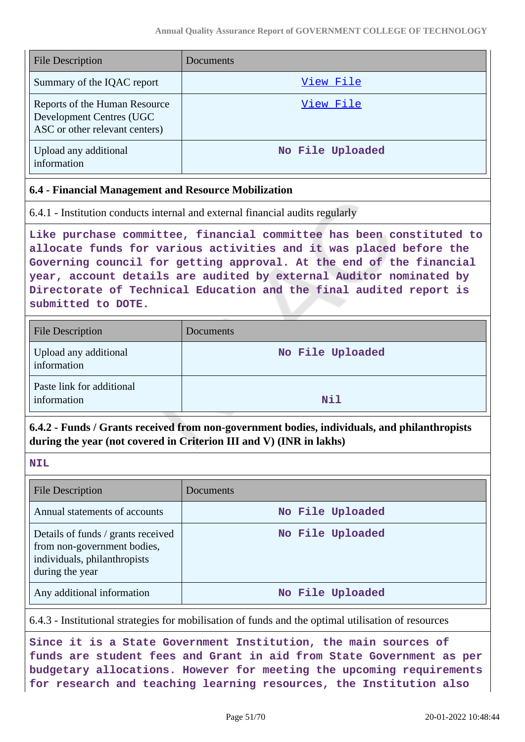| <b>File Description</b>                                                                     | <b>Documents</b> |
|---------------------------------------------------------------------------------------------|------------------|
| Summary of the IQAC report                                                                  | View File        |
| Reports of the Human Resource<br>Development Centres (UGC<br>ASC or other relevant centers) | View File        |
| Upload any additional<br>information                                                        | No File Uploaded |

#### **6.4 - Financial Management and Resource Mobilization**

|  | 6.4.1 - Institution conducts internal and external financial audits regularly |  |  |  |  |  |  |  |
|--|-------------------------------------------------------------------------------|--|--|--|--|--|--|--|
|--|-------------------------------------------------------------------------------|--|--|--|--|--|--|--|

**Like purchase committee, financial committee has been constituted to allocate funds for various activities and it was placed before the Governing council for getting approval. At the end of the financial year, account details are audited by external Auditor nominated by Directorate of Technical Education and the final audited report is submitted to DOTE.**

| <b>File Description</b>                  | Documents        |
|------------------------------------------|------------------|
| Upload any additional<br>information     | No File Uploaded |
| Paste link for additional<br>information | Nil              |

# **6.4.2 - Funds / Grants received from non-government bodies, individuals, and philanthropists during the year (not covered in Criterion III and V) (INR in lakhs)**

#### **NIL**

| <b>File Description</b>                                                                                              | Documents        |
|----------------------------------------------------------------------------------------------------------------------|------------------|
| Annual statements of accounts                                                                                        | No File Uploaded |
| Details of funds / grants received<br>from non-government bodies,<br>individuals, philanthropists<br>during the year | No File Uploaded |
| Any additional information                                                                                           | No File Uploaded |

6.4.3 - Institutional strategies for mobilisation of funds and the optimal utilisation of resources

**Since it is a State Government Institution, the main sources of funds are student fees and Grant in aid from State Government as per budgetary allocations. However for meeting the upcoming requirements for research and teaching learning resources, the Institution also**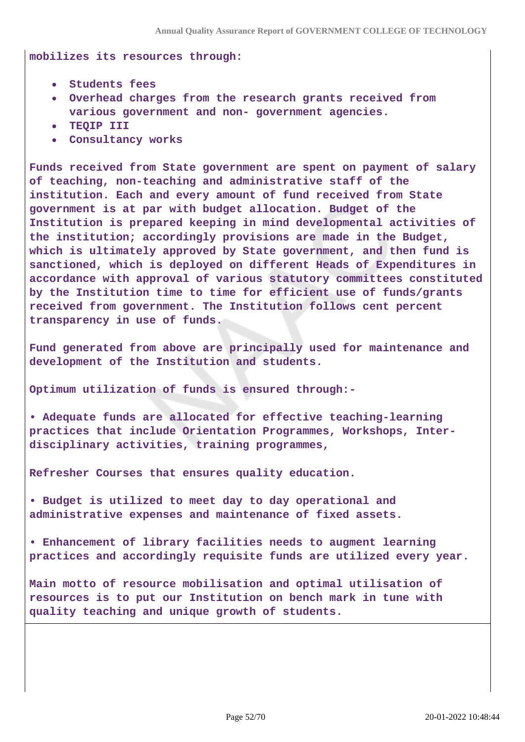**mobilizes its resources through:**

- **Students fees**
- **Overhead charges from the research grants received from various government and non- government agencies.**
- **TEQIP III**
- **Consultancy works**

**Funds received from State government are spent on payment of salary of teaching, non-teaching and administrative staff of the institution. Each and every amount of fund received from State government is at par with budget allocation. Budget of the Institution is prepared keeping in mind developmental activities of the institution; accordingly provisions are made in the Budget, which is ultimately approved by State government, and then fund is sanctioned, which is deployed on different Heads of Expenditures in accordance with approval of various statutory committees constituted by the Institution time to time for efficient use of funds/grants received from government. The Institution follows cent percent transparency in use of funds.**

**Fund generated from above are principally used for maintenance and development of the Institution and students.**

**Optimum utilization of funds is ensured through:-**

**• Adequate funds are allocated for effective teaching-learning practices that include Orientation Programmes, Workshops, Interdisciplinary activities, training programmes,**

**Refresher Courses that ensures quality education.**

**• Budget is utilized to meet day to day operational and administrative expenses and maintenance of fixed assets.**

**• Enhancement of library facilities needs to augment learning practices and accordingly requisite funds are utilized every year.**

**Main motto of resource mobilisation and optimal utilisation of resources is to put our Institution on bench mark in tune with quality teaching and unique growth of students.**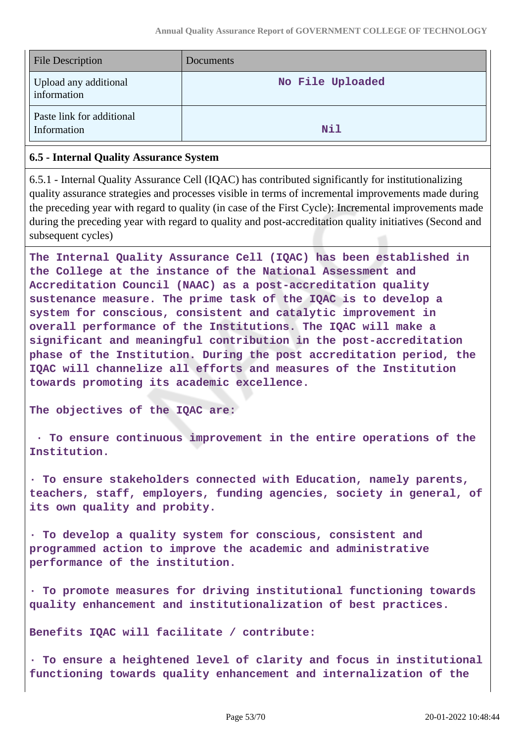| <b>File Description</b>                  | <b>Documents</b> |
|------------------------------------------|------------------|
| Upload any additional<br>information     | No File Uploaded |
| Paste link for additional<br>Information | Nil              |

### **6.5 - Internal Quality Assurance System**

6.5.1 - Internal Quality Assurance Cell (IQAC) has contributed significantly for institutionalizing quality assurance strategies and processes visible in terms of incremental improvements made during the preceding year with regard to quality (in case of the First Cycle): Incremental improvements made during the preceding year with regard to quality and post-accreditation quality initiatives (Second and subsequent cycles)

**The Internal Quality Assurance Cell (IQAC) has been established in the College at the instance of the National Assessment and Accreditation Council (NAAC) as a post-accreditation quality sustenance measure. The prime task of the IQAC is to develop a system for conscious, consistent and catalytic improvement in overall performance of the Institutions. The IQAC will make a significant and meaningful contribution in the post-accreditation phase of the Institution. During the post accreditation period, the IQAC will channelize all efforts and measures of the Institution towards promoting its academic excellence.**

**The objectives of the IQAC are:**

 **· To ensure continuous improvement in the entire operations of the Institution.**

**· To ensure stakeholders connected with Education, namely parents, teachers, staff, employers, funding agencies, society in general, of its own quality and probity.**

**· To develop a quality system for conscious, consistent and programmed action to improve the academic and administrative performance of the institution.**

**· To promote measures for driving institutional functioning towards quality enhancement and institutionalization of best practices.**

**Benefits IQAC will facilitate / contribute:**

**· To ensure a heightened level of clarity and focus in institutional functioning towards quality enhancement and internalization of the**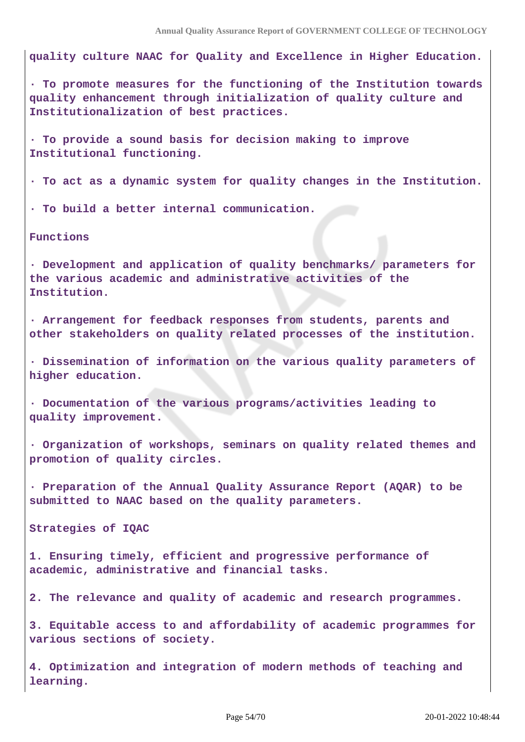**quality culture NAAC for Quality and Excellence in Higher Education.**

**· To promote measures for the functioning of the Institution towards quality enhancement through initialization of quality culture and Institutionalization of best practices.**

**· To provide a sound basis for decision making to improve Institutional functioning.**

**· To act as a dynamic system for quality changes in the Institution.**

**· To build a better internal communication.**

**Functions**

**· Development and application of quality benchmarks/ parameters for the various academic and administrative activities of the Institution.**

**· Arrangement for feedback responses from students, parents and other stakeholders on quality related processes of the institution.**

**· Dissemination of information on the various quality parameters of higher education.**

**· Documentation of the various programs/activities leading to quality improvement.**

**· Organization of workshops, seminars on quality related themes and promotion of quality circles.**

**· Preparation of the Annual Quality Assurance Report (AQAR) to be submitted to NAAC based on the quality parameters.**

**Strategies of IQAC**

**1. Ensuring timely, efficient and progressive performance of academic, administrative and financial tasks.**

**2. The relevance and quality of academic and research programmes.**

**3. Equitable access to and affordability of academic programmes for various sections of society.**

**4. Optimization and integration of modern methods of teaching and learning.**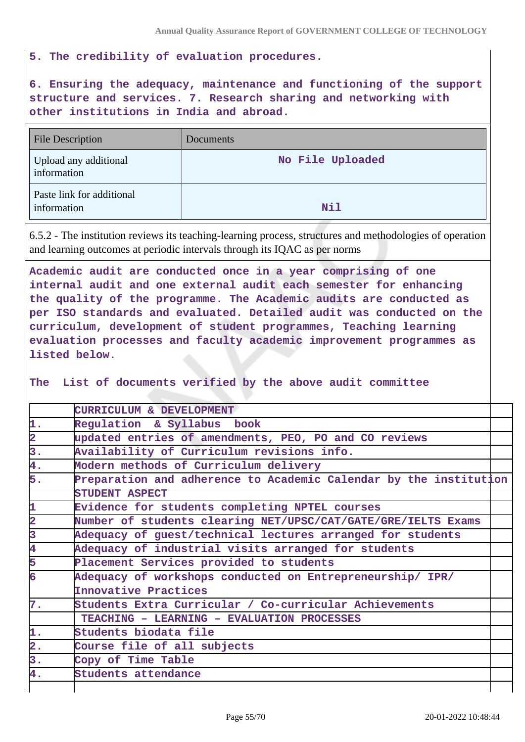**5. The credibility of evaluation procedures.**

**6. Ensuring the adequacy, maintenance and functioning of the support structure and services. 7. Research sharing and networking with other institutions in India and abroad.**

| <b>File Description</b>                  | Documents        |
|------------------------------------------|------------------|
| Upload any additional<br>information     | No File Uploaded |
| Paste link for additional<br>information | Nil              |

6.5.2 - The institution reviews its teaching-learning process, structures and methodologies of operation and learning outcomes at periodic intervals through its IQAC as per norms

**Academic audit are conducted once in a year comprising of one internal audit and one external audit each semester for enhancing the quality of the programme. The Academic audits are conducted as per ISO standards and evaluated. Detailed audit was conducted on the curriculum, development of student programmes, Teaching learning evaluation processes and faculty academic improvement programmes as listed below.**

**The List of documents verified by the above audit committee** 

|                         | CURRICULUM & DEVELOPMENT                                          |  |  |
|-------------------------|-------------------------------------------------------------------|--|--|
| 1.                      | Regulation & Syllabus book                                        |  |  |
| $\overline{\mathbf{2}}$ | updated entries of amendments, PEO, PO and CO reviews             |  |  |
| 3.                      | Availability of Curriculum revisions info.                        |  |  |
| 4.                      | Modern methods of Curriculum delivery                             |  |  |
| 5.                      | Preparation and adherence to Academic Calendar by the institution |  |  |
|                         | <b>STUDENT ASPECT</b>                                             |  |  |
| 1                       | Evidence for students completing NPTEL courses                    |  |  |
| $\overline{\mathbf{2}}$ | Number of students clearing NET/UPSC/CAT/GATE/GRE/IELTS Exams     |  |  |
| $\overline{\mathbf{3}}$ | Adequacy of guest/technical lectures arranged for students        |  |  |
| $\overline{\mathbf{4}}$ | Adequacy of industrial visits arranged for students               |  |  |
| 5                       | Placement Services provided to students                           |  |  |
| 6                       | Adequacy of workshops conducted on Entrepreneurship/ IPR/         |  |  |
|                         | Innovative Practices                                              |  |  |
| 7.                      | Students Extra Curricular / Co-curricular Achievements            |  |  |
|                         | TEACHING - LEARNING - EVALUATION PROCESSES                        |  |  |
| 1.                      | Students biodata file                                             |  |  |
| $\overline{2}$ .        | Course file of all subjects                                       |  |  |
| 3.                      | Copy of Time Table                                                |  |  |
| 4.                      | Students attendance                                               |  |  |
|                         |                                                                   |  |  |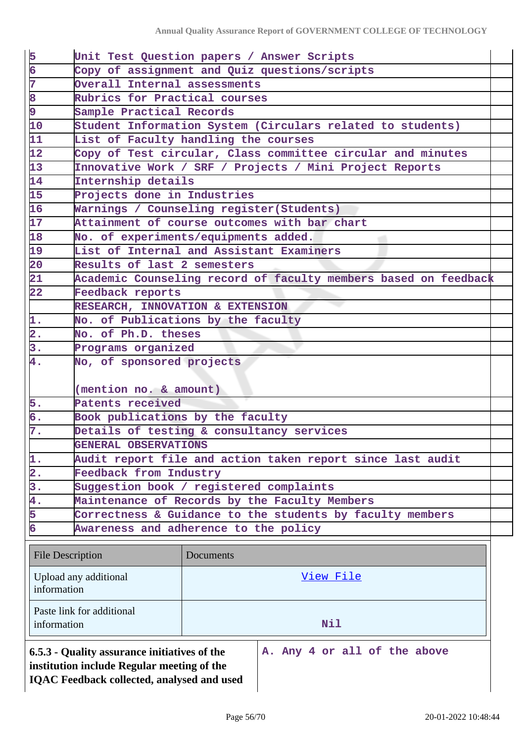| 5                                                 | Unit Test Question papers / Answer Scripts                |                                      |                                                                 |  |  |  |  |
|---------------------------------------------------|-----------------------------------------------------------|--------------------------------------|-----------------------------------------------------------------|--|--|--|--|
| $\overline{6}$                                    | Copy of assignment and Quiz questions/scripts             |                                      |                                                                 |  |  |  |  |
| 7                                                 |                                                           | Overall Internal assessments         |                                                                 |  |  |  |  |
| 8                                                 | Rubrics for Practical courses                             |                                      |                                                                 |  |  |  |  |
| 9                                                 |                                                           | Sample Practical Records             |                                                                 |  |  |  |  |
| $\overline{10}$                                   |                                                           |                                      | Student Information System (Circulars related to students)      |  |  |  |  |
| 11                                                |                                                           | List of Faculty handling the courses |                                                                 |  |  |  |  |
| 12                                                |                                                           |                                      | Copy of Test circular, Class committee circular and minutes     |  |  |  |  |
| 13                                                |                                                           |                                      | Innovative Work / SRF / Projects / Mini Project Reports         |  |  |  |  |
| 14                                                | Internship details                                        |                                      |                                                                 |  |  |  |  |
| 15                                                | Projects done in Industries                               |                                      |                                                                 |  |  |  |  |
| 16                                                | Warnings / Counseling register (Students)                 |                                      |                                                                 |  |  |  |  |
| 17                                                |                                                           |                                      | Attainment of course outcomes with bar chart                    |  |  |  |  |
| 18                                                | No. of experiments/equipments added.                      |                                      |                                                                 |  |  |  |  |
| 19                                                | List of Internal and Assistant Examiners                  |                                      |                                                                 |  |  |  |  |
| $\overline{20}$                                   | Results of last 2 semesters                               |                                      |                                                                 |  |  |  |  |
| $\overline{21}$                                   |                                                           |                                      | Academic Counseling record of faculty members based on feedback |  |  |  |  |
| $\overline{22}$                                   | Feedback reports                                          |                                      |                                                                 |  |  |  |  |
|                                                   | RESEARCH, INNOVATION & EXTENSION                          |                                      |                                                                 |  |  |  |  |
| 1.                                                | No. of Publications by the faculty                        |                                      |                                                                 |  |  |  |  |
| $\overline{\mathbf{2}}$ .                         | No. of Ph.D. theses                                       |                                      |                                                                 |  |  |  |  |
| 3.                                                | Programs organized                                        |                                      |                                                                 |  |  |  |  |
| 4.                                                | No, of sponsored projects                                 |                                      |                                                                 |  |  |  |  |
|                                                   |                                                           |                                      |                                                                 |  |  |  |  |
|                                                   |                                                           | (mention no. & amount)               |                                                                 |  |  |  |  |
| 5.                                                | Patents received                                          |                                      |                                                                 |  |  |  |  |
| б.                                                | Book publications by the faculty                          |                                      |                                                                 |  |  |  |  |
| 7.                                                | Details of testing & consultancy services                 |                                      |                                                                 |  |  |  |  |
|                                                   | GENERAL OBSERVATIONS                                      |                                      |                                                                 |  |  |  |  |
| 1.                                                |                                                           |                                      | Audit report file and action taken report since last audit      |  |  |  |  |
| $\overline{\mathbf{2}}$ .                         | Feedback from Industry                                    |                                      |                                                                 |  |  |  |  |
| 3.                                                | Suggestion book / registered complaints                   |                                      |                                                                 |  |  |  |  |
| 4.                                                |                                                           |                                      | Maintenance of Records by the Faculty Members                   |  |  |  |  |
| 5                                                 | Correctness & Guidance to the students by faculty members |                                      |                                                                 |  |  |  |  |
| 6                                                 | Awareness and adherence to the policy                     |                                      |                                                                 |  |  |  |  |
|                                                   |                                                           |                                      |                                                                 |  |  |  |  |
| <b>File Description</b>                           |                                                           | Documents                            |                                                                 |  |  |  |  |
|                                                   |                                                           |                                      |                                                                 |  |  |  |  |
| Upload any additional<br>View File<br>information |                                                           |                                      |                                                                 |  |  |  |  |
|                                                   |                                                           |                                      |                                                                 |  |  |  |  |
|                                                   | Paste link for additional                                 |                                      |                                                                 |  |  |  |  |
| information                                       | Nil                                                       |                                      |                                                                 |  |  |  |  |
|                                                   |                                                           |                                      |                                                                 |  |  |  |  |
|                                                   | 6.5.3 - Quality assurance initiatives of the              |                                      | A. Any 4 or all of the above                                    |  |  |  |  |
|                                                   | institution include Regular meeting of the                |                                      |                                                                 |  |  |  |  |
|                                                   | <b>IQAC Feedback collected, analysed and used</b>         |                                      |                                                                 |  |  |  |  |
|                                                   |                                                           |                                      |                                                                 |  |  |  |  |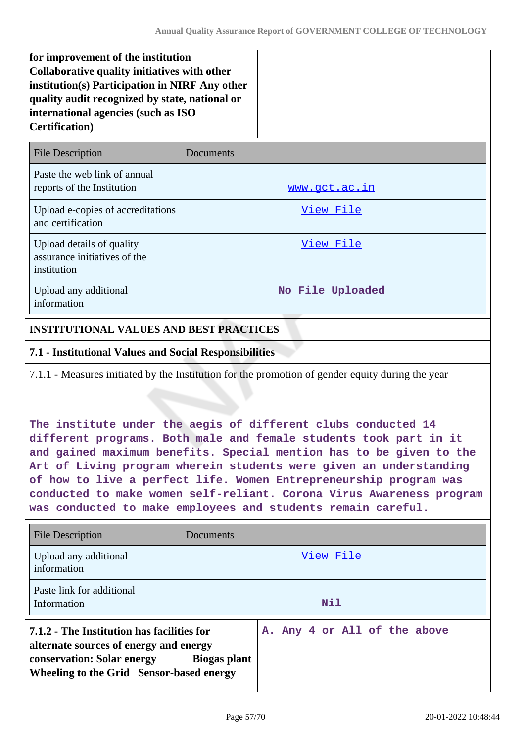**for improvement of the institution Collaborative quality initiatives with other institution(s) Participation in NIRF Any other quality audit recognized by state, national or international agencies (such as ISO Certification)**

| <b>File Description</b>                                                  | Documents        |
|--------------------------------------------------------------------------|------------------|
| Paste the web link of annual<br>reports of the Institution               | www.gct.ac.in    |
| Upload e-copies of accreditations<br>and certification                   | View File        |
| Upload details of quality<br>assurance initiatives of the<br>institution | View File        |
| Upload any additional<br>information                                     | No File Uploaded |

### **INSTITUTIONAL VALUES AND BEST PRACTICES**

### **7.1 - Institutional Values and Social Responsibilities**

7.1.1 - Measures initiated by the Institution for the promotion of gender equity during the year

**The institute under the aegis of different clubs conducted 14 different programs. Both male and female students took part in it and gained maximum benefits. Special mention has to be given to the Art of Living program wherein students were given an understanding of how to live a perfect life. Women Entrepreneurship program was conducted to make women self-reliant. Corona Virus Awareness program was conducted to make employees and students remain careful.** 

| File Description                                                                                                                                                      | Documents                                    |  |  |  |  |  |
|-----------------------------------------------------------------------------------------------------------------------------------------------------------------------|----------------------------------------------|--|--|--|--|--|
| Upload any additional<br>information                                                                                                                                  | View File                                    |  |  |  |  |  |
| Paste link for additional<br>Information                                                                                                                              | <b>Nil</b>                                   |  |  |  |  |  |
| 7.1.2 - The Institution has facilities for<br>alternate sources of energy and energy<br><b>conservation: Solar energy</b><br>Wheeling to the Grid Sensor-based energy | A. Any 4 or All of the above<br>Biogas plant |  |  |  |  |  |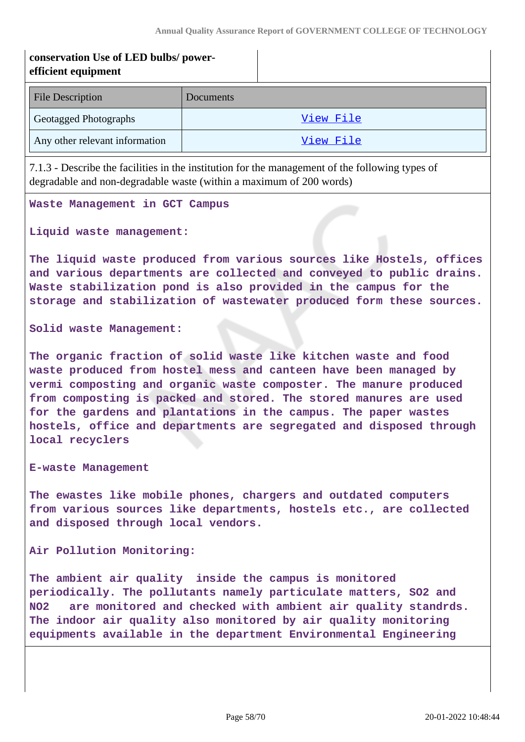| conservation Use of LED bulbs/power-<br>efficient equipment                                                                                                                                                                                                                                                                                                                                                                                |                                                                                                                                                                                                                                                                                         |           |  |  |  |  |
|--------------------------------------------------------------------------------------------------------------------------------------------------------------------------------------------------------------------------------------------------------------------------------------------------------------------------------------------------------------------------------------------------------------------------------------------|-----------------------------------------------------------------------------------------------------------------------------------------------------------------------------------------------------------------------------------------------------------------------------------------|-----------|--|--|--|--|
| <b>File Description</b>                                                                                                                                                                                                                                                                                                                                                                                                                    | <b>Documents</b>                                                                                                                                                                                                                                                                        |           |  |  |  |  |
| Geotagged Photographs                                                                                                                                                                                                                                                                                                                                                                                                                      | View File                                                                                                                                                                                                                                                                               |           |  |  |  |  |
| Any other relevant information                                                                                                                                                                                                                                                                                                                                                                                                             |                                                                                                                                                                                                                                                                                         | View File |  |  |  |  |
| 7.1.3 - Describe the facilities in the institution for the management of the following types of<br>degradable and non-degradable waste (within a maximum of 200 words)                                                                                                                                                                                                                                                                     |                                                                                                                                                                                                                                                                                         |           |  |  |  |  |
| Waste Management in GCT Campus                                                                                                                                                                                                                                                                                                                                                                                                             |                                                                                                                                                                                                                                                                                         |           |  |  |  |  |
| Liquid waste management:                                                                                                                                                                                                                                                                                                                                                                                                                   |                                                                                                                                                                                                                                                                                         |           |  |  |  |  |
|                                                                                                                                                                                                                                                                                                                                                                                                                                            | The liquid waste produced from various sources like Hostels, offices<br>and various departments are collected and conveyed to public drains.<br>Waste stabilization pond is also provided in the campus for the<br>storage and stabilization of wastewater produced form these sources. |           |  |  |  |  |
| Solid waste Management:                                                                                                                                                                                                                                                                                                                                                                                                                    |                                                                                                                                                                                                                                                                                         |           |  |  |  |  |
| The organic fraction of solid waste like kitchen waste and food<br>waste produced from hostel mess and canteen have been managed by<br>vermi composting and organic waste composter. The manure produced<br>from composting is packed and stored. The stored manures are used<br>for the gardens and plantations in the campus. The paper wastes<br>hostels, office and departments are segregated and disposed through<br>local recyclers |                                                                                                                                                                                                                                                                                         |           |  |  |  |  |
| <b>E-waste Management</b>                                                                                                                                                                                                                                                                                                                                                                                                                  |                                                                                                                                                                                                                                                                                         |           |  |  |  |  |
| The ewastes like mobile phones, chargers and outdated computers<br>from various sources like departments, hostels etc., are collected<br>and disposed through local vendors.                                                                                                                                                                                                                                                               |                                                                                                                                                                                                                                                                                         |           |  |  |  |  |
| Air Pollution Monitoring:                                                                                                                                                                                                                                                                                                                                                                                                                  |                                                                                                                                                                                                                                                                                         |           |  |  |  |  |
| The ambient air quality inside the campus is monitored<br>periodically. The pollutants namely particulate matters, SO2 and<br>are monitored and checked with ambient air quality standrds.<br>NO <sub>2</sub><br>The indoor air quality also monitored by air quality monitoring<br>equipments available in the department Environmental Engineering                                                                                       |                                                                                                                                                                                                                                                                                         |           |  |  |  |  |
|                                                                                                                                                                                                                                                                                                                                                                                                                                            |                                                                                                                                                                                                                                                                                         |           |  |  |  |  |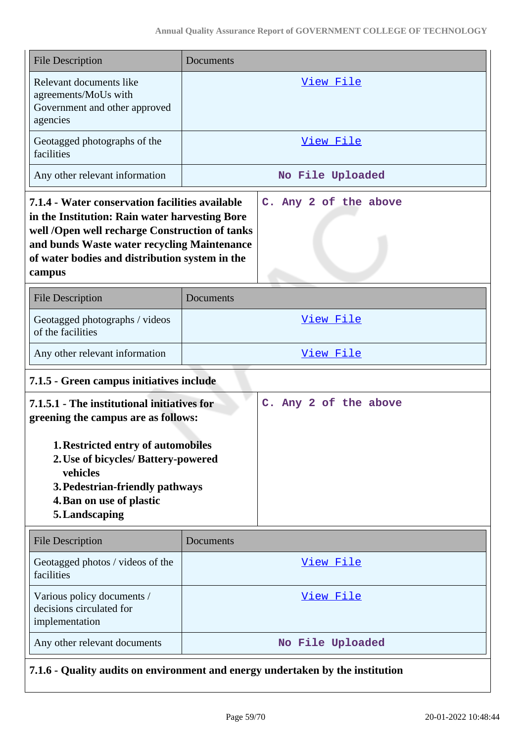| <b>File Description</b>                                                                                                                                                                                                                                             | Documents             |                       |  |  |  |  |
|---------------------------------------------------------------------------------------------------------------------------------------------------------------------------------------------------------------------------------------------------------------------|-----------------------|-----------------------|--|--|--|--|
| Relevant documents like<br>agreements/MoUs with<br>Government and other approved<br>agencies                                                                                                                                                                        | View File             |                       |  |  |  |  |
| Geotagged photographs of the<br>facilities                                                                                                                                                                                                                          | View File             |                       |  |  |  |  |
| Any other relevant information                                                                                                                                                                                                                                      | No File Uploaded      |                       |  |  |  |  |
| 7.1.4 - Water conservation facilities available<br>in the Institution: Rain water harvesting Bore<br>well /Open well recharge Construction of tanks<br>and bunds Waste water recycling Maintenance<br>of water bodies and distribution system in the<br>campus      | C. Any 2 of the above |                       |  |  |  |  |
| <b>File Description</b>                                                                                                                                                                                                                                             | Documents             |                       |  |  |  |  |
| Geotagged photographs / videos<br>of the facilities                                                                                                                                                                                                                 | View File             |                       |  |  |  |  |
| Any other relevant information                                                                                                                                                                                                                                      | View File             |                       |  |  |  |  |
| 7.1.5 - Green campus initiatives include                                                                                                                                                                                                                            |                       |                       |  |  |  |  |
| 7.1.5.1 - The institutional initiatives for<br>greening the campus are as follows:<br><b>1. Restricted entry of automobiles</b><br>2. Use of bicycles/ Battery-powered<br>vehicles<br>3. Pedestrian-friendly pathways<br>4. Ban on use of plastic<br>5. Landscaping |                       | C. Any 2 of the above |  |  |  |  |
| <b>File Description</b>                                                                                                                                                                                                                                             | Documents             |                       |  |  |  |  |
| Geotagged photos / videos of the<br>facilities                                                                                                                                                                                                                      | <u>View File</u>      |                       |  |  |  |  |
| Various policy documents /<br>decisions circulated for<br>implementation                                                                                                                                                                                            | View File             |                       |  |  |  |  |
| Any other relevant documents                                                                                                                                                                                                                                        | No File Uploaded      |                       |  |  |  |  |
| 7.1.6 - Quality audits on environment and energy undertaken by the institution                                                                                                                                                                                      |                       |                       |  |  |  |  |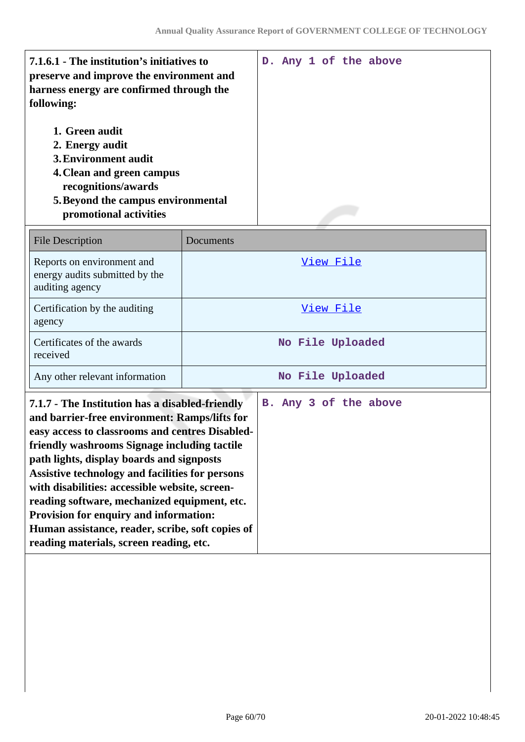| 7.1.6.1 - The institution's initiatives to<br>preserve and improve the environment and<br>harness energy are confirmed through the<br>following:                              |                  |  |  |  | D. Any 1 of the above |
|-------------------------------------------------------------------------------------------------------------------------------------------------------------------------------|------------------|--|--|--|-----------------------|
| 1. Green audit<br>2. Energy audit<br>3. Environment audit<br>4. Clean and green campus<br>recognitions/awards<br>5. Beyond the campus environmental<br>promotional activities |                  |  |  |  |                       |
| <b>File Description</b>                                                                                                                                                       | Documents        |  |  |  |                       |
| Reports on environment and<br>energy audits submitted by the<br>auditing agency                                                                                               | <u>View File</u> |  |  |  |                       |

| <b>File Description</b>                                                         | Documents        |
|---------------------------------------------------------------------------------|------------------|
| Reports on environment and<br>energy audits submitted by the<br>auditing agency | View File        |
| Certification by the auditing<br>agency                                         | View File        |
| Certificates of the awards<br>received                                          | No File Uploaded |
| Any other relevant information                                                  | No File Uploaded |

| 7.1.7 - The Institution has a disabled-friendly<br>and barrier-free environment: Ramps/lifts for<br>easy access to classrooms and centres Disabled-<br>friendly washrooms Signage including tactile<br>path lights, display boards and signposts<br>Assistive technology and facilities for persons<br>with disabilities: accessible website, screen-<br>reading software, mechanized equipment, etc.<br>Provision for enquiry and information:<br>Human assistance, reader, scribe, soft copies of |  |  | B. Any 3 of the above |
|-----------------------------------------------------------------------------------------------------------------------------------------------------------------------------------------------------------------------------------------------------------------------------------------------------------------------------------------------------------------------------------------------------------------------------------------------------------------------------------------------------|--|--|-----------------------|
| reading materials, screen reading, etc.                                                                                                                                                                                                                                                                                                                                                                                                                                                             |  |  |                       |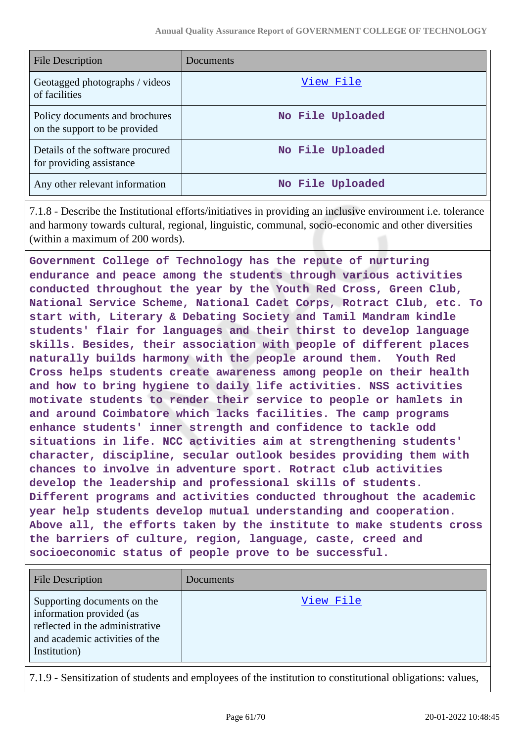| <b>File Description</b>                                         | Documents        |
|-----------------------------------------------------------------|------------------|
| Geotagged photographs / videos<br>of facilities                 | View File        |
| Policy documents and brochures<br>on the support to be provided | No File Uploaded |
| Details of the software procured<br>for providing assistance    | No File Uploaded |
| Any other relevant information                                  | No File Uploaded |

7.1.8 - Describe the Institutional efforts/initiatives in providing an inclusive environment i.e. tolerance and harmony towards cultural, regional, linguistic, communal, socio-economic and other diversities (within a maximum of 200 words).

**Government College of Technology has the repute of nurturing endurance and peace among the students through various activities conducted throughout the year by the Youth Red Cross, Green Club, National Service Scheme, National Cadet Corps, Rotract Club, etc. To start with, Literary & Debating Society and Tamil Mandram kindle students' flair for languages and their thirst to develop language skills. Besides, their association with people of different places naturally builds harmony with the people around them. Youth Red Cross helps students create awareness among people on their health and how to bring hygiene to daily life activities. NSS activities motivate students to render their service to people or hamlets in and around Coimbatore which lacks facilities. The camp programs enhance students' inner strength and confidence to tackle odd situations in life. NCC activities aim at strengthening students' character, discipline, secular outlook besides providing them with chances to involve in adventure sport. Rotract club activities develop the leadership and professional skills of students. Different programs and activities conducted throughout the academic year help students develop mutual understanding and cooperation. Above all, the efforts taken by the institute to make students cross the barriers of culture, region, language, caste, creed and socioeconomic status of people prove to be successful.**

| <b>File Description</b>                                                                                                                      | Documents |
|----------------------------------------------------------------------------------------------------------------------------------------------|-----------|
| Supporting documents on the<br>information provided (as<br>reflected in the administrative<br>and academic activities of the<br>Institution) | View File |

7.1.9 - Sensitization of students and employees of the institution to constitutional obligations: values,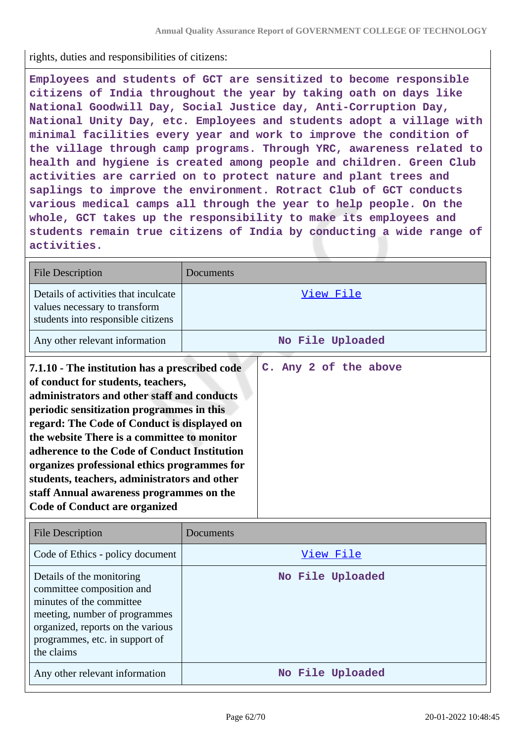rights, duties and responsibilities of citizens:

**Employees and students of GCT are sensitized to become responsible citizens of India throughout the year by taking oath on days like National Goodwill Day, Social Justice day, Anti-Corruption Day, National Unity Day, etc. Employees and students adopt a village with minimal facilities every year and work to improve the condition of the village through camp programs. Through YRC, awareness related to health and hygiene is created among people and children. Green Club activities are carried on to protect nature and plant trees and saplings to improve the environment. Rotract Club of GCT conducts various medical camps all through the year to help people. On the whole, GCT takes up the responsibility to make its employees and students remain true citizens of India by conducting a wide range of activities.**

| <b>File Description</b>                                                                                                                                                                                                                                                                                                                                                                                                                                                                                            | Documents             |  |  |  |
|--------------------------------------------------------------------------------------------------------------------------------------------------------------------------------------------------------------------------------------------------------------------------------------------------------------------------------------------------------------------------------------------------------------------------------------------------------------------------------------------------------------------|-----------------------|--|--|--|
| Details of activities that inculcate<br>values necessary to transform<br>students into responsible citizens                                                                                                                                                                                                                                                                                                                                                                                                        | View File             |  |  |  |
| Any other relevant information                                                                                                                                                                                                                                                                                                                                                                                                                                                                                     | No File Uploaded      |  |  |  |
| 7.1.10 - The institution has a prescribed code<br>of conduct for students, teachers,<br>administrators and other staff and conducts<br>periodic sensitization programmes in this<br>regard: The Code of Conduct is displayed on<br>the website There is a committee to monitor<br>adherence to the Code of Conduct Institution<br>organizes professional ethics programmes for<br>students, teachers, administrators and other<br>staff Annual awareness programmes on the<br><b>Code of Conduct are organized</b> | C. Any 2 of the above |  |  |  |

| <b>File Description</b>                                                                                                                                                                                  | Documents        |
|----------------------------------------------------------------------------------------------------------------------------------------------------------------------------------------------------------|------------------|
| Code of Ethics - policy document                                                                                                                                                                         | View File        |
| Details of the monitoring<br>committee composition and<br>minutes of the committee<br>meeting, number of programmes<br>organized, reports on the various<br>programmes, etc. in support of<br>the claims | No File Uploaded |
| Any other relevant information                                                                                                                                                                           | No File Uploaded |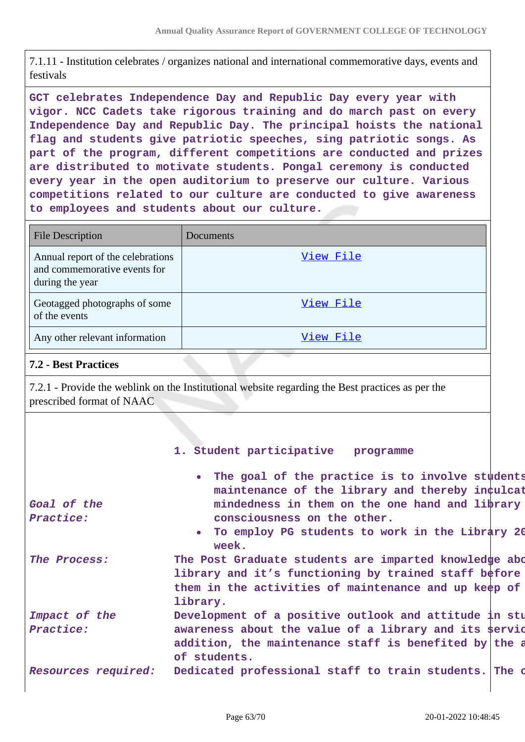7.1.11 - Institution celebrates / organizes national and international commemorative days, events and festivals

**GCT celebrates Independence Day and Republic Day every year with vigor. NCC Cadets take rigorous training and do march past on every Independence Day and Republic Day. The principal hoists the national flag and students give patriotic speeches, sing patriotic songs. As part of the program, different competitions are conducted and prizes are distributed to motivate students. Pongal ceremony is conducted every year in the open auditorium to preserve our culture. Various competitions related to our culture are conducted to give awareness to employees and students about our culture.**

| <b>File Description</b>                                                              | Documents |
|--------------------------------------------------------------------------------------|-----------|
| Annual report of the celebrations<br>and commemorative events for<br>during the year | View File |
| Geotagged photographs of some<br>of the events                                       | View File |
| Any other relevant information                                                       | View File |

### **7.2 - Best Practices**

7.2.1 - Provide the weblink on the Institutional website regarding the Best practices as per the prescribed format of NAAC

#### **1. Student participative programme**

|                     | . The goal of the practice is to involve students     |
|---------------------|-------------------------------------------------------|
|                     | maintenance of the library and thereby inculcat       |
| Goal of the         | mindedness in them on the one hand and library        |
| Practice:           | consciousness on the other.                           |
|                     | • To employ PG students to work in the Library 20     |
|                     | week.                                                 |
| The Process:        | The Post Graduate students are imparted knowledge abo |
|                     | library and it's functioning by trained staff before  |
|                     | them in the activities of maintenance and up keep of  |
|                     | library.                                              |
| Impact of the       | Development of a positive outlook and attitude in stu |
| Practice:           | awareness about the value of a library and its servic |
|                     | addition, the maintenance staff is benefited by the a |
|                     | of students.                                          |
| Resources required: | Dedicated professional staff to train students. The o |
|                     |                                                       |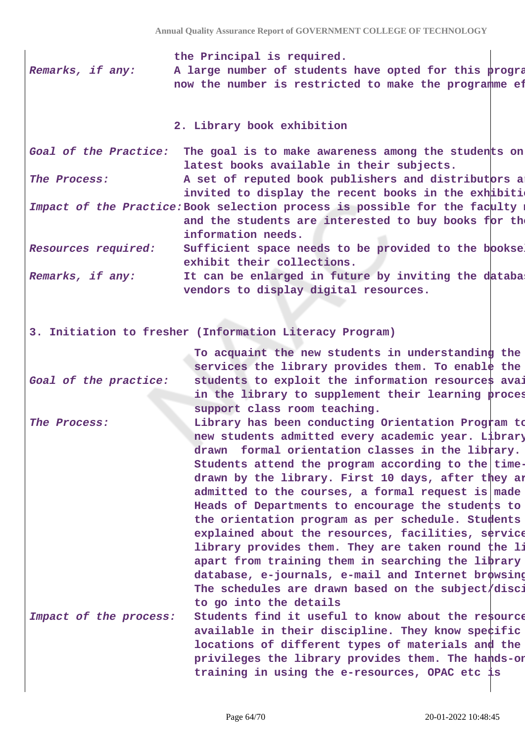**the Principal is required. Remarks, if any:** A large number of students have opted for this program now the number is restricted to make the programme ef

#### **2. Library book exhibition**

Goal of the Practice: The goal is to make awareness among the students on **latest books available in their subjects.** The Process: **A** set of reputed book publishers and distributors a

invited to display the recent books in the exhibition.

Impact of the Practice: Book selection process is possible for the faculty members and the students are interested to buy books for th **information needs.**

**Resources required:** Sufficient space needs to be provided to the bookse **exhibit their collections.**

**Remarks, if any: It can be enlarged in future by inviting the database vendors to display digital resources.**

**3. Initiation to fresher (Information Literacy Program)**

**Goal of the practice: To acquaint the new students in understanding the services the library provides them. To enable the** students to exploit the information resources avai in the library to supplement their learning proces **support class room teaching.**

**The Process: Library has been conducting Orientation Program to new students admitted every academic year. Library has drawn formal orientation classes in the library.** Students attend the program according to the timedrawn by the library. First 10 days, after they are **admitted to the courses, a formal request is made to the** Heads of Departments to encourage the students to **the orientation program as per schedule. Students are** explained about the resources, facilities, service **library provides them. They are taken round the library apart from training them in searching the library** database, e-journals, e-mail and Internet browsing The schedules are drawn based on the subject/disci **to go into the details**

Impact of the process: Students find it useful to know about the resource available in their discipline. They know specific **locations of different types of materials and the privileges the library provides them. The hands-on training in using the e-resources, OPAC etc is**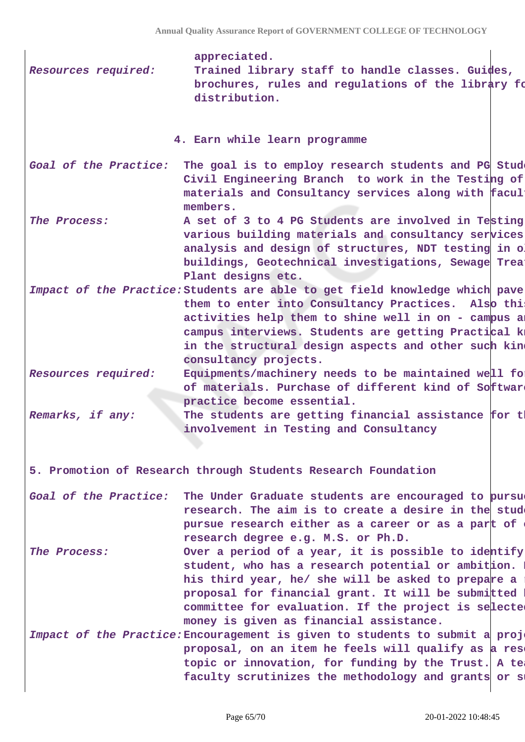| Resources required:   | appreciated.<br>Trained library staff to handle classes. Guides,<br>brochures, rules and regulations of the library fo<br>distribution.                                                                                                                                                                                           |
|-----------------------|-----------------------------------------------------------------------------------------------------------------------------------------------------------------------------------------------------------------------------------------------------------------------------------------------------------------------------------|
|                       | 4. Earn while learn programme                                                                                                                                                                                                                                                                                                     |
| Goal of the Practice: | The goal is to employ research students and PG Stude<br>Civil Engineering Branch to work in the Testing of<br>materials and Consultancy services along with facul<br>members.                                                                                                                                                     |
| The Process:          | A set of 3 to 4 PG Students are involved in Testing<br>various building materials and consultancy services<br>analysis and design of structures, NDT testing in o<br>buildings, Geotechnical investigations, Sewage Treat<br>Plant designs etc.                                                                                   |
|                       | Impact of the Practice: Students are able to get field knowledge which pave<br>them to enter into Consultancy Practices. Also this<br>activities help them to shine well in on - campus an<br>campus interviews. Students are getting Practical k<br>in the structural design aspects and other such kin<br>consultancy projects. |
| Resources required:   | Equipments/machinery needs to be maintained well for<br>of materials. Purchase of different kind of Softwark<br>practice become essential.                                                                                                                                                                                        |
| Remarks, if any:      | The students are getting financial assistance for tl<br>involvement in Testing and Consultancy                                                                                                                                                                                                                                    |
|                       | 5. Promotion of Research through Students Research Foundation                                                                                                                                                                                                                                                                     |
| Goal of the Practice: | The Under Graduate students are encouraged to pursue<br>research. The aim is to create a desire in the stude<br>pursue research either as a career or as a part of<br>research degree e.g. M.S. or Ph.D.                                                                                                                          |
| The Process:          | Over a period of a year, it is possible to identify<br>student, who has a research potential or ambition.<br>his third year, he/ she will be asked to prepare a<br>proposal for financial grant. It will be submitted<br>committee for evaluation. If the project is selected<br>money is given as financial assistance.          |
|                       | Impact of the Practice: Encouragement is given to students to submit a proje<br>proposal, on an item he feels will qualify as a rese<br>topic or innovation, for funding by the Trust. A tea<br>faculty scrutinizes the methodology and grants or st                                                                              |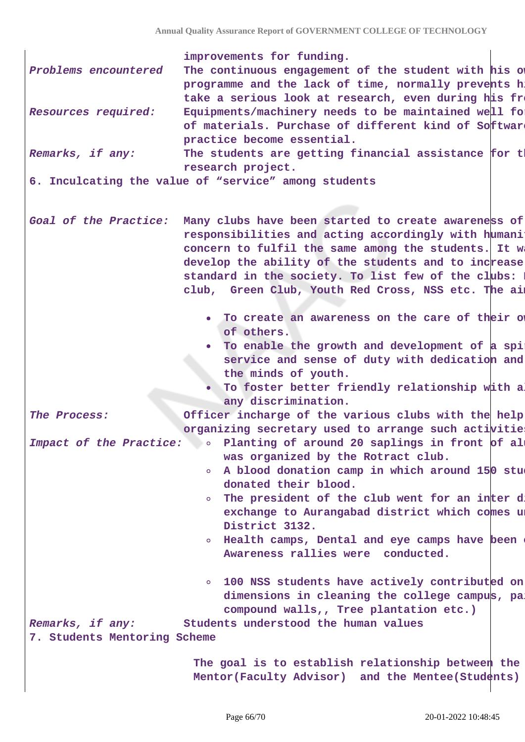| improvements for funding. |  |  |
|---------------------------|--|--|
|---------------------------|--|--|

| Problems encountered | The continuous engagement of the student with his of  |
|----------------------|-------------------------------------------------------|
|                      | programme and the lack of time, normally prevents h.  |
|                      | take a serious look at research, even during his fre  |
| Resources required:  | Equipments/machinery needs to be maintained well for  |
|                      | of materials. Purchase of different kind of Software  |
|                      | practice become essential.                            |
| Domarke if any.      | The students are getting financial assistance for the |

The students are getting financial **research project.**

**6. Inculcating the value of "service" among students**

Goal of the Practice: Many clubs have been started to create awareness of responsibilities and acting accordingly with humani concern to fulfil the same among the students. It w develop the ability of the students and to increase standard in the society. To list few of the clubs: club, Green Club, Youth Red Cross, NSS etc. The aim

- To create an awareness on the care of their own **of others.**
- To enable the growth and development of a spi service and sense of duty with dedication and **the minds of youth.**
- To foster better friendly relationship with a **any discrimination.**

The Process: *Officer incharge of the various clubs with the help* **organizing secretary used to arrange such activities.**

- Impact of the Practice: **8 8 Planting of around 20 saplings in front of al was organized by the Rotract club.**
	- A blood donation camp in which around 150 stu  $\Omega$ **donated their blood.**
	- **o** The president of the club went for an inter d exchange to Aurangabad district which comes u **District 3132.**
	- **Example 1** Find the camps have been or Health camps, Dental and eye camps have been **Awareness rallies were conducted.**
	- **100 NSS students have actively contributed on** dimensions in cleaning the college campus, pa **compound walls,, Tree plantation etc.)**

**Remarks, if any: Students understood the human values**

**7. Students Mentoring Scheme**

**The goal is to establish relationship between the** Mentor(Faculty Advisor) and the Mentee(Students)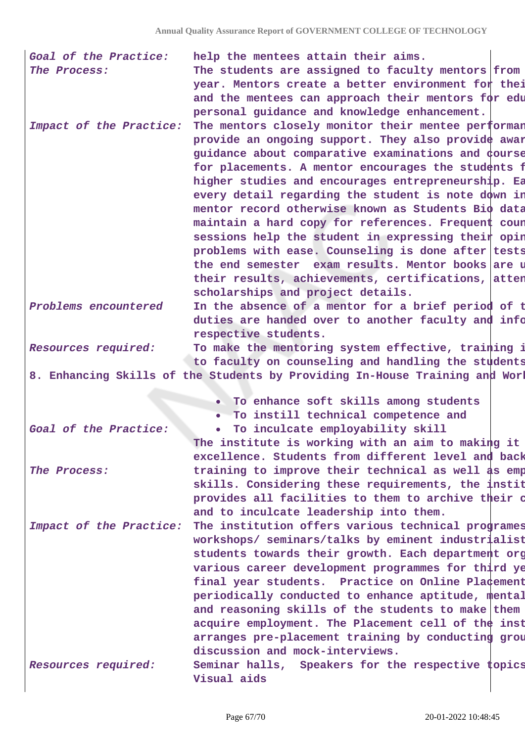| Goal of the Practice:<br>The Process: | help the mentees attain their aims.<br>The students are assigned to faculty mentors from                                                                                                                                                                                                                                                                           |
|---------------------------------------|--------------------------------------------------------------------------------------------------------------------------------------------------------------------------------------------------------------------------------------------------------------------------------------------------------------------------------------------------------------------|
|                                       | year. Mentors create a better environment for thei                                                                                                                                                                                                                                                                                                                 |
|                                       | and the mentees can approach their mentors for edu                                                                                                                                                                                                                                                                                                                 |
|                                       | personal guidance and knowledge enhancement.                                                                                                                                                                                                                                                                                                                       |
| Impact of the Practice:               | The mentors closely monitor their mentee performan<br>provide an ongoing support. They also provide awar                                                                                                                                                                                                                                                           |
|                                       | guidance about comparative examinations and course                                                                                                                                                                                                                                                                                                                 |
|                                       | for placements. A mentor encourages the students f                                                                                                                                                                                                                                                                                                                 |
|                                       | higher studies and encourages entrepreneurship. Ea                                                                                                                                                                                                                                                                                                                 |
|                                       | every detail regarding the student is note down in                                                                                                                                                                                                                                                                                                                 |
|                                       | mentor record otherwise known as Students Bio data                                                                                                                                                                                                                                                                                                                 |
|                                       | maintain a hard copy for references. Frequent coun                                                                                                                                                                                                                                                                                                                 |
|                                       | sessions help the student in expressing their opin<br>problems with ease. Counseling is done after tests                                                                                                                                                                                                                                                           |
|                                       | the end semester exam results. Mentor books are u                                                                                                                                                                                                                                                                                                                  |
|                                       | their results, achievements, certifications, atten                                                                                                                                                                                                                                                                                                                 |
|                                       | scholarships and project details.                                                                                                                                                                                                                                                                                                                                  |
| Problems encountered                  | In the absence of a mentor for a brief period of t                                                                                                                                                                                                                                                                                                                 |
|                                       | duties are handed over to another faculty and info                                                                                                                                                                                                                                                                                                                 |
|                                       | respective students.                                                                                                                                                                                                                                                                                                                                               |
| Resources required:                   | To make the mentoring system effective, training i<br>to faculty on counseling and handling the students                                                                                                                                                                                                                                                           |
|                                       | 8. Enhancing Skills of the Students by Providing In-House Training and Worl                                                                                                                                                                                                                                                                                        |
|                                       |                                                                                                                                                                                                                                                                                                                                                                    |
|                                       | . To enhance soft skills among students                                                                                                                                                                                                                                                                                                                            |
|                                       | • To instill technical competence and                                                                                                                                                                                                                                                                                                                              |
| Goal of the Practice:                 | To inculcate employability skill<br>$\bullet$                                                                                                                                                                                                                                                                                                                      |
|                                       | The institute is working with an aim to making it<br>excellence. Students from different level and back                                                                                                                                                                                                                                                            |
| The Process:                          | training to improve their technical as well as emp                                                                                                                                                                                                                                                                                                                 |
|                                       | skills. Considering these requirements, the instit                                                                                                                                                                                                                                                                                                                 |
|                                       | provides all facilities to them to archive their o                                                                                                                                                                                                                                                                                                                 |
|                                       | and to inculcate leadership into them.                                                                                                                                                                                                                                                                                                                             |
| Impact of the Practice:               | The institution offers various technical programes                                                                                                                                                                                                                                                                                                                 |
|                                       | workshops/ seminars/talks by eminent industrialist                                                                                                                                                                                                                                                                                                                 |
|                                       |                                                                                                                                                                                                                                                                                                                                                                    |
|                                       |                                                                                                                                                                                                                                                                                                                                                                    |
|                                       |                                                                                                                                                                                                                                                                                                                                                                    |
|                                       |                                                                                                                                                                                                                                                                                                                                                                    |
|                                       | and reasoning skills of the students to make them                                                                                                                                                                                                                                                                                                                  |
|                                       |                                                                                                                                                                                                                                                                                                                                                                    |
|                                       |                                                                                                                                                                                                                                                                                                                                                                    |
|                                       | students towards their growth. Each department org<br>various career development programmes for third ye<br>final year students. Practice on Online Pla¢ement<br>periodically conducted to enhance aptitude, mental<br>acquire employment. The Placement cell of the inst<br>arranges pre-placement training by conducting grou<br>discussion and mock-interviews. |
| Resources required:                   | Seminar halls, Speakers for the respective topics<br>Visual aids                                                                                                                                                                                                                                                                                                   |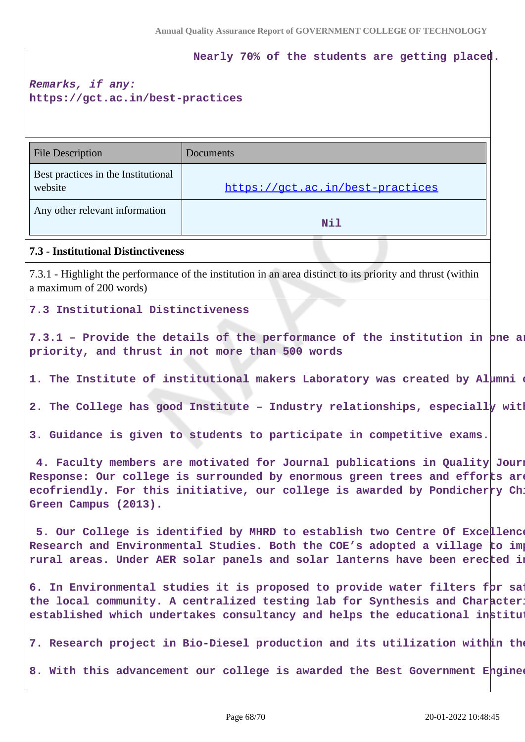**Nearly 70% of the students are getting placed.**

# **Remarks, if any: https://gct.ac.in/best-practices**

| <b>File Description</b>                                                                                                                                                                                                                                          | Documents                                                                                                                                                                                                                                 |  |  |
|------------------------------------------------------------------------------------------------------------------------------------------------------------------------------------------------------------------------------------------------------------------|-------------------------------------------------------------------------------------------------------------------------------------------------------------------------------------------------------------------------------------------|--|--|
| Best practices in the Institutional<br>website                                                                                                                                                                                                                   | https://gct.ac.in/best-practices                                                                                                                                                                                                          |  |  |
| Any other relevant information                                                                                                                                                                                                                                   | Nil                                                                                                                                                                                                                                       |  |  |
| <b>7.3 - Institutional Distinctiveness</b>                                                                                                                                                                                                                       |                                                                                                                                                                                                                                           |  |  |
| a maximum of 200 words)                                                                                                                                                                                                                                          | 7.3.1 - Highlight the performance of the institution in an area distinct to its priority and thrust (within                                                                                                                               |  |  |
| 7.3 Institutional Distinctiveness                                                                                                                                                                                                                                |                                                                                                                                                                                                                                           |  |  |
| 7.3.1 - Provide the details of the performance of the institution in one an<br>priority, and thrust in not more than 500 words                                                                                                                                   |                                                                                                                                                                                                                                           |  |  |
| 1. The Institute of institutional makers Laboratory was created by Alumni                                                                                                                                                                                        |                                                                                                                                                                                                                                           |  |  |
|                                                                                                                                                                                                                                                                  | 2. The College has good Institute - Industry relationships, especially with                                                                                                                                                               |  |  |
| 3. Guidance is given to students to participate in competitive exams.                                                                                                                                                                                            |                                                                                                                                                                                                                                           |  |  |
| 4. Faculty members are motivated for Journal publications in Quality Journ<br>Response: Our college is surrounded by enormous green trees and efforts are<br>ecofriendly. For this initiative, our college is awarded by Pondicherry Ch:<br>Green Campus (2013). |                                                                                                                                                                                                                                           |  |  |
|                                                                                                                                                                                                                                                                  | 5. Our College is identified by MHRD to establish two Centre Of Excellence<br>Research and Environmental Studies. Both the COE's adopted a village to imp<br>rural areas. Under AER solar panels and solar lanterns have been erected in  |  |  |
|                                                                                                                                                                                                                                                                  | 6. In Environmental studies it is proposed to provide water filters for sa:<br>the local community. A centralized testing lab for Synthesis and Character:<br>established which undertakes consultancy and helps the educational institut |  |  |
|                                                                                                                                                                                                                                                                  | 7. Research project in Bio-Diesel production and its utilization within the                                                                                                                                                               |  |  |
| 8. With this advancement our college is awarded the Best Government Enginee                                                                                                                                                                                      |                                                                                                                                                                                                                                           |  |  |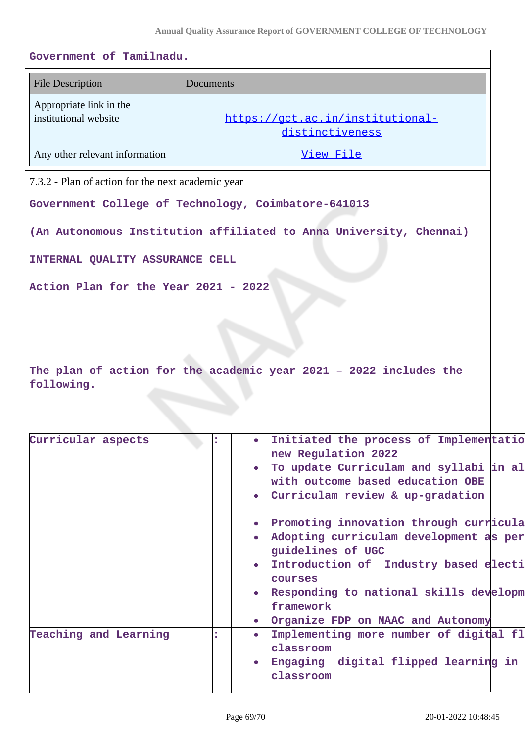| <b>File Description</b>                             | Documents                                           |                                                                                                                                                                                                                                                         |  |
|-----------------------------------------------------|-----------------------------------------------------|---------------------------------------------------------------------------------------------------------------------------------------------------------------------------------------------------------------------------------------------------------|--|
| Appropriate link in the<br>institutional website    | https://gct.ac.in/institutional-<br>distinctiveness |                                                                                                                                                                                                                                                         |  |
| Any other relevant information                      |                                                     | View File                                                                                                                                                                                                                                               |  |
| 7.3.2 - Plan of action for the next academic year   |                                                     |                                                                                                                                                                                                                                                         |  |
| Government College of Technology, Coimbatore-641013 |                                                     |                                                                                                                                                                                                                                                         |  |
|                                                     |                                                     | (An Autonomous Institution affiliated to Anna University, Chennai)                                                                                                                                                                                      |  |
|                                                     |                                                     |                                                                                                                                                                                                                                                         |  |
| INTERNAL QUALITY ASSURANCE CELL                     |                                                     |                                                                                                                                                                                                                                                         |  |
| Action Plan for the Year 2021 - 2022                |                                                     |                                                                                                                                                                                                                                                         |  |
| following.<br>Curricular aspects                    |                                                     | The plan of action for the academic year 2021 - 2022 includes the<br>Initiated the process of Implementatio<br>$\bullet$<br>new Regulation 2022                                                                                                         |  |
|                                                     |                                                     | To update Curriculam and syllabi in al                                                                                                                                                                                                                  |  |
|                                                     |                                                     | with outcome based education OBE                                                                                                                                                                                                                        |  |
|                                                     |                                                     | Curriculam review & up-gradation                                                                                                                                                                                                                        |  |
|                                                     |                                                     | Promoting innovation through curricula<br>Adopting curriculam development as per<br>guidelines of UGC<br>Introduction of Industry based electi<br>courses<br>Responding to national skills developm<br>framework<br>• Organize FDP on NAAC and Autonomy |  |
| Teaching and Learning                               | ÷                                                   | Implementing more number of digital fl<br>$\bullet$                                                                                                                                                                                                     |  |
|                                                     |                                                     | classroom<br>Engaging digital flipped learning in                                                                                                                                                                                                       |  |
|                                                     |                                                     | classroom                                                                                                                                                                                                                                               |  |
|                                                     |                                                     |                                                                                                                                                                                                                                                         |  |